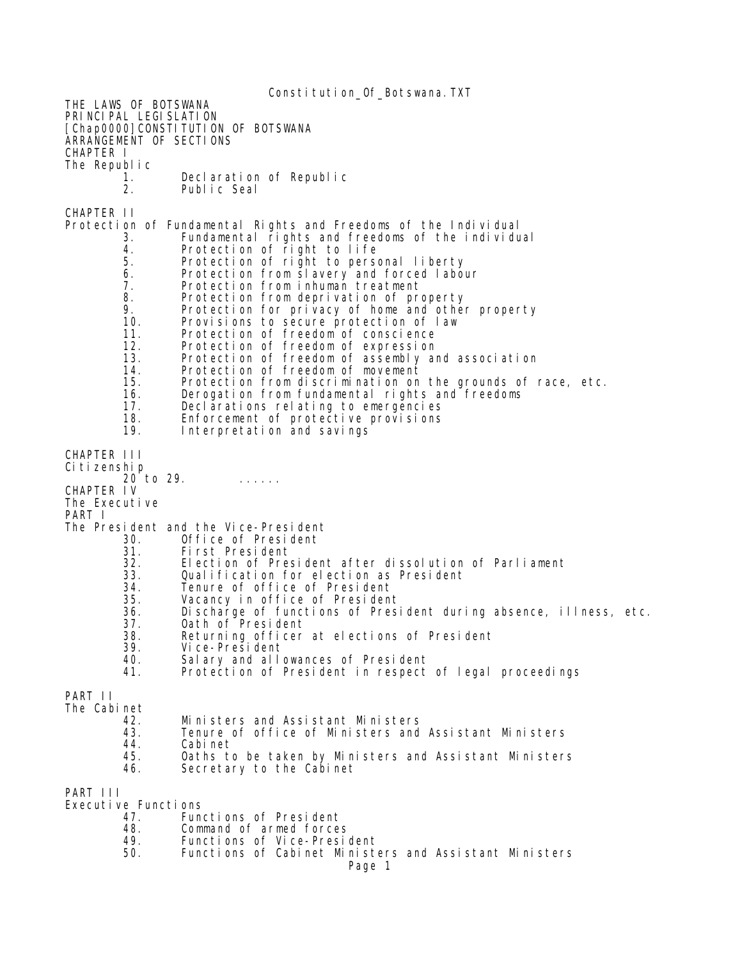Constitution Of Botswana.TXT THE LAWS OF BOTSWANA PRINCIPAL LEGISLATION [Chap0000]CONSTITUTION OF BOTSWANA ARRANGEMENT OF SECTIONS CHAPTER I The Republic 1. Declaration of Republic<br>2. Public Seal Public Seal CHAPTER II Protection of Fundamental Rights and Freedoms of the Individual 3. Fundamental rights and freedoms of the individual 4. Protection of right to life 5. Protection of right to personal liberty 6. Protection from slavery and forced labour 7. Protection from inhuman treatment 8. Protection from deprivation of property<br>9. Protection for privacy of home and other 9. Protection for privacy of home and other property<br>10. Provisions to secure protection of law 10. Provisions to secure protection of law 11. Protection of freedom of conscience 12. Protection of freedom of expression<br>13. Protection of freedom of assembly a 13. Protection of freedom of assembly and association 14. Protection of freedom of movement 15. Protection from discrimination on the grounds of race, etc. 16. Derogation from fundamental rights and freedoms<br>17. Declarations relating to emergencies 17. Declarations relating to emergencies<br>18. Enforcement of protective provisions 18. Enforcement of protective provisions<br>19. Interpretation and savings Interpretation and savings CHAPTER III Citizenship  $20$  to  $29$ . ...... CHAPTER IV The Executive PART I The President and the Vice-President<br>30. Office of President 30. Office of President<br>31. First President 31. First President<br>32. Election of Pre 32. Election of President after dissolution of Parliament 33. Qualification for election as President 34. Tenure of office of President<br>35. Vacancy in office of Presiden 35. Vacancy in office of President 36. Discharge of functions of President during absence, illness, etc. 0ath of President 38. Returning officer at elections of President 39. Vice-President<br>40. Salary and all 40. Salary and allowances of President Protection of President in respect of legal proceedings PART II The Cabinet<br>42. 42. Ministers and Assistant Ministers<br>43. Tenure of office of Ministers and 43. Tenure of office of Ministers and Assistant Ministers 44. Cabinet 45. Oaths to be taken by Ministers and Assistant Ministers<br>46. Secretary to the Cabinet Secretary to the Cabinet PART III Executive Functions<br>A7 Fun 47. Functions of President<br>48. Command of armed force: 48. Command of armed forces 49. Functions of Vice-President Functions of Cabinet Ministers and Assistant Ministers Page 1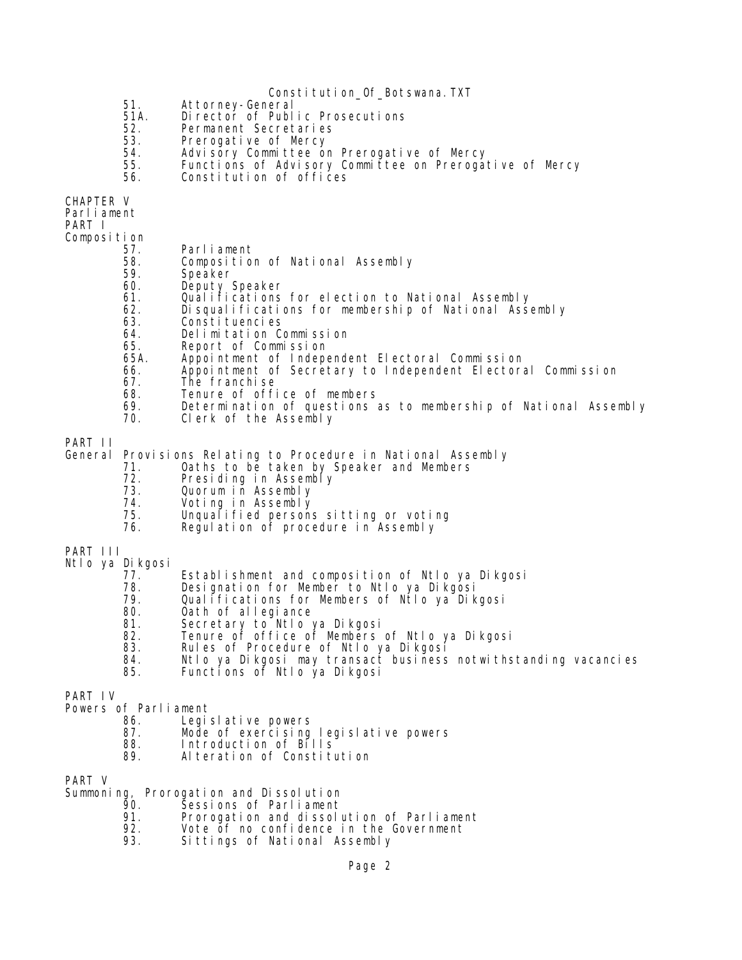- 51. Attorney-General<br>51A. Director of Publ
- 51. Attorney-General<br>51A. Director of Public Prosecutions 51A. Director of Public Prosecutions<br>52. Permanent Secretaries
- 
- 53. Prerogative of Mercy
- 54. Advisory Committee on Prerogative of Mercy
- 55. Functions of Advisory Committee on Prerogative of Mercy<br>56. Constitution of offices
- Constitution of offices

CHAPTER V

Parl i ament

PART I

# Composition<br>57.

- - 57. Parliament<br>58. Compositio 58. Composition of National Assembly
	-
	- 59. Speaker 60. Deputy Speaker
	- 61. Qualifications for election to National Assembly
	- Disqualifications for membership of National Assembly
	-
	- 63. Constituencies<br>64. Delimitation C 64. Delimitation Commission
	-
	- 65. Report of Commission 65. Report of Commission<br>65A. Appointment of Independent Electoral Commission
	- 66. Appointment of Secretary to Independent Electoral Commission
	- 67. The franchise
	- 68. Tenure of office of members
	- 69. Determination of questions as to membership of National Assembly<br>70. Clerk of the Assembly
	- Clerk of the Assembly

### PART II

General Provisions Relating to Procedure in National Assembly

- 71. Oaths to be taken by Speaker and Members
- 72. Presiding in Assembly<br>73. Quorum in Assembly
- 73. Quorum in Assembly
- 74. Voting in Assembly<br>75. Unqualified person
- 75. Unqualified persons sitting or voting<br>76. Regulation of procedure in Assembly
- Regulation of procedure in Assembly

# PART III

- Ntlo ya Dikgosi
	- 77. <sup>T</sup> Establishment and composition of Ntlo ya Dikgosi<br>78. Designation for Member to Ntlo ya Dikgosi
	- 78. Designation for Member to Ntlo ya Dikgosi
	- 79. Qualifications for Members of Ntlo ya Dikgosi
	- 80. Oath of allegiance<br>81. Secretary to Ntloy
	- 81. Secretary to Ntlo ya Dikgosi
	- 82. Tenure of office of Members of Ntlo ya Dikgosi
	- 83. Rules of Procedure of Ntlo ya Dikgosi<br>84. Ntlo ya Dikgosi may transact business
	- 84. Ntlo ya Dikgosi may transact business notwithstanding vacancies<br>85. Functions of Ntlo ya Dikgosi
	- Functions of Ntlo ya Dikgosi

PART IV

Powers of Parliament

- 86. Legislative powers<br>87. Mode of exercising
- 87. Mode of exercising legislative powers<br>88. Introduction of Bills
- Introduction of Bills
- 89. Alteration of Constitution

#### PART V

Summoning, Prorogation and Dissolution

- 90. Šessions of Parliament<br>91. Prorogation and dissoli
- 91. Prorogation and dissolution of Parliament<br>92. Vote of no confidence in the Government
- 92. Vote of no confidence in the Government<br>93. Sittings of National Assembly
	- Sittings of National Assembly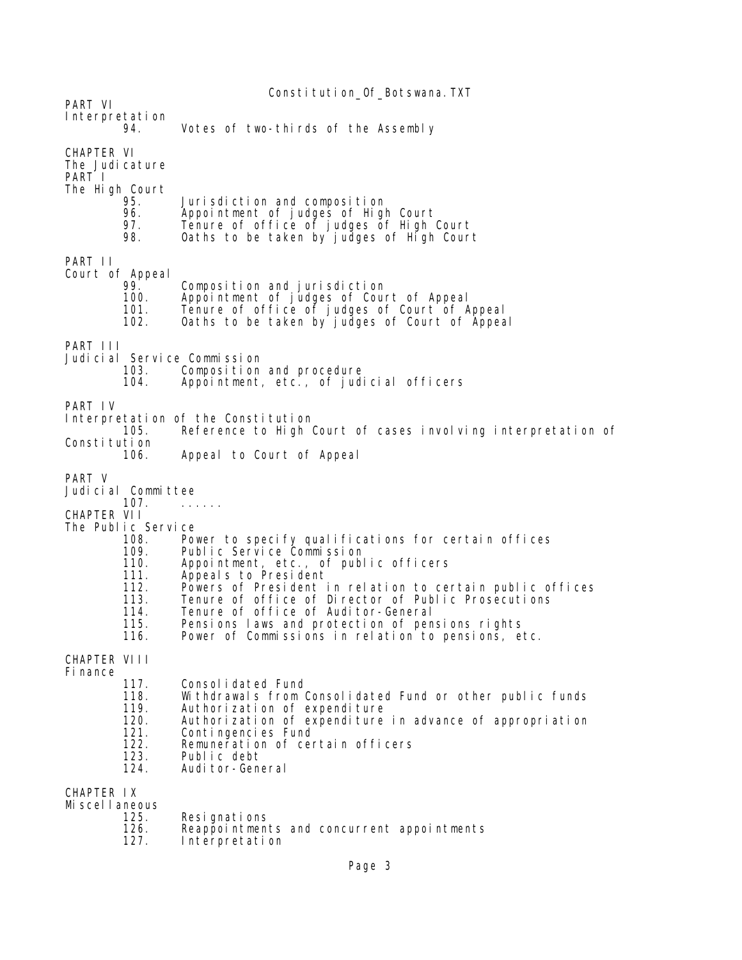107. ...... CHAPTER VII Constitution Of Botswana.TXT PART VI Interpretation Votes of two-thirds of the Assembly CHAPTER VI The Judicature PART I The High Court<br>95. 95. Jurisdiction and composition 96. Appointment of judges of High Court 97. Tenure of office of judges of High Court 0aths to be taken by judges of High Court PART II Court of Appeal 99. Composition and jurisdiction<br>100. Appointment of iudges of Cour 100. Appointment of judges of Court of Appeal Tenure of office of judges of Court of Appeal 102. Oaths to be taken by judges of Court of Appeal PART III Judicial Service Commission 103. Composition and procedure<br>104. Appointment, etc., of iud Appointment, etc., of judicial officers PART IV Interpretation of the Constitution 105. Reference to High Court of cases involving interpretation of Constitution<br>106. Appeal to Court of Appeal PART V Judicial Committee The Public Service<br>108. Po 108. Power to specify qualifications for certain offices<br>109. Public Service Commission 109. Public Service Commission 110. Appointment, etc., of public officers<br>111. Appeals to President Appeals to President 112. Powers of President in relation to certain public offices 113. Tenure of office of Director of Public Prosecutions 114. Tenure of office of Auditor-General 115. Pensions laws and protection of pensions rights 116. Power of Commissions in relation to pensions, etc. CHAPTER VIII Finance<br>117. Consol i dated Fund 118. Withdrawals from Consolidated Fund or other public funds<br>119. Authorization of expenditure 119. Authorization of expenditure<br>120. Authorization of expenditure 120. Authorization of expenditure in advance of appropriation<br>121. Contingencies Fund 121. Contingencies Fund<br>122. Remuneration of cel Remuneration of certain officers 123. Public debt<br>124. Auditor-Gen Audi tor-General CHAPTER IX Miscellaneous<br>125 125. Resignations<br>126. Reappointmen

- 126. Reappointments and concurrent appointments<br>127. Interpretation
- Interpretation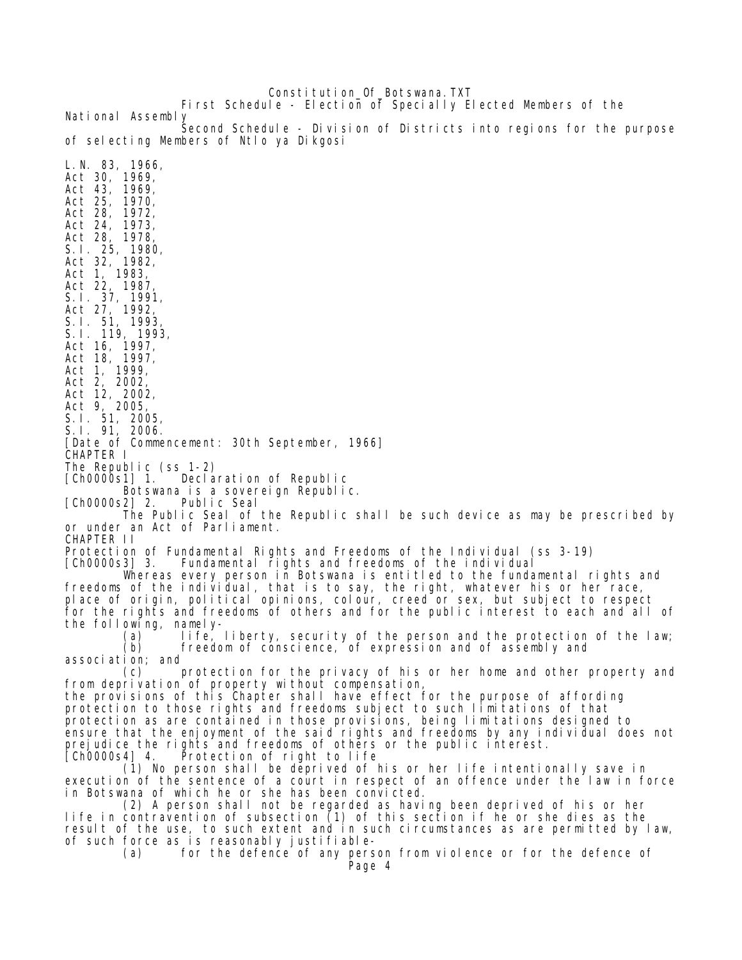(c) protection for the privacy of his or her home and other property and National Assembly Second Schedule - Division of Districts into regions for the purpose of selecting Members of Ntlo ya Dikgosi L.N. 83, 1966, Act 30, 1969, Act 43, 1969, Act 25, 1970, Act 28, 1972, Act 24, 1973, Act 28, 1978, S.I. 25, 1980, Act 32, 1982, Act 1, 1983, Act 1, 1983,<br>Act 22, 1987, S.I. 37, 1991, Act 27, 1992, S.I. 51, 1993, S.I. 119, 1993, Act 16, 1997, Act 18, 1997, Act 1, 1999, Act 2, 2002, Act 12, 2002, Act 9, 2005, S.I. 51, 2005, S.I. 91, 2006. [Date of Commencement: 30th September, 1966] CHAPTER I The Republic (ss 1–2)<br>[Ch0000s1] 1. Decla Declaration of Republic Botswana is a sovereign Republic. [Ch0000s2] 2. Public Seal The Public Seal of the Republic shall be such device as may be prescribed by or under an Act of Parliament. CHAPTER II Protection of Fundamental Rights and Freedoms of the Individual (ss 3-19)<br>[Ch0000s3] 3. Fundamental rights and freedoms of the individual Fundamental rights and freedoms of the individual Whereas every person in Botswana is entitled to the fundamental rights and freedoms of the individual, that is to say, the right, whatever his or her race, place of origin, political opinions, colour, creed or sex, but subject to respect for the rights and freedoms of others and for the public interest to each and all of the following, namely-(a) Iife, liberty, security of the person and the protection of the law;<br>(b) freedom of conscience, of expression and of assembly and freedom of conscience, of expression and of assembly and association; and from deprivation of property without compensation, the provisions of this Chapter shall have effect for the purpose of affording protection to those rights and freedoms subject to such limitations of that protection as are contained in those provisions, being limitations designed to ensure that the enjoyment of the said rights and freedoms by any individual does not prejudice the rights and freedoms of others or the public interest.<br>[Ch0000s4] 4. Protection of right to life Protection of right to life (1) No person shall be deprived of his or her life intentionally save in execution of the sentence of a court in respect of an offence under the law in force in Botswana of which he or she has been convicted. (2) A person shall not be regarded as having been deprived of his or her life in contravention of subsection (1) of this section if he or she dies as the result of the use, to such extent and in such circumstances as are permitted by law,<br>of such force as is reasonably justifiable-

Constitution Of Botswana.TXT

First Schedule - Election of Specially Elected Members of the

(a) for the defence of any person from violence or for the defence of

Page 4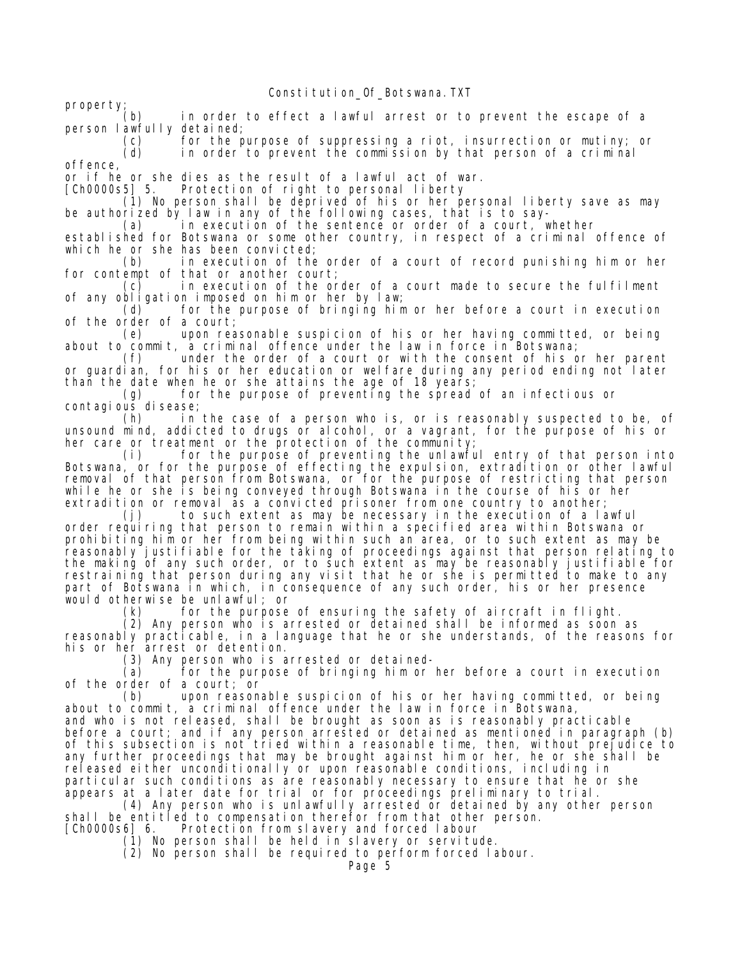property;<br>(b)

in order to effect a lawful arrest or to prevent the escape of a person lawfully detained;

(c) for the purpose of suppressing a riot, insurrection or mutiny; or (d) in order to prevent the commission by that person of a criminal

offence,

or if he or she dies as the result of a lawful act of war.<br>[Ch0000s5] 5. Protection of right to personal liberty

Protection of right to personal liberty

(1) No person shall be deprived of his or her personal liberty save as may be authorized by law in any of the following cases, that is to say-

(a) in execution of the sentence or order of a court, whether

established for Botswana or some other country, in respect of a criminal offence of which he or she has been convicted;

(b) in execution of the order of a court of record punishing him or her for contempt of that or another court;

(c) in execution of the order of a court made to secure the fulfilment of any obligation imposed on him or her by law;<br>(d) for the purpose of bringing him or her before a court in execution

of the order of a court;

(e) upon reasonable suspicion of his or her having committed, or being about to commit, a criminal offence under the law in force in Botswana;

(f) under the order of a court or with the consent of his or her parent or guardian, for his or her education or welfare during any period ending not later than the date when he or she attains the age of 18 years;

(g) for the purpose of preventing the spread of an infectious or contagious disease;<br>(h) in

in the case of a person who is, or is reasonably suspected to be, of unsound mind, addicted to drugs or alcohol, or a vagrant, for the purpose of his or her care or treatment or the protection of the community;

 (i) for the purpose of preventing the unlawful entry of that person into Botswana, or for the purpose of effecting the expulsion, extradition or other lawful removal of that person from Botswana, or for the purpose of restricting that person while he or she is being conveyed through Botswana in the course of his or her extradition or removal as a convicted prisoner from one country to another;

(j) to such extent as may be necessary in the execution of a lawful order requiring that person to remain within a specified area within Botswana or prohibiting him or her from being within such an area, or to such extent as may be reasonably justifiable for the taking of proceedings against that person relating to the making of any such order, or to such extent as may be reasonably justifiable for restraining that person during any visit that he or she is permitted to make to any part of Botswana in which, in consequence of any such order, his or her presence would otherwise be unlawful; or

for the purpose of ensuring the safety of aircraft in flight.

(2) Any person who is arrested or detained shall be informed as soon as reasonably practicable, in a language that he or she understands, of the reasons for his or her arrest or detention.

(3) Any person who is arrested or detained-

 (a) for the purpose of bringing him or her before a court in execution of the order of a court; or

(b) upon reasonable suspicion of his or her having committed, or being about to commit, a criminal offence under the law in force in Botswana,

and who is not released, shall be brought as soon as is reasonably practicable before a court; and if any person arrested or detained as mentioned in paragraph (b) of this subsection is not tried within a reasonable time, then, without prejudice to any further proceedings that may be brought against him or her, he or she shall be released either unconditionally or upon reasonable conditions, including in particular such conditions as are reasonably necessary to ensure that he or she appears at a later date for trial or for proceedings preliminary to trial.

(4) Any person who is unlawfully arrested or detained by any other person shall be entitled to compensation therefor from that other person.

[Ch0000s6] 6. Protection from slavery and forced labour

(1) No person shall be held in slavery or servitude.

(2) No person shall be required to perform forced labour.

Page 5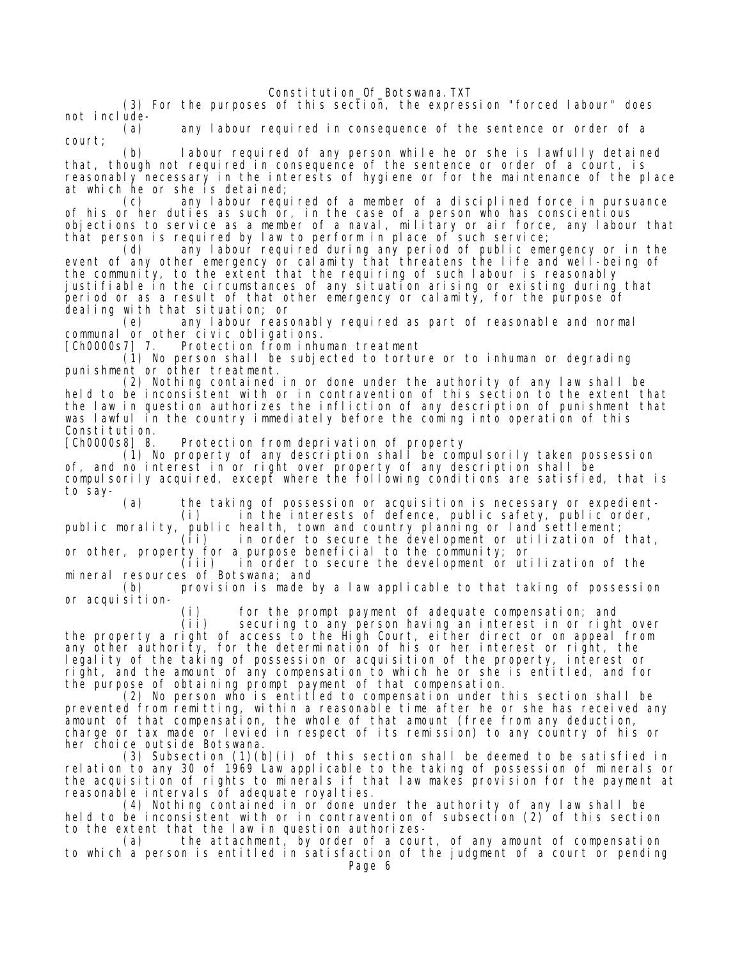(3) For the purposes of this section, the expression "forced labour" does

(a) any labour required in consequence of the sentence or order of a court;

(b) labour required of any person while he or she is lawfully detained that, though not required in consequence of the sentence or order of a court, is reasonably necessary in the interests of hygiene or for the maintenance of the place at which he or she is detained;

(c) any labour required of a member of a disciplined force in pursuance of his or her duties as such or, in the case of a person who has conscientious objections to service as a member of a naval, military or air force, any labour that that person is required by law to perform in place of such service;

(d) any labour required during any period of public emergency or in the event of any other emergency or calamity that threatens the life and well-being of the community, to the extent that the requiring of such labour is reasonably justifiable in the circumstances of any situation arising or existing during that period or as a result of that other emergency or calamity, for the purpose of dealing with that situation; or

(e) any labour reasonably required as part of reasonable and normal communal or other civic obligations.<br>[Ch0000s7] 7. Protection from inhu

Protection from inhuman treatment

(1) No person shall be subjected to torture or to inhuman or degrading punishment or other treatment.

(2) Nothing contained in or done under the authority of any law shall be held to be inconsistent with or in contravention of this section to the extent that the law in question authorizes the infliction of any description of punishment that was lawful in the country immediately before the coming into operation of this Constitution.<br>[ChOOOOs8] 8.

Protection from deprivation of property

(1) No property of any description shall be compulsorily taken possession of, and no interest in or right over property of any description shall be compulsorily acquired, except where the following conditions are satisfied, that is to say-

(a) the taking of possession or acquisition is necessary or expedient-<br>
(i) in the interests of defence, public safety, public order,

public morality, public health, town and country planning or land settlement; in order to secure the development or utilization of that, or other, property for a purpose beneficial to the community; or

in order to secure the development or utilization of the mineral resources of Botswana; and

(b) provision is made by a law applicable to that taking of possession or acquisition-

(i) for the prompt payment of adequate compensation; and<br>(ii) securing to any person having an interest in or righ securing to any person having an interest in or right over the property a right of access to the High Court, either direct or on appeal from any other authority, for the determination of his or her interest or right, the legality of the taking of possession or acquisition of the property, interest or right, and the amount of any compensation to which he or she is entitled, and for the purpose of obtaining prompt payment of that compensation.

(2) No person who is entitled to compensation under this section shall be prevented from remitting, within a reasonable time after he or she has received any amount of that compensation, the whole of that amount (free from any deduction, charge or tax made or levied in respect of its remission) to any country of his or her choice outside Botswana.

(3) Subsection  $(1)(b)(i)$  of this section shall be deemed to be satisfied in relation to any 30 of 1969 Law applicable to the taking of possession of minerals or the acquisition of rights to minerals if that law makes provision for the payment at reasonable intervals of adequate royalties.<br>(4) Nothing contained in or done under the authority of any law shall be

held to be inconsistent with or in contravention of subsection (2) of this section to the extent that the law in question authorizes-

(a) the attachment, by order of a court, of any amount of compensation to which a person is entitled in satisfaction of the judgment of a court or pending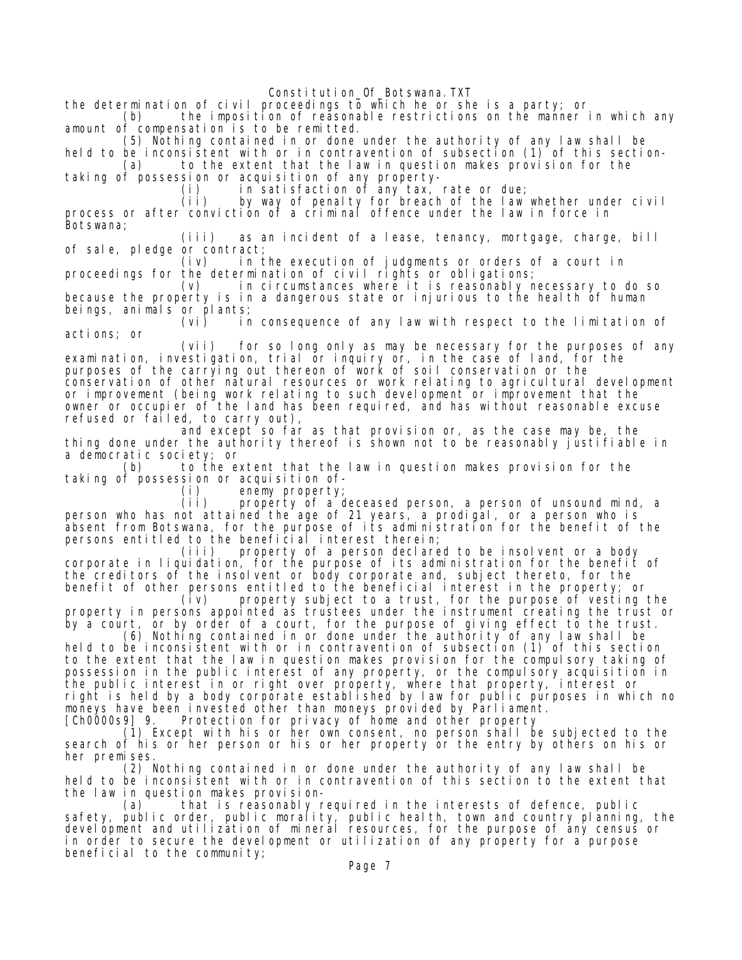Constitution\_Of\_Botswana.TXT<br>the determination of civil proceedings to which he or she is a party; or

 $(b)$  the imposition of reasonable restrictions on the manner in which any amount of compensation is to be remitted.

(5) Nothing contained in or done under the authority of any law shall be held to be inconsistent with or in contravention of subsection (1) of this section-

(a) to the extent that the law in question makes provision for the taking of possession or acquisition of any property- (i) in satisfaction of any tax, rate or due;

(ii) by way of penalty for breach of the law whether under civil process or after conviction of a criminal offence under the law in force in Botswana;

(iii) as an incident of a lease, tenancy, mortgage, charge, bill of sale, pledge or contract;

(iv) in the execution of judgments or orders of a court in proceedings for the determination of civil rights or obligations;<br>(v) in circumstances where it is reasonably n

in circumstances where it is reasonably necessary to do so because the property is in a dangerous state or injurious to the health of human beings, animals or plants;

in consequence of any law with respect to the limitation of actions; or

(vii) for so long only as may be necessary for the purposes of any examination, investigation, trial or inquiry or, in the case of land, for the purposes of the carrying out thereon of work of soil conservation or the conservation of other natural resources or work relating to agricultural development or improvement (being work relating to such development or improvement that the owner or occupier of the land has been required, and has without reasonable excuse refused or failed, to carry out),

and except so far as that provision or, as the case may be, the thing done under the authority thereof is shown not to be reasonably justifiable in

a democratic society; or<br>(b) to the e to the extent that the law in question makes provision for the taking of possession or acquisition of-

(i) enemy property;

(ii) property of a deceased person, a person of unsound mind, a person who has not attained the age of 21 years, a prodigal, or a person who is absent from Botswana, for the purpose of its administration for the benefit of the persons entitled to the beneficial interest therein;

(iii) property of a person declared to be insolvent or a body corporate in liquidation, for the purpose of its administration for the benefit of the creditors of the insolvent or body corporate and, subject thereto, for the benefit of other persons entitled to the beneficial interest in the property; or

(iv) property subject to a trust, for the purpose of vesting the property in persons appointed as trustees under the instrument creating the trust or by a court, or by order of a court, for the purpose of giving effect to the trust.

(6) Nothing contained in or done under the authority of any law shall be held to be inconsistent with or in contravention of subsection (1) of this section to the extent that the law in question makes provision for the compulsory taking of possession in the public interest of any property, or the compulsory acquisition in the public interest in or right over property, where that property, interest or right is held by a body corporate established by law for public purposes in which no moneys have been invested other than moneys provided by Parliament.

[Ch0000s9] 9. Protection for privacy of home and other property

(1) Except with his or her own consent, no person shall be subjected to the search of his or her person or his or her property or the entry by others on his or her premises.

(2) Nothing contained in or done under the authority of any law shall be held to be inconsistent with or in contravention of this section to the extent that the law in question makes provision-

 (a) that is reasonably required in the interests of defence, public safety, public order, public morality, public health, town and country planning, the development and utilization of mineral resources, for the purpose of any census or in order to secure the development or utilization of any property for a purpose beneficial to the community;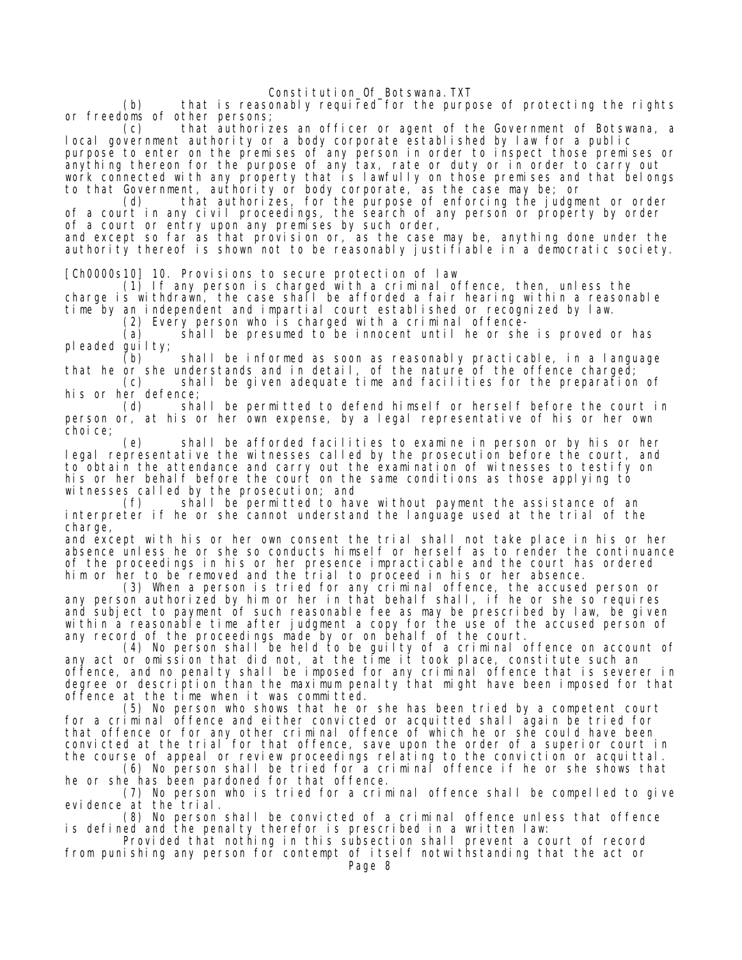(b) that is reasonably required for the purpose of protecting the rights or freedoms of other persons;

(c) that authorizes an officer or agent of the Government of Botswana, a local government authority or a body corporate established by law for a public purpose to enter on the premises of any person in order to inspect those premises or anything thereon for the purpose of any tax, rate or duty or in order to carry out work connected with any property that is lawfully on those premises and that belongs to that Government, authority or body corporate, as the case may be; or

(d) that authorizes, for the purpose of enforcing the judgment or order of a court in any civil proceedings, the search of any person or property by order of a court or entry upon any premises by such order,

and except so far as that provision or, as the case may be, anything done under the authority thereof is shown not to be reasonably justifiable in a democratic society.

[Ch0000s10] 10. Provisions to secure protection of law

(1) If any person is charged with a criminal offence, then, unless the charge is withdrawn, the case shall be afforded a fair hearing within a reasonable time by an independent and impartial court established or recognized by law.

(2) Every person who is charged with a criminal offence-

 $\delta$   $\delta$  shall be presumed to be innocent until he or she is proved or has pleaded guilty;

(b) shall be informed as soon as reasonably practicable, in a language that he or she understands and in detail, of the nature of the offence charged; (c) shall be given adequate time and facilities for the preparation of

his or her defence;<br>d) sha

shall be permitted to defend himself or herself before the court in person or, at his or her own expense, by a legal representative of his or her own choi ce;

(e) shall be afforded facilities to examine in person or by his or her legal representative the witnesses called by the prosecution before the court, and to obtain the attendance and carry out the examination of witnesses to testify on his or her behalf before the court on the same conditions as those applying to witnesses called by the prosecution; and<br>  $(f)$  shall be permitted to hav

shall be permitted to have without payment the assistance of an interpreter if he or she cannot understand the language used at the trial of the charge,

and except with his or her own consent the trial shall not take place in his or her absence unless he or she so conducts himself or herself as to render the continuance of the proceedings in his or her presence impracticable and the court has ordered him or her to be removed and the trial to proceed in his or her absence.

(3) When a person is tried for any criminal offence, the accused person or any person authorized by him or her in that behalf shall, if he or she so requires and subject to payment of such reasonable fee as may be prescribed by law, be given within a reasonable time after judgment a copy for the use of the accused person of any record of the proceedings made by or on behalf of the court.

(4) No person shall be held to be guilty of a criminal offence on account of any act or omission that did not, at the time it took place, constitute such an offence, and no penalty shall be imposed for any criminal offence that is severer in degree or description than the maximum penalty that might have been imposed for that offence at the time when it was committed.

(5) No person who shows that he or she has been tried by a competent court for a criminal offence and either convicted or acquitted shall again be tried for that offence or for any other criminal offence of which he or she could have been convicted at the trial for that offence, save upon the order of a superior court in the course of appeal or review proceedings relating to the conviction or acquittal.

(6) No person shall be tried for a criminal offence if he or she shows that he or she has been pardoned for that offence.

(7) No person who is tried for a criminal offence shall be compelled to give evidence at the trial.

(8) No person shall be convicted of a criminal offence unless that offence is defined and the penalty therefor is prescribed in a written law:

Provided that nothing in this subsection shall prevent a court of record from punishing any person for contempt of itself notwithstanding that the act or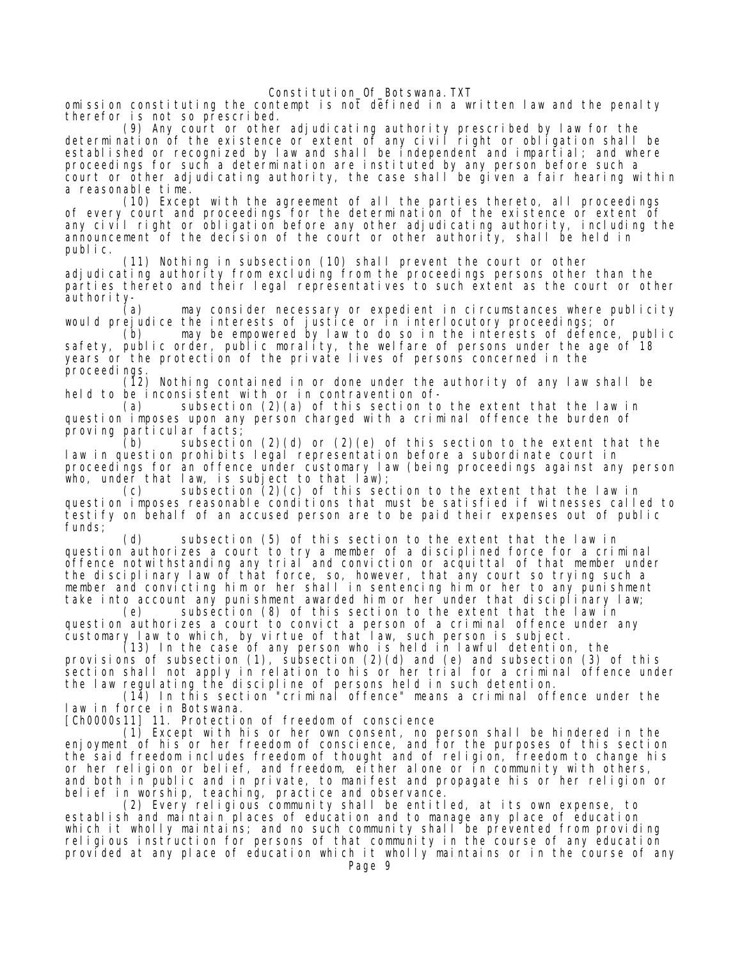omission constituting the contempt is not defined in a written law and the penalty therefor is not so prescribed.

(9) Any court or other adjudicating authority prescribed by law for the determination of the existence or extent of any civil right or obligation shall be established or recognized by law and shall be independent and impartial; and where proceedings for such a determination are instituted by any person before such a court or other adjudicating authority, the case shall be given a fair hearing within a reasonable time.

(10) Except with the agreement of all the parties thereto, all proceedings of every court and proceedings for the determination of the existence or extent of any civil right or obligation before any other adjudicating authority, including the announcement of the decision of the court or other authority, shall be held in public.

(11) Nothing in subsection (10) shall prevent the court or other adjudicating authority from excluding from the proceedings persons other than the parties thereto and their legal representatives to such extent as the court or other authority-

(a) may consider necessary or expedient in circumstances where publicity would prejudice the interests of justice or in interlocutory proceedings; or

(b) may be empowered by law to do so in the interests of defence, public safety, public order, public morality, the welfare of persons under the age of 18 years or the protection of the private lives of persons concerned in the proceedings.

(12) Nothing contained in or done under the authority of any law shall be held to be inconsistent with or in contravention of-

(a) subsection (2)(a) of this section to the extent that the law in question imposes upon any person charged with a criminal offence the burden of proving particular facts;

(b) subsection (2)(d) or (2)(e) of this section to the extent that the law in question prohibits legal representation before a subordinate court in proceedings for an offence under customary law (being proceedings against any person who, under that law, is subject to that law);  $\;$ 

(c) subsection (2)(c) of this section to the extent that the law in question imposes reasonable conditions that must be satisfied if witnesses called to testify on behalf of an accused person are to be paid their expenses out of public funds;

(d) subsection (5) of this section to the extent that the law in question authorizes a court to try a member of a disciplined force for a criminal offence notwithstanding any trial and conviction or acquittal of that member under the disciplinary law of that force, so, however, that any court so trying such a member and convicting him or her shall in sentencing him or her to any punishment take into account any punishment awarded him or her under that disciplinary law;

(e) subsection (8) of this section to the extent that the law in question authorizes a court to convict a person of a criminal offence under any customary law to which, by virtue of that law, such person is subject.

(13) In the case of any person who is held in lawful detention, the provisions of subsection (1), subsection (2)(d) and (e) and subsection (3) of this section shall not apply in relation to his or her trial for a criminal offence under the law regulating the discipline of persons held in such detention.

(14) In this section "criminal offence" means a criminal offence under the law in force in Botswana.

[Ch0000s11] 11. Protection of freedom of conscience

(1) Except with his or her own consent, no person shall be hindered in the enjoyment of his or her freedom of conscience, and for the purposes of this section the said freedom includes freedom of thought and of religion, freedom to change his or her religion or belief, and freedom, either alone or in community with others, and both in public and in private, to manifest and propagate his or her religion or belief in worship, teaching, practice and observance.

(2) Every religious community shall be entitled, at its own expense, to establish and maintain places of education and to manage any place of education which it wholly maintains; and no such community shall be prevented from providing religious instruction for persons of that community in the course of any education provided at any place of education which it wholly maintains or in the course of any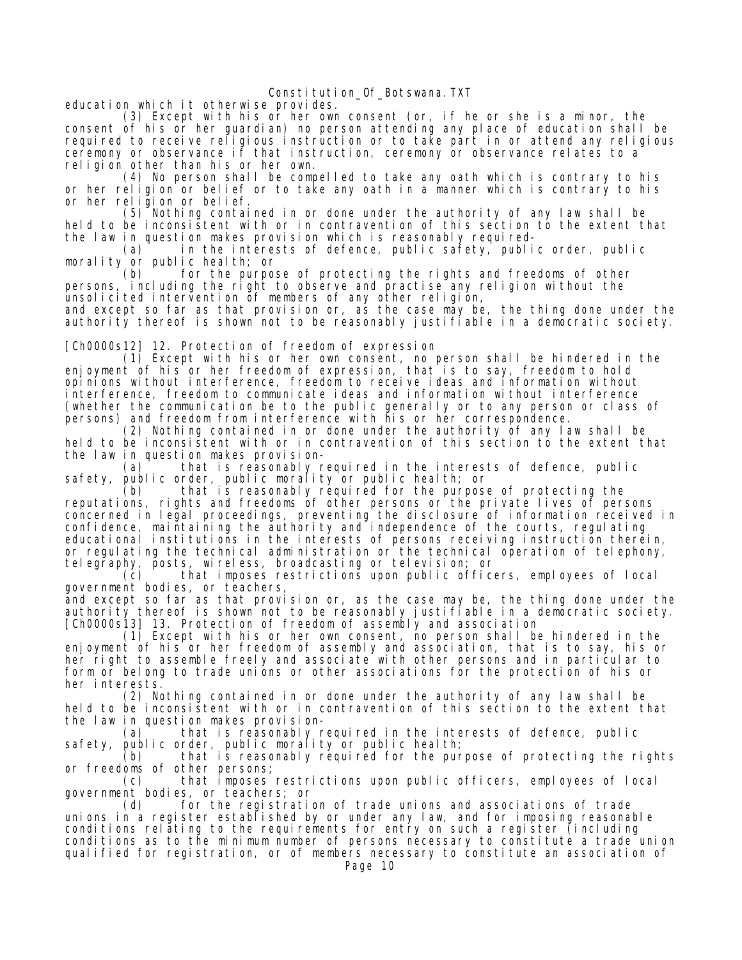education which it otherwise provides.

(3) Except with his or her own consent (or, if he or she is a minor, the consent of his or her guardian) no person attending any place of education shall be required to receive religious instruction or to take part in or attend any religious ceremony or observance if that instruction, ceremony or observance relates to a religion other than his or her own.

(4) No person shall be compelled to take any oath which is contrary to his or her religion or belief or to take any oath in a manner which is contrary to his or her religion or belief.

 $(5)$  Nothing contained in or done under the authority of any law shall be held to be inconsistent with or in contravention of this section to the extent that<br>the law in question makes provision which is reasonably required-

(a) in the interests of defence, public safety, public order, public morality or public health; or

(b)  $\overline{\phantom{a}}$  for the purpose of protecting the rights and freedoms of other persons, including the right to observe and practise any religion without the unsolicited intervention of members of any other religion,

and except so far as that provision or, as the case may be, the thing done under the authority thereof is shown not to be reasonably justifiable in a democratic society.

[Ch0000s12] 12. Protection of freedom of expression

(1) Except with his or her own consent, no person shall be hindered in the enjoyment of his or her freedom of expression, that is to say, freedom to hold opinions without interference, freedom to receive ideas and information without interference, freedom to communicate ideas and information without interference (whether the communication be to the public generally or to any person or class of persons) and freedom from interference with his or her correspondence.

(2) Nothing contained in or done under the authority of any law shall be held to be inconsistent with or in contravention of this section to the extent that the law in question makes provision-

(a) that is reasonably required in the interests of defence, public safety, public order, public morality or public health; or

(b) that is reasonably required for the purpose of protecting the reputations, rights and freedoms of other persons or the private lives of persons concerned in legal proceedings, preventing the disclosure of information received in confidence, maintaining the authority and independence of the courts, regulating educational institutions in the interests of persons receiving instruction therein, or regulating the technical administration or the technical operation of telephony, telegraphy, posts, wireless, broadcasting or television; or

 (c) that imposes restrictions upon public officers, employees of local government bodies, or teachers,

and except so far as that provision or, as the case may be, the thing done under the authority thereof is shown not to be reasonably justifiable in a democratic society. [Ch0000s13] 13. Protection of freedom of assembly and association

(1) Except with his or her own consent, no person shall be hindered in the enjoyment of his or her freedom of assembly and association, that is to say, his or her right to assemble freely and associate with other persons and in particular to form or belong to trade unions or other associations for the protection of his or her interests.

(2) Nothing contained in or done under the authority of any law shall be held to be inconsistent with or in contravention of this section to the extent that the law in question makes provision-

(a) that is reasonably required in the interests of defence, public safety, public order, public morality or public health;

(b) that is reasonably required for the purpose of protecting the rights or freedoms of other persons;

(c) that imposes restrictions upon public officers, employees of local government bodies, or teachers; or

for the registration of trade unions and associations of trade unions in a register established by or under any law, and for imposing reasonable conditions relating to the requirements for entry on such a register (including conditions as to the minimum number of persons necessary to constitute a trade union qualified for registration, or of members necessary to constitute an association of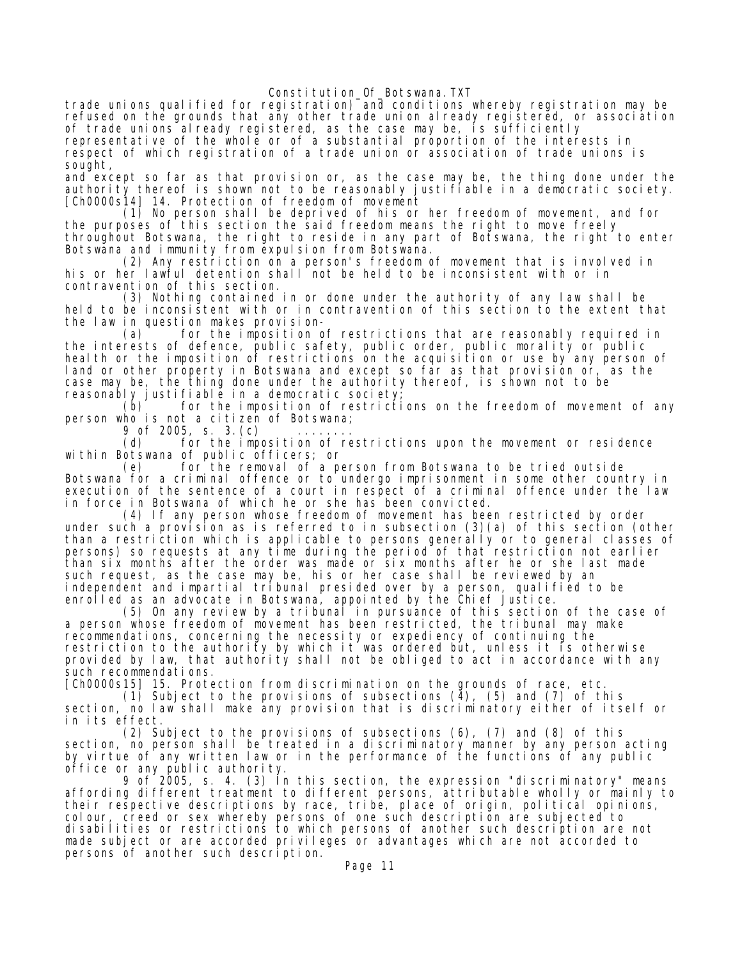trade unions qualified for registration) and conditions whereby registration may be refused on the grounds that any other trade union already registered, or association of trade unions al ready registered, as the case may be, is sufficiently representative of the whole or of a substantial proportion of the interests in

respect of which registration of a trade union or association of trade unions is sought,

and except so far as that provision or, as the case may be, the thing done under the authority thereof is shown not to be reasonably justifiable in a democratic society. [Ch0000s14] 14. Protection of freedom of movement

(1) No person shall be deprived of his or her freedom of movement, and for the purposes of this section the said freedom means the right to move freely throughout Botswana, the right to reside in any part of Botswana, the right to enter Botswana and immunity from expulsion from Botswana.

(2) Any restriction on a person's freedom of movement that is involved in his or her lawful detention shall not be held to be inconsistent with or in contravention of this section.

(3) Nothing contained in or done under the authority of any law shall be held to be inconsistent with or in contravention of this section to the extent that the law in question makes provision-

(a) for the imposition of restrictions that are reasonably required in the interests of defence, public safety, public order, public morality or public health or the imposition of restrictions on the acquisition or use by any person of land or other property in Botswana and except so far as that provision or, as the case may be, the thing done under the authority thereof, is shown not to be reasonably justifiable in a democratic society;<br>(b) for the imposition of restricti

for the imposition of restrictions on the freedom of movement of any person who is not a citizen of Botswana;

9 of 2005, s. 3. (c)

(d) for the imposition of restrictions upon the movement or residence within Botswana of public officers; or

(e) for the removal of a person from Botswana to be tried outside Botswana for a criminal offence or to undergo imprisonment in some other country in execution of the sentence of a court in respect of a criminal offence under the law in force in Botswana of which he or she has been convicted.

(4) If any person whose freedom of movement has been restricted by order under such a provision as is referred to in subsection (3)(a) of this section (other than a restriction which is applicable to persons generally or to general classes of persons) so requests at any time during the period of that restriction not earlier than six months after the order was made or six months after he or she last made such request, as the case may be, his or her case shall be reviewed by an independent and impartial tribunal presided over by a person, qualified to be enrolled as an advocate in Botswana, appointed by the Chief Justice.

(5) On any review by a tribunal in pursuance of this section of the case of a person whose freedom of movement has been restricted, the tribunal may make recommendations, concerning the necessity or expediency of continuing the restriction to the authority by which it was ordered but, unless it is otherwise provided by law, that authority shall not be obliged to act in accordance with any such recommendations.

[Ch0000s15] 15. Protection from discrimination on the grounds of race, etc.

(1) Subject to the provisions of subsections  $(\overline{4})$ , (5) and (7) of this section, no law shall make any provision that is discriminatory either of itself or in its effect.

(2) Subject to the provisions of subsections  $(6)$ ,  $(7)$  and  $(8)$  of this section, no person shall be treated in a discriminatory manner by any person acting by virtue of any written law or in the performance of the functions of any public office or any public authority.

9 of 2005, s. 4. (3) In this section, the expression "discriminatory" means affording different treatment to different persons, attributable wholly or mainly to their respective descriptions by race, tribe, place of origin, political opinions, colour, creed or sex whereby persons of one such description are subjected to disabilities or restrictions to which persons of another such description are not made subject or are accorded privileges or advantages which are not accorded to persons of another such description.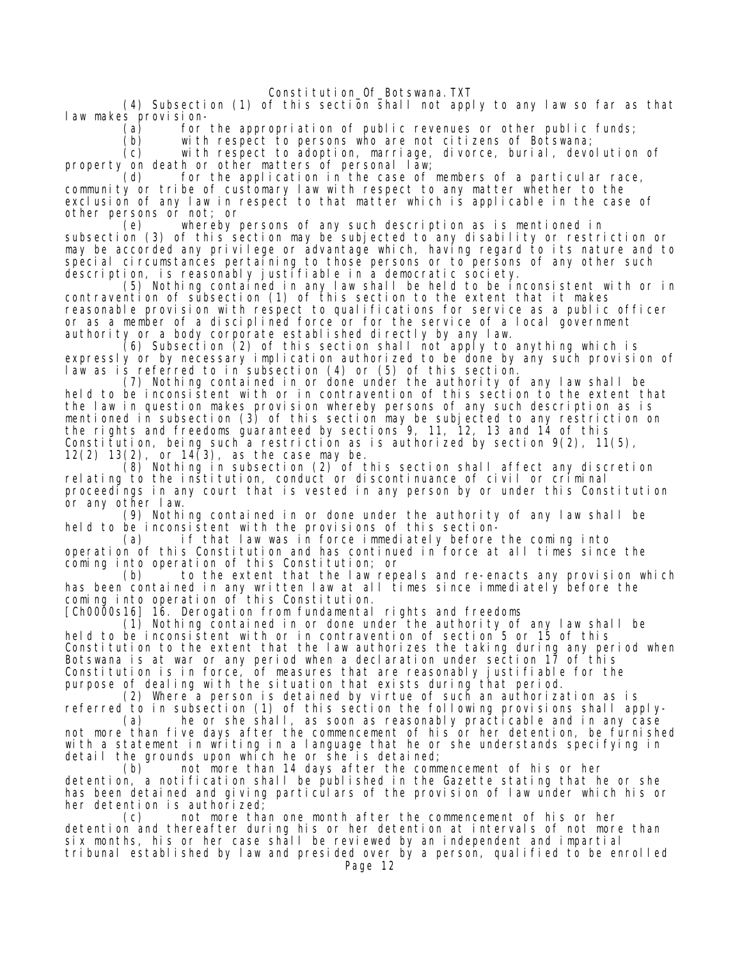(4) Subsection (1) of this section shall not apply to any law so far as that

law makes provision-<br>(a) for the appropriation of public revenues or other public funds;<br>(b) with respect to persons who are not citizens of Botswana;

(b) with respect to persons who are not citizens of Botswana;

(c) with respect to adoption, marriage, divorce, burial, devolution of property on death or other matters of personal law;<br>(d) for the application in the case of

for the application in the case of members of a particular race, community or tribe of customary law with respect to any matter whether to the exclusion of any law in respect to that matter which is applicable in the case of other persons or not; or

(e) whereby persons of any such description as is mentioned in subsection (3) of this section may be subjected to any disability or restriction or may be accorded any privilege or advantage which, having regard to its nature and to special circumstances pertaining to those persons or to persons of any other such description, is reasonably justifiable in a democratic society.

(5) Nothing contained in any law shall be held to be inconsistent with or in contravention of subsection (1) of this section to the extent that it makes reasonable provision with respect to qualifications for service as a public officer or as a member of a disciplined force or for the service of a local government authority or a body corporate established directly by any law.

(6) Subsection (2) of this section shall not apply to anything which is expressly or by necessary implication authorized to be done by any such provision of law as is referred to in subsection (4) or (5) of this section.

(7) Nothing contained in or done under the authority of any law shall be held to be inconsistent with or in contravention of this section to the extent that the law in question makes provision whereby persons of any such description as is mentioned in subsection (3) of this section may be subjected to any restriction on the rights and freedoms guaranteed by sections 9, 11, 12, 13 and 14 of this Constitution, being such a restriction as is authorized by section 9(2), 11(5), 12(2) 13(2), or 14(3), as the case may be.

(8) Nothing in subsection (2) of this section shall affect any discretion relating to the institution, conduct or discontinuance of civil or criminal proceedings in any court that is vested in any person by or under this Constitution or any other law.

(9) Nothing contained in or done under the authority of any law shall be held to be inconsistent with the provisions of this section-

(a) if that law was in force immediately before the coming into operation of this Constitution and has continued in force at all times since the coming into operation of this Constitution; or

 (b) to the extent that the law repeals and re-enacts any provision which has been contained in any written law at all times since immediately before the coming into operation of this Constitution.

[Ch0000s16] 16. Derogation from fundamental rights and freedoms

(1) Nothing contained in or done under the authority of any law shall be held to be inconsistent with or in contravention of section 5 or 15 of this Constitution to the extent that the law authorizes the taking during any period when Botswana is at war or any period when a declaration under section 17 of this Constitution is in force, of measures that are reasonably justifiable for the purpose of dealing with the situation that exists during that period.

referred to in subsection (1) of this section the following provisions shall apply-<br>(a) he or she shall, as soon as reasonably practicable and in any case (2) Where a person is detained by virtue of such an authorization as is

not more than five days after the commencement of his or her detention, be furnished with a statement in writing in a language that he or she understands specifying in detail the grounds upon which he or she is detained;

(b) not more than 14 days after the commencement of his or her detention, a notification shall be published in the Gazette stating that he or she has been detained and giving particulars of the provision of law under which his or her detention is authorized;

(c) not more than one month after the commencement of his or her detention and thereafter during his or her detention at intervals of not more than six months, his or her case shall be reviewed by an independent and impartial tribunal established by law and presided over by a person, qualified to be enrolled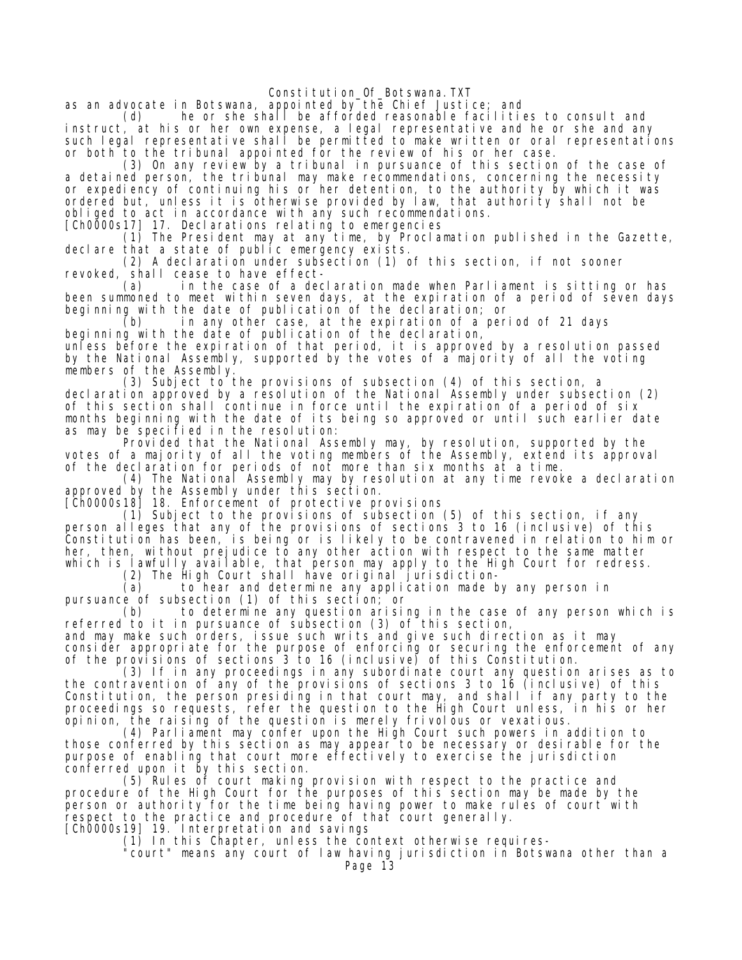as an advocate in Botswana, appointed by the Chief Justice; and

(d) he or she shall be afforded reasonable facilities to consult and instruct, at his or her own expense, a legal representative and he or she and any such legal representative shall be permitted to make written or oral representations or both to the tribunal appointed for the review of his or her case.

(3) On any review by a tribunal in pursuance of this section of the case of a detained person, the tribunal may make recommendations, concerning the necessity or expediency of continuing his or her detention, to the authority by which it was ordered but, unless it is otherwise provided by law, that authority shall not be obliged to act in accordance with any such recommendations.

[Ch0000s17] 17. Declarations relating to emergencies

(1) The President may at any time, by Proclamation published in the Gazette, declare that a state of public emergency exists.

(2) A declaration under subsection (1) of this section, if not sooner revoked, shall cease to have effect-

(a) in the case of a declaration made when Parliament is sitting or has been summoned to meet within seven days, at the expiration of a period of seven days beginning with the date of publication of the declaration; or

 (b) in any other case, at the expiration of a period of 21 days beginning with the date of publication of the declaration,

unless before the expiration of that period, it is approved by a resolution passed by the National Assembly, supported by the votes of a majority of all the voting members of the Assembly.

(3) Subject to the provisions of subsection (4) of this section, a declaration approved by a resolution of the National Assembly under subsection (2) of this section shall continue in force until the expiration of a period of six months beginning with the date of its being so approved or until such earlier date as may be specified in the resolution:

Provided that the National Assembly may, by resolution, supported by the votes of a majority of all the voting members of the Assembly, extend its approval of the declaration for periods of not more than six months at a time.

(4) The National Assembly may by resolution at any time revoke a declaration approved by the Assembly under this section.

[Ch0000s18] 18. Enforcement of protective provisions

(1) Subject to the provisions of subsection (5) of this section, if any person alleges that any of the provisions of sections 3 to 16 (inclusive) of this Constitution has been, is being or is likely to be contravened in relation to him or her, then, without prejudice to any other action with respect to the same matter which is lawfully available, that person may apply to the High Court for redress.

(2) The High Court shall have original jurisdiction-

(a) to hear and determine any application made by any person in pursuance of subsection (1) of this section; or

(b) to determine any question arising in the case of any person which is referred to it in pursuance of subsection (3) of this section,

and may make such orders, issue such writs and give such direction as it may consider appropriate for the purpose of enforcing or securing the enforcement of any of the provisions of sections 3 to 16 (inclusive) of this Constitution.

(3) If in any proceedings in any subordinate court any question arises as to the contravention of any of the provisions of sections 3 to 16 (inclusive) of this Constitution, the person presiding in that court may, and shall if any party to the proceedings so requests, refer the question to the High Court unless, in his or her opinion, the raising of the question is merely frivolous or vexatious.

(4) Parliament may confer upon the High Court such powers in addition to those conferred by this section as may appear to be necessary or desirable for the purpose of enabling that court more effectively to exercise the jurisdiction conferred upon it by this section.

(5) Rules of court making provision with respect to the practice and procedure of the High Court for the purposes of this section may be made by the person or authority for the time being having power to make rules of court with respect to the practice and procedure of that court generally.

[Ch0000s19] 19. Interpretation and savings

(1) In this Chapter, unless the context otherwise requires- "court" means any court of law having jurisdiction in Botswana other than a Page 13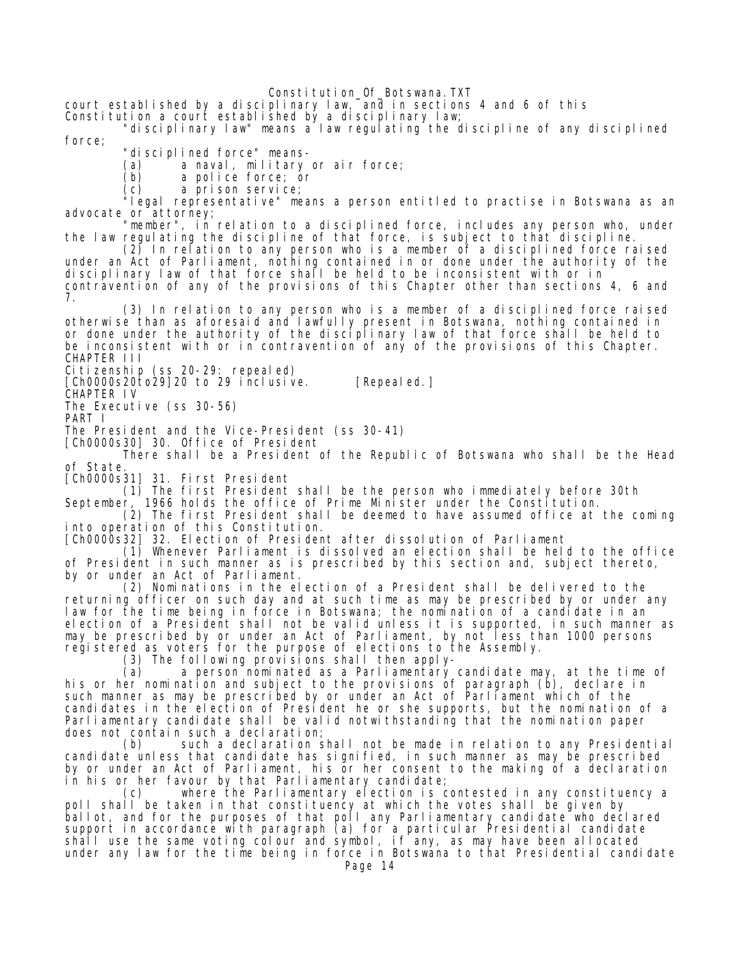court established by a disciplinary law, and in sections 4 and 6 of this

Constitution a court established by a disciplinary law;

"disciplinary law" means a law regulating the discipline of any disciplined force;

"disciplined force" means-

(a) a naval, military or air force;<br>(b) a police force; or

a police force; or

(c) a prison service;

"legal representative" means a person entitled to practise in Botswana as an advocate or attorney;

"member", in relation to a disciplined force, includes any person who, under<br>the law regulating the discipline of that force, is subject to that discipline.

the law regulating the discipline of that force, is subject to that discipline.<br>(2) In relation to any person who is a member of a disciplined force raised under an Act of Parliament, nothing contained in or done under the authority of the disciplinary law of that force shall be held to be inconsistent with or in contravention of any of the provisions of this Chapter other than sections 4, 6 and

7. (3) In relation to any person who is a member of a disciplined force raised otherwise than as aforesaid and lawfully present in Botswana, nothing contained in or done under the authority of the disciplinary law of that force shall be held to be inconsistent with or in contravention of any of the provisions of this Chapter. CHAPTER III

Citizenship (ss 20-29: repealed)

 $[Ch0000s20t029]20$  to 29 inclusive. [Repealed.]

CHAPTER IV

The Executive (ss 30-56)

PART I

The President and the Vice-President (ss 30-41)

[Ch0000s30] 30. Office of President

There shall be a President of the Republic of Botswana who shall be the Head of State.

[Ch0000s31] 31. First President

(1) The first President shall be the person who immediately before 30th September, 1966 holds the office of Prime Minister under the Constitution.

(2) The first President shall be deemed to have assumed office at the coming into operation of this Constitution.

[Ch0000s32] 32. Election of President after dissolution of Parliament

(1) Whenever Parliament is dissolved an election shall be held to the office of President in such manner as is prescribed by this section and, subject thereto, by or under an Act of Parliament.

(2) Nominations in the election of a President shall be delivered to the returning officer on such day and at such time as may be prescribed by or under any law for the time being in force in Botswana; the nomination of a candidate in an election of a President shall not be valid unless it is supported, in such manner as may be prescribed by or under an Act of Parliament, by not less than 1000 persons registered as voters for the purpose of elections to the Assembly.

(3) The following provisions shall then apply-

 (a) a person nominated as a Parliamentary candidate may, at the time of his or her nomination and subject to the provisions of paragraph (b), declare in such manner as may be prescribed by or under an Act of Parliament which of the candidates in the election of President he or she supports, but the nomination of a Parliamentary candidate shall be valid notwithstanding that the nomination paper does not contain such a declaration;<br>(b) such a declaration s

such a declaration shall not be made in relation to any Presidential candidate unless that candidate has signified, in such manner as may be prescribed by or under an Act of Parliament, his or her consent to the making of a declaration in his or her favour by that Parliamentary candidate;

 (c) where the Parliamentary election is contested in any constituency a poll shall be taken in that constituency at which the votes shall be given by ballot, and for the purposes of that poll any Parliamentary candidate who declared support in accordance with paragraph (a) for a particular Presidential candidate shall use the same voting colour and symbol, if any, as may have been allocated under any law for the time being in force in Botswana to that Presidential candidate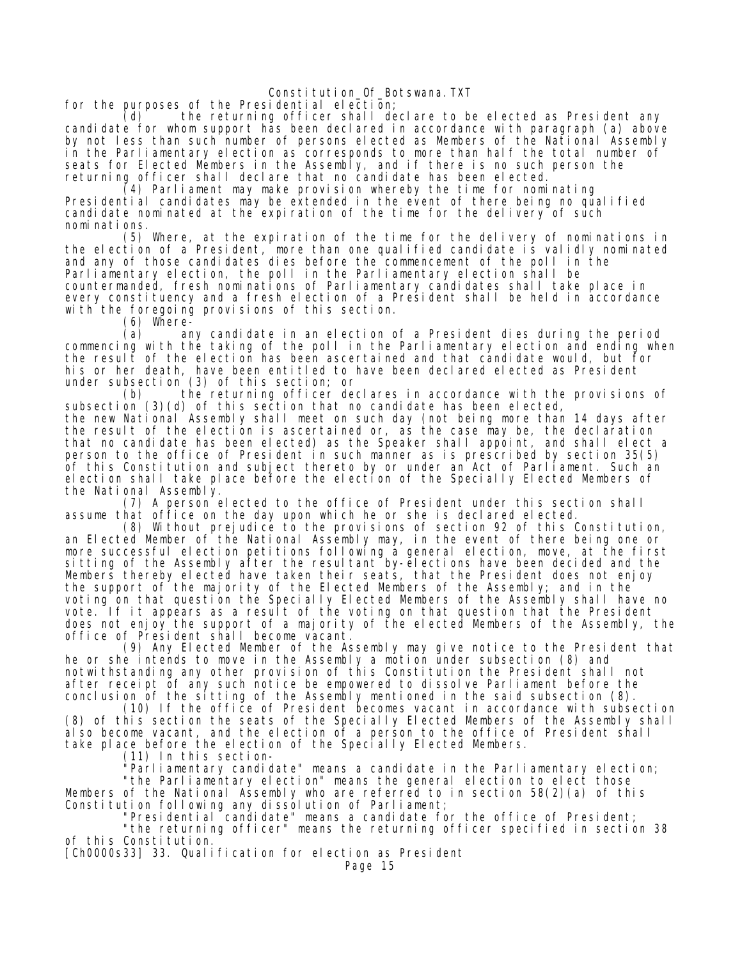for the purposes of the Presidential election;

(d) the returning officer shall declare to be elected as President any candidate for whom support has been declared in accordance with paragraph (a) above by not less than such number of persons elected as Members of the National Assembly in the Parliamentary election as corresponds to more than half the total number of seats for Elected Members in the Assembly, and if there is no such person the returning officer shall declare that no candidate has been elected. (4) Parliament may make provision whereby the time for nominating

Presidential candidates may be extended in the event of there being no qualified candidate nominated at the expiration of the time for the delivery of such nominations.

(5) Where, at the expiration of the time for the delivery of nominations in the election of a President, more than one qualified candidate is validly nominated and any of those candidates dies before the commencement of the poll in the Parliamentary election, the poll in the Parliamentary election shall be countermanded, fresh nominations of Parliamentary candidates shall take place in every constituency and a fresh election of a President shall be held in accordance with the foregoing provisions of this section.

(6) Where-

(a) any candidate in an election of a President dies during the period commencing with the taking of the poll in the Parliamentary election and ending when the result of the election has been ascertained and that candidate would, but for his or her death, have been entitled to have been declared elected as President under subsection (3) of this section; or

(b) the returning officer declares in accordance with the provisions of subsection (3)(d) of this section that no candidate has been elected, the new National Assembly shall meet on such day (not being more than 14 days after the result of the election is ascertained or, as the case may be, the declaration that no candidate has been elected) as the Speaker shall appoint, and shall elect a person to the office of President in such manner as is prescribed by section 35(5) of this Constitution and subject thereto by or under an Act of Parliament. Such an election shall take place before the election of the Specially Elected Members of the National Assembly.

(7) A person elected to the office of President under this section shall assume that office on the day upon which he or she is declared elected.

(8) Without prejudice to the provisions of section 92 of this Constitution, an Elected Member of the National Assembly may, in the event of there being one or more successful election petitions following a general election, move, at the first sitting of the Assembly after the resultant by-elections have been decided and the Members thereby elected have taken their seats, that the President does not enjoy the support of the majority of the Elected Members of the Assembly; and in the voting on that question the Specially Elected Members of the Assembly shall have no vote. If it appears as a result of the voting on that question that the President does not enjoy the support of a majority of the elected Members of the Assembly, the office of President shall become vacant.

(9) Any Elected Member of the Assembly may give notice to the President that he or she intends to move in the Assembly a motion under subsection (8) and notwithstanding any other provision of this Constitution the President shall not after receipt of any such notice be empowered to dissolve Parliament before the conclusion of the sitting of the Assembly mentioned in the said subsection (8).

(10) If the office of President becomes vacant in accordance with subsection (8) of this section the seats of the Specially Elected Members of the Assembly shall also become vacant, and the election of a person to the office of President shall take place before the election of the Specially Elected Members.

(11) In this section-

"Parliamentary candidate" means a candidate in the Parliamentary election;<br>"the Parliamentary election" means the general election to elect those

"the Parliamentary election" means the general election to elect those Members of the National Assembly who are referred to in section 58(2)(a) of this Constitution following any dissolution of Parliament;

"Presidential candidate" means a candidate for the office of President;

"the returning officer" means the returning officer specified in section 38 of this Constitution.

[Ch0000s33] 33. Qualification for election as President

Page 15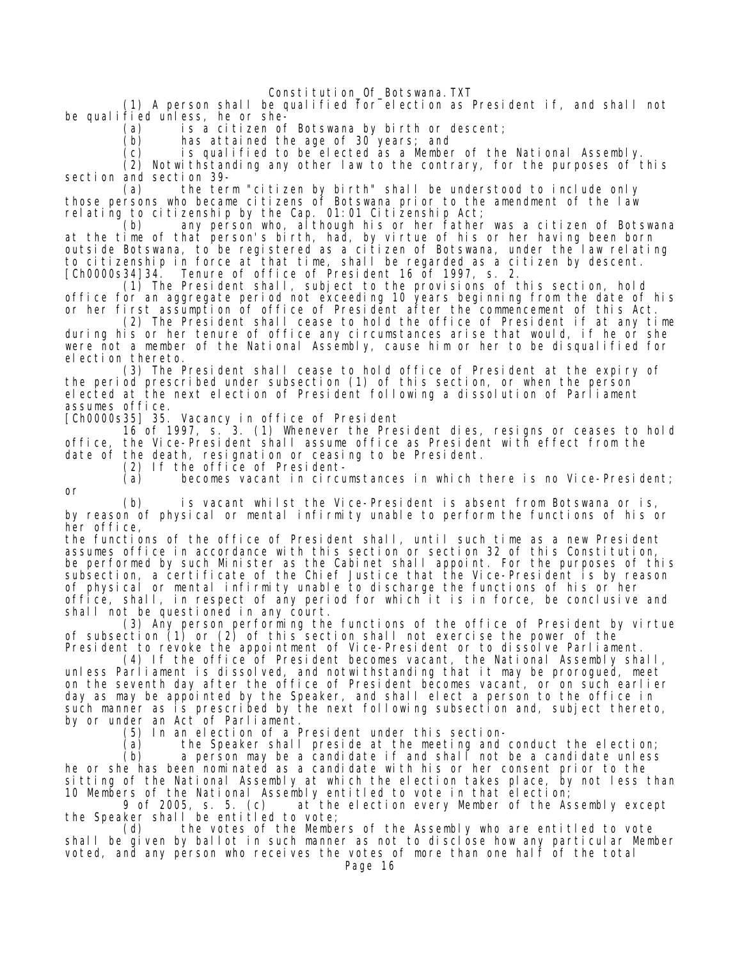(1) A person shall be qualified for election as President if, and shall not be qualified unless, he or she-<br>(a) is a citizen of Botswana by birth or descent;<br>(b) has attained the age of 30 years; and

(b) has attained the age of 30 years; and (c) is qualified to be elected as a Member of the National Assembly.

 $(2)$  Notwithstanding any other law to the contrary, for the purposes of this section and section 39-

(a) the term "citizen by birth" shall be understood to include only those persons who became citizens of Botswana prior to the amendment of the law relating to citizenship by the Cap. 01:01 Citizenship Act;

 (b) any person who, although his or her father was a citizen of Botswana at the time of that person's birth, had, by virtue of his or her having been born outside Botswana, to be registered as a citizen of Botswana, under the law relating to citizenship in force at that time, shall be regarded as a citizen by descent. [Ch0000s34]34. Tenure of office of President 16 of 1997, s. 2.

(1) The President shall, subject to the provisions of this section, hold office for an aggregate period not exceeding 10 years beginning from the date of his or her first assumption of office of President after the commencement of this Act.

(2) The President shall cease to hold the office of President if at any time during his or her tenure of office any circumstances arise that would, if he or she were not a member of the National Assembly, cause him or her to be disqualified for election thereto.

(3) The President shall cease to hold office of President at the expiry of the period prescribed under subsection (1) of this section, or when the person elected at the next election of President following a dissolution of Parliament assumes office.

[Ch0000s35] 35. Vacancy in office of President

16 of 1997, s. 3. (1) Whenever the President dies, resigns or ceases to hold office, the Vice-President shall assume office as President with effect from the date of the death, resignation or ceasing to be President.

 $(2)$  If the office of President-<br>(a) becomes vacant in circu

or

becomes vacant in circumstances in which there is no Vice-President; (b) is vacant whilst the Vice-President is absent from Botswana or is,

by reason of physical or mental infirmity unable to perform the functions of his or her office,

the functions of the office of President shall, until such time as a new President assumes office in accordance with this section or section 32 of this Constitution, be performed by such Minister as the Cabinet shall appoint. For the purposes of this subsection, a certificate of the Chief Justice that the Vice-President is by reason of physical or mental infirmity unable to discharge the functions of his or her office, shall, in respect of any period for which it is in force, be conclusive and shall not be questioned in any court.

(3) Any person performing the functions of the office of President by virtue of subsection (1) or (2) of this section shall not exercise the power of the President to revoke the appointment of Vice-President or to dissolve Parliament.

(4) If the office of President becomes vacant, the National Assembly shall, unless Parliament is dissolved, and notwithstanding that it may be prorogued, meet on the seventh day after the office of President becomes vacant, or on such earlier day as may be appointed by the Speaker, and shall elect a person to the office in such manner as is prescribed by the next following subsection and, subject thereto, by or under an Act of Parliament.

(5) In an election of a President under this section-

 (a) the Speaker shall preside at the meeting and conduct the election; (b) a person may be a candidate if and shall not be a candidate unless he or she has been nominated as a candidate with his or her consent prior to the sitting of the National Assembly at which the election takes place, by not less than 10 Members of the National Assembly entitled to vote in that election;

9 of 2005, s. 5. (c) at the election every Member of the Assembly except the Speaker shall be entitled to vote;

(d) the votes of the Members of the Assembly who are entitled to vote shall be given by ballot in such manner as not to disclose how any particular Member voted, and any person who receives the votes of more than one half of the total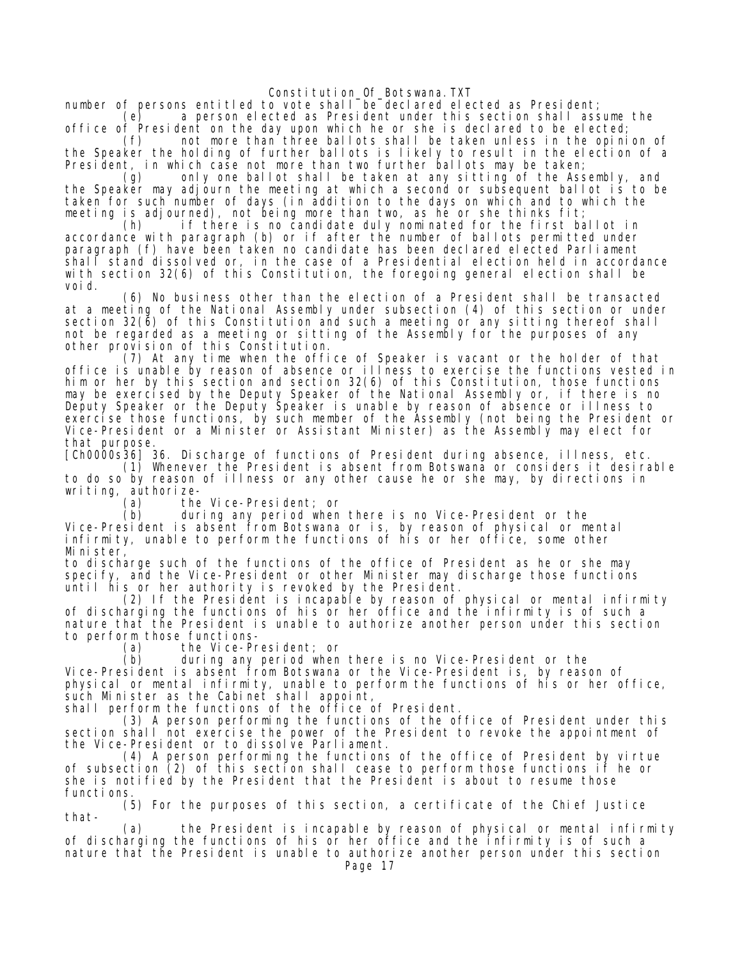number of persons entitled to vote shall be declared elected as President; (e) a person elected as President under this section shall assume the

office of President on the day upon which he or she is declared to be elected; (f) not more than three ballots shall be taken unless in the opinion of

the Speaker the holding of further ballots is likely to result in the election of a President, in which case not more than two further ballots may be taken; (g) only one ballot shall be taken at any sitting of the Assembly, and

the Speaker may adjourn the meeting at which a second or subsequent ballot is to be taken for such number of days (in addition to the days on which and to which the meeting is adjourned), not being more than two, as he or she thinks fit;<br>(h) if there is no candidate duly nominated for the first ba

if there is no candidate duly nominated for the first ballot in accordance with paragraph (b) or if after the number of ballots permitted under paragraph (f) have been taken no candidate has been declared elected Parliament shall stand dissolved or, in the case of a Presidential election held in accordance with section 32(6) of this Constitution, the foregoing general election shall be void.

(6) No business other than the election of a President shall be transacted at a meeting of the National Assembly under subsection (4) of this section or under section 32(6) of this Constitution and such a meeting or any sitting thereof shall not be regarded as a meeting or sitting of the Assembly for the purposes of any other provision of this Constitution.

(7) At any time when the office of Speaker is vacant or the holder of that office is unable by reason of absence or illness to exercise the functions vested in him or her by this section and section 32(6) of this Constitution, those functions may be exercised by the Deputy Speaker of the National Assembly or, if there is no Deputy Speaker or the Deputy Speaker is unable by reason of absence or illness to exercise those functions, by such member of the Assembly (not being the President or Vice-President or a Minister or Assistant Minister) as the Assembly may elect for that purpose.

[Ch0000s36] 36. Discharge of functions of President during absence, illness, etc. (1) Whenever the President is absent from Botswana or considers it desirable to do so by reason of illness or any other cause he or she may, by directions in

writing, authorize-

(a) the Vice-President; or

(b) during any period when there is no Vice-President or the Vice-President is absent from Botswana or is, by reason of physical or mental infirmity, unable to perform the functions of his or her office, some other Minister,

to discharge such of the functions of the office of President as he or she may specify, and the Vice-President or other Minister may discharge those functions until his or her authority is revoked by the President.

(2) If the President is incapable by reason of physical or mental infirmity of discharging the functions of his or her office and the infirmity is of such a nature that the President is unable to authorize another person under this section to perform those functions- (a) the Vice-President; or

 (b) during any period when there is no Vice-President or the Vice-President is absent from Botswana or the Vice-President is, by reason of physical or mental infirmity, unable to perform the functions of his or her office, such Minister as the Cabinet shall appoint,

shall perform the functions of the office of President.

(3) A person performing the functions of the office of President under this section shall not exercise the power of the President to revoke the appointment of the Vice-President or to dissolve Parliament.

(4) A person performing the functions of the office of President by virtue of subsection (2) of this section shall cease to perform those functions if he or she is notified by the President that the President is about to resume those functions

(5) For the purposes of this section, a certificate of the Chief Justice that-

(a) the President is incapable by reason of physical or mental infirmity of discharging the functions of his or her office and the infirmity is of such a nature that the President is unable to authorize another person under this section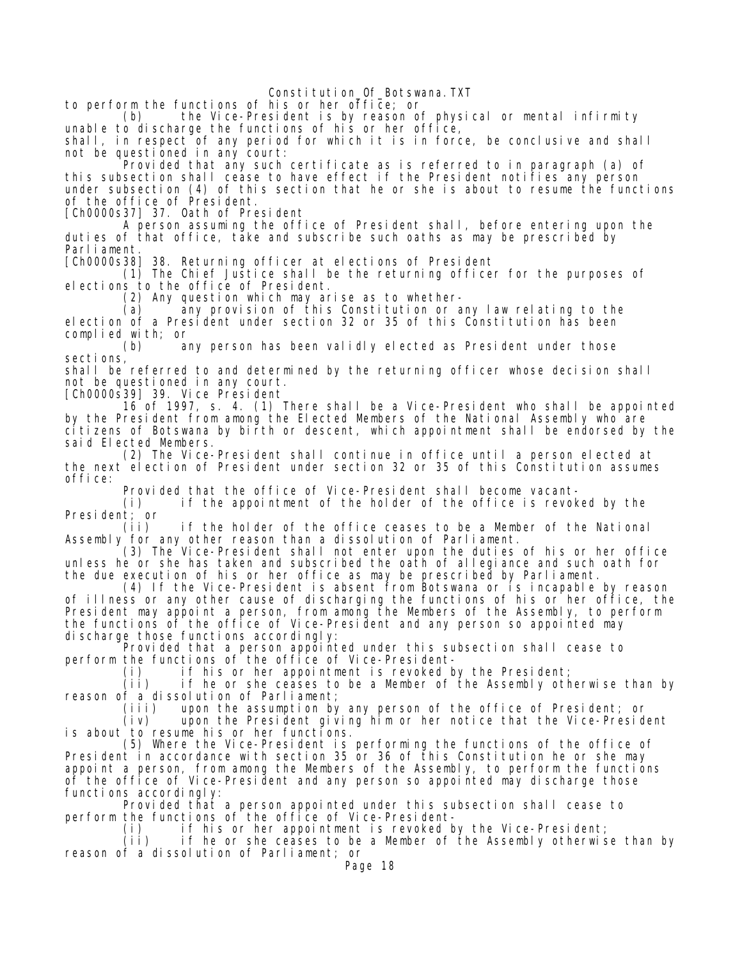to perform the functions of his or her office; or

 (b) the Vice-President is by reason of physical or mental infirmity unable to discharge the functions of his or her office,

shall, in respect of any period for which it is in force, be conclusive and shall not be questioned in any court:

Provided that any such certificate as is referred to in paragraph (a) of this subsection shall cease to have effect if the President notifies any person under subsection (4) of this section that he or she is about to resume the functions of the office of President.

[Ch0000s37] 37. Oath of President

A person assuming the office of President shall, before entering upon the duties of that office, take and subscribe such oaths as may be prescribed by Parliament.

[Ch0000s38] 38. Returning officer at elections of President (1) The Chief Justice shall be the returning officer for the purposes of elections to the office of President.<br>(2) Any question which may arise as to whether-

(a) any provision of this Constitution or any law relating to the election of a President under section 32 or 35 of this Constitution has been complied with; or<br>(b) a

any person has been validly elected as President under those sections,

shall be referred to and determined by the returning officer whose decision shall not be questioned in any court.

[Ch0000s39] 39. Vice President

16 of 1997, s. 4. (1) There shall be a Vice-President who shall be appointed by the President from among the Elected Members of the National Assembly who are citizens of Botswana by birth or descent, which appointment shall be endorsed by the said Elected Members.

(2) The Vice-President shall continue in office until a person elected at the next election of President under section 32 or 35 of this Constitution assumes office:

Provided that the office of Vice-President shall become vacant-

(i) if the appointment of the holder of the office is revoked by the President; or<br>(ii)

if the holder of the office ceases to be a Member of the National Assembly for any other reason than a dissolution of Parliament.

(3) The Vice-President shall not enter upon the duties of his or her office unless he or she has taken and subscribed the oath of allegiance and such oath for the due execution of his or her office as may be prescribed by Parliament.

(4) If the Vice-President is absent from Botswana or is incapable by reason of illness or any other cause of discharging the functions of his or her office, the President may appoint a person, from among the Members of the Assembly, to perform the functions of the office of Vice-President and any person so appointed may discharge those functions accordingly:

Provided that a person appointed under this subsection shall cease to perform the functions of the office of Vice-President-

(i) if his or her appointment is revoked by the President;

(ii) if he or she ceases to be a Member of the Assembly otherwise than by reason of a dissolution of Parliament;

(iii) upon the assumption by any person of the office of President; or

upon the President giving him or her notice that the Vice-President is about to resume his or her functions.

(5) Where the Vice-President is performing the functions of the office of President in accordance with section 35 or 36 of this Constitution he or she may appoint a person, from among the Members of the Assembly, to perform the functions of the office of Vice-President and any person so appointed may discharge those functions accordingly:

Provided that a person appointed under this subsection shall cease to perform the functions of the office of Vice-President-<br>if his or her appointment is revoked b

(i) if his or her appointment is revoked by the Vice-President;<br>(ii) if he or she ceases to be a Member of the Assembly otherwis

if he or she ceases to be a Member of the Assembly otherwise than by reason of a dissolution of Parliament; or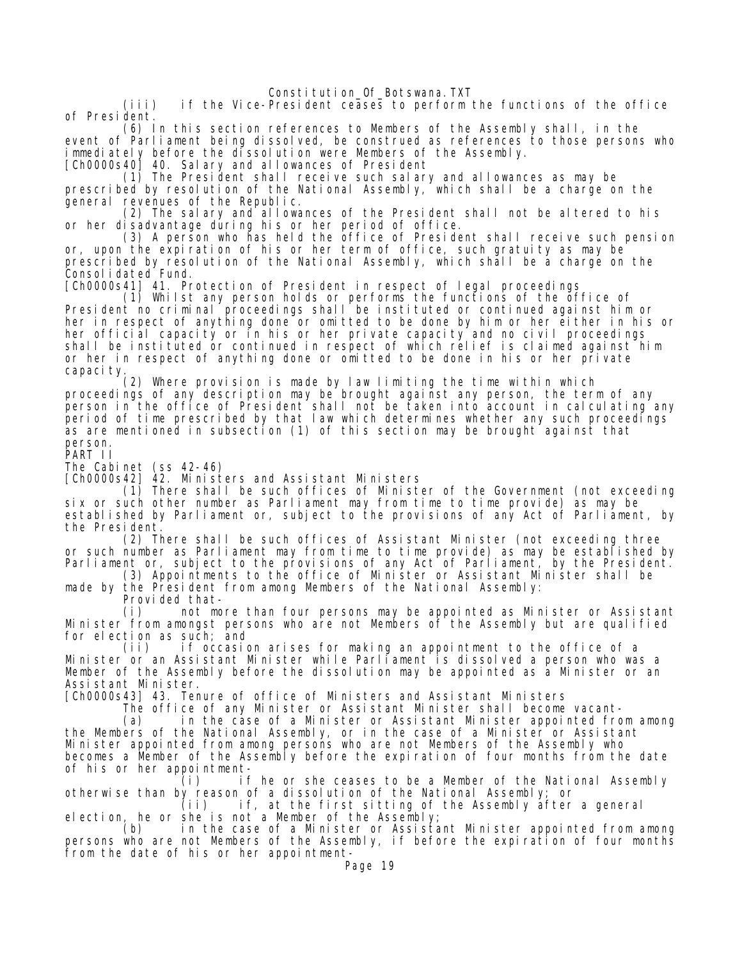(iii) if the Vice-President ceases to perform the functions of the office of President.

(6) In this section references to Members of the Assembly shall, in the event of Parliament being dissolved, be construed as references to those persons who immediately before the dissolution were Members of the Assembly.

[Ch0000s40] 40. Salary and allowances of President

(1) The President shall receive such salary and allowances as may be prescribed by resolution of the National Assembly, which shall be a charge on the general revenues of the Republic.

(2) The salary and allowances of the President shall not be altered to his or her disadvantage during his or her period of office.

(3) A person who has held the office of President shall receive such pension or, upon the expiration of his or her term of office, such gratuity as may be prescribed by resolution of the National Assembly, which shall be a charge on the Consol i dated Fund.

[Ch0000s41] 41. Protection of President in respect of legal proceedings

(1) Whilst any person holds or performs the functions of the office of President no criminal proceedings shall be instituted or continued against him or her in respect of anything done or omitted to be done by him or her either in his or her official capacity or in his or her private capacity and no civil proceedings shall be instituted or continued in respect of which relief is claimed against him or her in respect of anything done or omitted to be done in his or her private capaci ty.

(2) Where provision is made by law limiting the time within which proceedings of any description may be brought against any person, the term of any person in the office of President shall not be taken into account in calculating any period of time prescribed by that law which determines whether any such proceedings as are mentioned in subsection (1) of this section may be brought against that person.

PART II

The Cabinet (ss 42-46)

[Ch0000s42] 42. Ministers and Assistant Ministers

(1) There shall be such offices of Minister of the Government (not exceeding six or such other number as Parliament may from time to time provide) as may be established by Parliament or, subject to the provisions of any Act of Parliament, by the President.

(2) There shall be such offices of Assistant Minister (not exceeding three or such number as Parliament may from time to time provide) as may be established by Parliament or, subject to the provisions of any Act of Parliament, by the President.

(3) Appointments to the office of Minister or Assistant Minister shall be made by the President from among Members of the National Assembly:

Provided that-<br>(i) not mo not more than four persons may be appointed as Minister or Assistant Minister from amongst persons who are not Members of the Assembly but are qualified for election as such; and

(ii) if occasion arises for making an appointment to the office of a Minister or an Assistant Minister while Parliament is dissolved a person who was a Member of the Assembly before the dissolution may be appointed as a Minister or an Assistant Minister.

[Ch0000s43] 43. Tenure of office of Ministers and Assistant Ministers

(a) in the case of a Minister or Assistant Minister appointed from among the Members of the National Assembly, or in the case of a Minister or Assistant Minister appointed from among persons who are not Members of the Assembly who becomes a Member of the Assembly before the expiration of four months from the date of his or her appointment-

(i) if he or she ceases to be a Member of the National Assembly otherwise than by reason of a dissolution of the National Assembly; or

(ii) if, at the first sitting of the Assembly after a general election, he or she is not a Member of the Assembly;

(b) in the case of a Minister or Assistant Minister appointed from among persons who are not Members of the Assembly, if before the expiration of four months from the date of his or her appointment-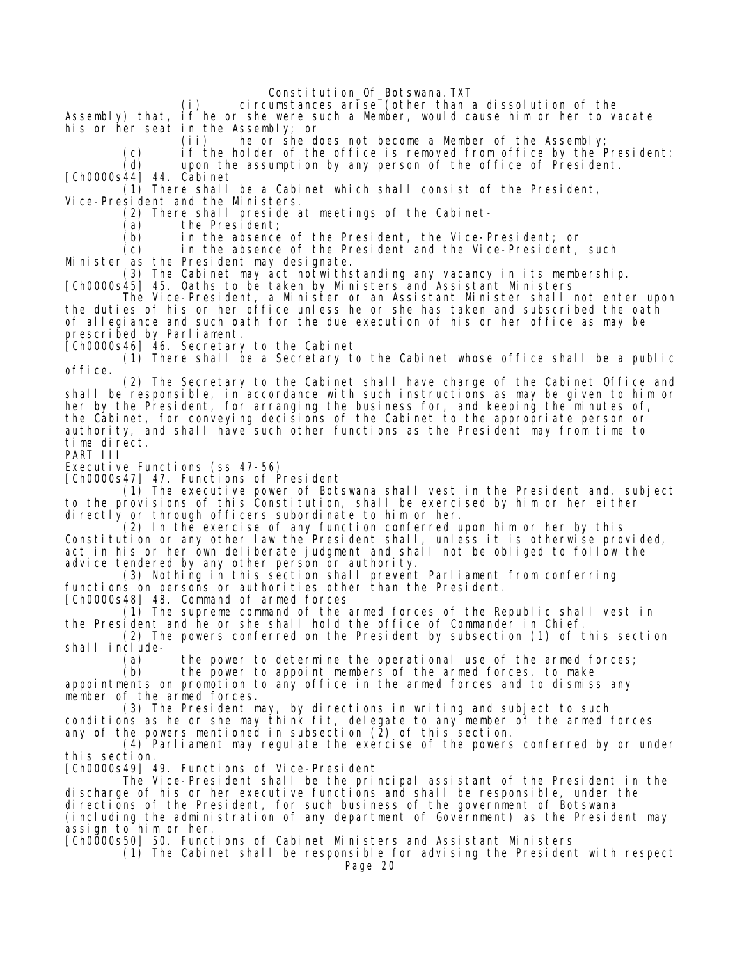(i) circumstances arise (other than a dissolution of the Assembly) that, if he or she were such a Member, would cause him or her to vacate his or her seat in the Assembly; or

(ii) he or she does not become a Member of the Assembly;

(c) if the holder of the office is removed from office by the President; (c) if the holder of the office is removed from office by the Pre<br>(d) upon the assumption by any person of the office of President.

[Ch0000s44] 44. Cabinet

(1) There shall be a Cabinet which shall consist of the President, Vice-President and the Ministers.

(2) There shall preside at meetings of the Cabinet-

(a) the President;<br>(b) in the absence

(b) in the absence of the President, the Vice-President; or

(c) in the absence of the President and the Vice-President, such

Minister as the President may designate.

Minister as the President may designate.<br>(3) The Cabinet may act notwithstanding any vacancy in its membership. [Ch0000s45] 45. Oaths to be taken by Ministers and Assistant Ministers

The Vice-President, a Minister or an Assistant Minister shall not enter upon the duties of his or her office unless he or she has taken and subscribed the oath of allegiance and such oath for the due execution of his or her office as may be prescribed by Parliament.

[Ch0000s46] 46. Secretary to the Cabinet

(1) There shall be a Secretary to the Cabinet whose office shall be a public office.

(2) The Secretary to the Cabinet shall have charge of the Cabinet Office and shall be responsible, in accordance with such instructions as may be given to him or her by the President, for arranging the business for, and keeping the minutes of, the Cabinet, for conveying decisions of the Cabinet to the appropriate person or authority, and shall have such other functions as the President may from time to time direct.

PART III

Executive Functions (ss 47-56)

[Ch0000s47] 47. Functions of President

(1) The executive power of Botswana shall vest in the President and, subject to the provisions of this Constitution, shall be exercised by him or her either directly or through officers subordinate to him or her.

(2) In the exercise of any function conferred upon him or her by this Constitution or any other law the President shall, unless it is otherwise provided, act in his or her own deliberate judgment and shall not be obliged to follow the advice tendered by any other person or authority.

(3) Nothing in this section shall prevent Parliament from conferring functions on persons or authorities other than the President.

[Ch0000s48] 48. Command of armed forces

(1) The supreme command of the armed forces of the Republic shall vest in the President and he or she shall hold the office of Commander in Chief.

(2) The powers conferred on the President by subsection (1) of this section shall include-

(a) the power to determine the operational use of the armed forces;

 (b) the power to appoint members of the armed forces, to make appointments on promotion to any office in the armed forces and to dismiss any

member of the armed forces. (3) The President may, by directions in writing and subject to such conditions as he or she may think fit, delegate to any member of the armed forces

any of the powers mentioned in subsection (2) of this section.

(4) Parliament may regulate the exercise of the powers conferred by or under this section.

[Ch0000s49] 49. Functions of Vice-President

The Vice-President shall be the principal assistant of the President in the discharge of his or her executive functions and shall be responsible, under the directions of the President, for such business of the government of Botswana (including the administration of any department of Government) as the President may assign to him or her.

[Ch0000s50] 50. Functions of Cabinet Ministers and Assistant Ministers

(1) The Cabinet shall be responsible for advising the President with respect Page 20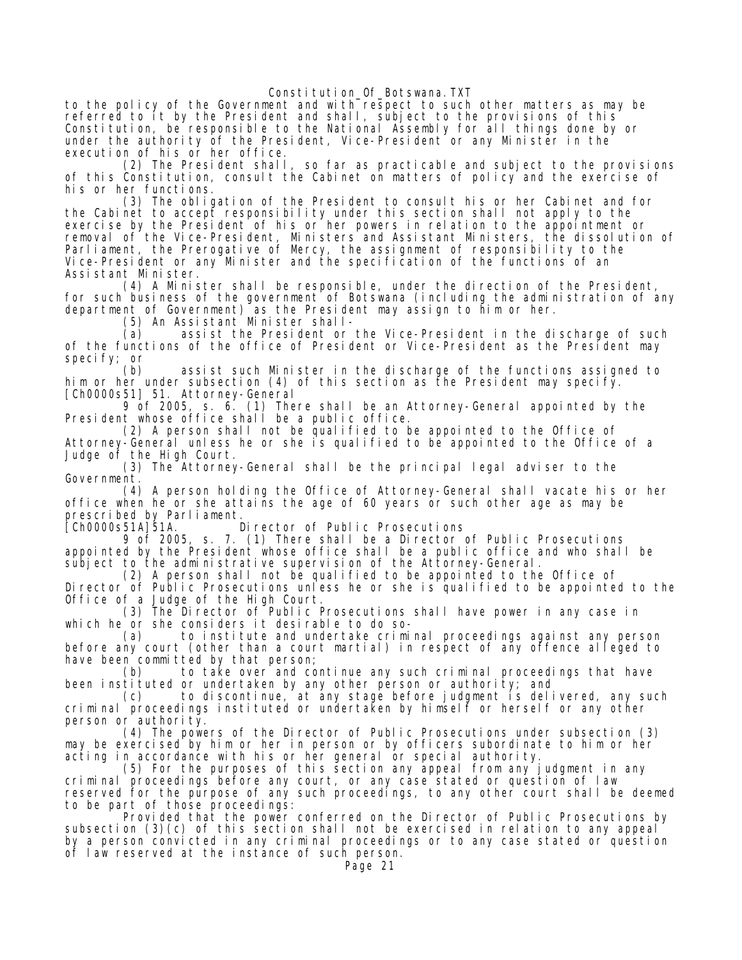to the policy of the Government and with respect to such other matters as may be referred to it by the President and shall, subject to the provisions of this Constitution, be responsible to the National Assembly for all things done by or under the authority of the President, Vice-President or any Minister in the execution of his or her office.

(2) The President shall, so far as practicable and subject to the provisions of this Constitution, consult the Cabinet on matters of policy and the exercise of his or her functions.

(3) The obligation of the President to consult his or her Cabinet and for the Cabinet to accept responsibility under this section shall not apply to the exercise by the President of his or her powers in relation to the appointment or removal of the Vice-President, Ministers and Assistant Ministers, the dissolution of Parliament, the Prerogative of Mercy, the assignment of responsibility to the Vice-President or any Minister and the specification of the functions of an Assistant Minister.

(4) A Minister shall be responsible, under the direction of the President, for such business of the government of Botswana (including the administration of any department of Government) as the President may assign to him or her.

(5) An Assistant Minister shall-

 $\dot{\mathcal{A}}$  assist the President or the Vice-President in the discharge of such of the functions of the office of President or Vice-President as the President may specify; or

(b) assist such Minister in the discharge of the functions assigned to him or her under subsection (4) of this section as the President may specify. [Ch0000s51] 51. Attorney-General

9 of 2005, s. 6. (1) There shall be an Attorney-General appointed by the President whose office shall be a public office.

(2) A person shall not be qualified to be appointed to the Office of Attorney-General unless he or she is qualified to be appointed to the Office of a Judge of the High Court.

(3) The Attorney-General shall be the principal legal adviser to the Government.

(4) A person holding the Office of Attorney-General shall vacate his or her office when he or she attains the age of 60 years or such other age as may be prescribed by Parliament.<br>[Ch0000s51A]51A.

Director of Public Prosecutions

9 of 2005, s. 7. (1) There shall be a Director of Public Prosecutions appointed by the President whose office shall be a public office and who shall be subject to the administrative supervision of the Attorney-General.

(2) A person shall not be qualified to be appointed to the Office of Director of Public Prosecutions unless he or she is qualified to be appointed to the Office of a Judge of the High Court.

(3) The Director of Public Prosecutions shall have power in any case in which he or she considers it desirable to do so-

(a) to institute and undertake criminal proceedings against any person before any court (other than a court martial) in respect of any offence alleged to have been committed by that person;<br>(b) to take over and co

to take over and continue any such criminal proceedings that have been instituted or undertaken by any other person or authority; and

(c) to discontinue, at any stage before judgment is delivered, any such criminal proceedings instituted or undertaken by himself or herself or any other person or authority.

(4) The powers of the Director of Public Prosecutions under subsection (3) may be exercised by him or her in person or by officers subordinate to him or her acting in accordance with his or her general or special authority.

(5) For the purposes of this section any appeal from any judgment in any criminal proceedings before any court, or any case stated or question of law reserved for the purpose of any such proceedings, to any other court shall be deemed to be part of those proceedings:

Provided that the power conferred on the Director of Public Prosecutions by subsection (3)(c) of this section shall not be exercised in relation to any appeal by a person convicted in any criminal proceedings or to any case stated or question of law reserved at the instance of such person.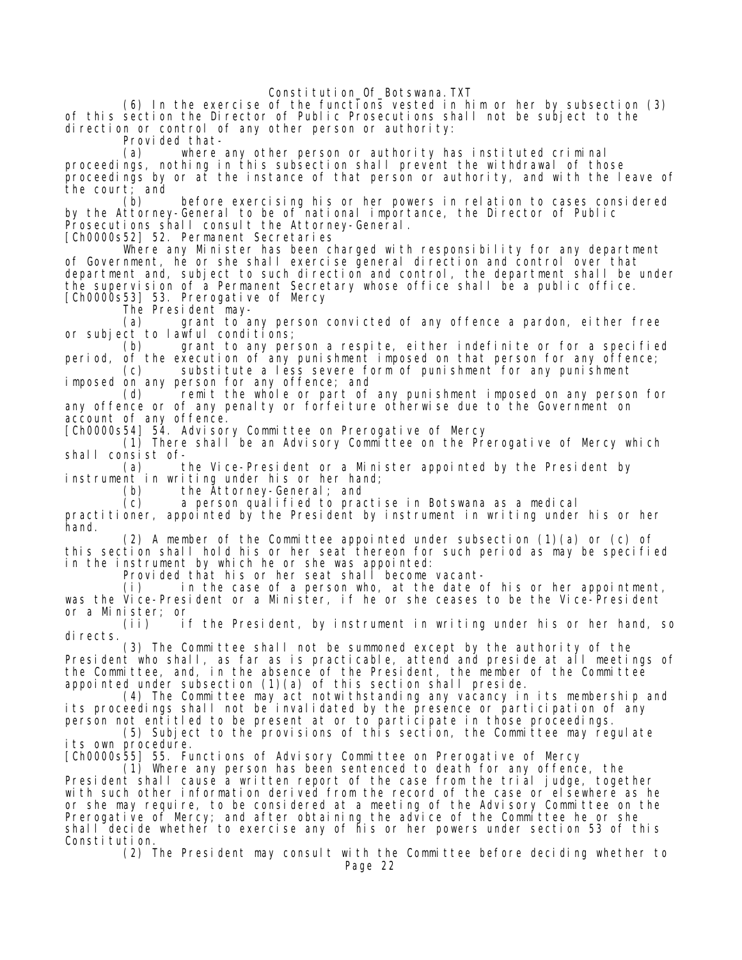(6) In the exercise of the functions vested in him or her by subsection (3) of this section the Director of Public Prosecutions shall not be subject to the direction or control of any other person or authority:<br>Provided that-

Provided that-<br>(a) where any other person or authority has instituted criminal proceedings, nothing in this subsection shall prevent the withdrawal of those proceedings by or at the instance of that person or authority, and with the leave of the court; and<br>(b)

before exercising his or her powers in relation to cases considered by the Attorney-General to be of national importance, the Director of Public Prosecutions shall consult the Attorney-General.

[Ch0000s52] 52. Permanent Secretaries

Where any Minister has been charged with responsibility for any department of Government, he or she shall exercise general direction and control over that department and, subject to such direction and control, the department shall be under the supervision of a Permanent Secretary whose office shall be a public office. [Ch0000s53] 53. Prerogative of Mercy

The President may-

(a) grant to any person convicted of any offence a pardon, either free or subject to lawful conditions;

(b) grant to any person a respite, either indefinite or for a specified period, of the execution of any punishment imposed on that person for any offence;

(c) substitute a less severe form of punishment for any punishment imposed on any person for any offence; and<br>(d) remit the whole or part of

remit the whole or part of any punishment imposed on any person for any offence or of any penalty or forfeiture otherwise due to the Government on account of any offence.

[Ch0000s54] 54. Advisory Committee on Prerogative of Mercy

 $(1)$  There shall be an Advisory Committee on the Prerogative of Mercy which shall consist of-<br>a) t

the Vice-President or a Minister appointed by the President by instrument in writing under his or her hand;

(b) the Attorney-General; and<br>(c) a person qualified to pra a person qualified to practise in Botswana as a medical

practitioner, appointed by the President by instrument in writing under his or her hand.

(2) A member of the Committee appointed under subsection (1)(a) or (c) of this section shall hold his or her seat thereon for such period as may be specified in the instrument by which he or she was appointed:

Provided that his or her seat shall become vacant-

(i) in the case of a person who, at the date of his or her appointment, was the Vice-President or a Minister, if he or she ceases to be the Vice-President or a Minister; or

(ii) if the President, by instrument in writing under his or her hand, so directs.

(3) The Committee shall not be summoned except by the authority of the President who shall, as far as is practicable, attend and preside at all meetings of the Committee, and, in the absence of the President, the member of the Committee appointed under subsection (1)(a) of this section shall preside.

(4) The Committee may act notwithstanding any vacancy in its membership and its proceedings shall not be invalidated by the presence or participation of any person not entitled to be present at or to participate in those proceedings.

(5) Subject to the provisions of this section, the Committee may regulate its own procedure.

[Ch0000s55] 55. Functions of Advisory Committee on Prerogative of Mercy

(1) Where any person has been sentenced to death for any offence, the President shall cause a written report of the case from the trial judge, together with such other information derived from the record of the case or elsewhere as he or she may require, to be considered at a meeting of the Advisory Committee on the Prerogative of Mercy; and after obtaining the advice of the Committee he or she shall decide whether to exercise any of his or her powers under section 53 of this Constitution.

(2) The President may consult with the Committee before deciding whether to Page 22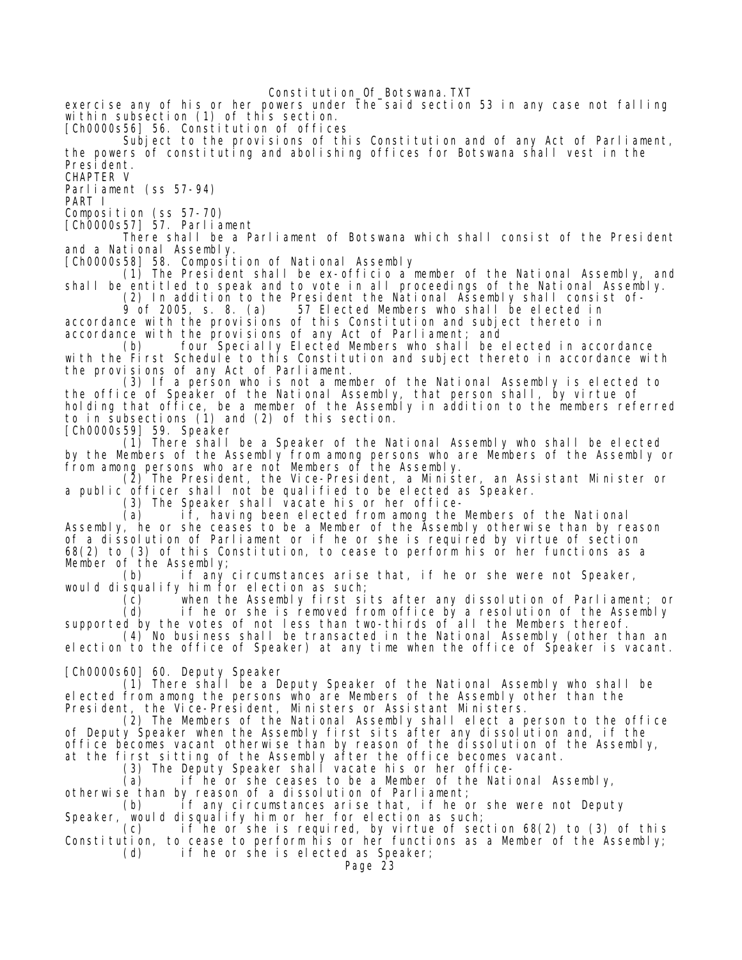exercise any of his or her powers under the said section 53 in any case not falling within subsection (1) of this section.

[Ch0000s56] 56. Constitution of offices

Subject to the provisions of this Constitution and of any Act of Parliament, the powers of constituting and abolishing offices for Botswana shall vest in the President.

CHAPTER V

Parliament (ss 57-94)

PART I

Composition (ss 57-70)

[Ch0000s57] 57. Parliament

There shall be a Parliament of Botswana which shall consist of the President and a National Assembly.

[Ch0000s58] 58. Composition of National Assembly

(1) The President shall be ex-officio a member of the National Assembly, and shall be entitled to speak and to vote in all proceedings of the National Assembly.

(2) In addition to the President the National Assembly shall consist of-<br>9 of 2005, s. 8. (a) 57 Elected Members who shall be elected in

accordance with the provisions of this Constitution and subject thereto in accordance with the provisions of any Act of Parliament; and

(b) four Specially Elected Members who shall be elected in accordance with the First Schedule to this Constitution and subject thereto in accordance with the provisions of any Act of Parliament.

(3) If a person who is not a member of the National Assembly is elected to the office of Speaker of the National Assembly, that person shall, by virtue of holding that office, be a member of the Assembly in addition to the members referred to in subsections (1) and (2) of this section. [Ch0000s59] 59. Speaker

(1) There shall be a Speaker of the National Assembly who shall be elected by the Members of the Assembly from among persons who are Members of the Assembly or from among persons who are not Members of the Assembly.

(2) The President, the Vice-President, a Minister, an Assistant Minister or a public officer shall not be qualified to be elected as Speaker.

(3) The Speaker shall vacate his or her office- (a) if, having been elected from among the Members of the National Assembly, he or she ceases to be a Member of the Assembly otherwise than by reason of a dissolution of Parliament or if he or she is required by virtue of section 68(2) to (3) of this Constitution, to cease to perform his or her functions as a Member of the Assembly;

(b) if any circumstances arise that, if he or she were not Speaker, would disqualify him for election as such;

(c) when the Assembly first sits after any dissolution of Parliament; or<br>(d) if he or she is removed from office by a resolution of the Assembly if he or she is removed from office by a resolution of the Assembly

supported by the votes of not less than two-thirds of all the Members thereof. (4) No business shall be transacted in the National Assembly (other than an

election to the office of Speaker) at any time when the office of Speaker is vacant.

[Ch0000s60] 60. Deputy Speaker

(1) There shall be a Deputy Speaker of the National Assembly who shall be elected from among the persons who are Members of the Assembly other than the President, the Vice-President, Ministers or Assistant Ministers.

(2) The Members of the National Assembly shall elect a person to the office of Deputy Speaker when the Assembly first sits after any dissolution and, if the office becomes vacant otherwise than by reason of the dissolution of the Assembly, at the first sitting of the Assembly after the office becomes vacant.

(3) The Deputy Speaker shall vacate his or her office-

(a) if he or she ceases to be a Member of the National Assembly, otherwise than by reason of a dissolution of Parliament;

(b) if any circumstances arise that, if he or she were not Deputy Speaker, would disqualify him or her for election as such;

 (c) if he or she is required, by virtue of section 68(2) to (3) of this Constitution, to cease to perform his or her functions as a Member of the Assembly; (d) if he or she is elected as Speaker;

Page 23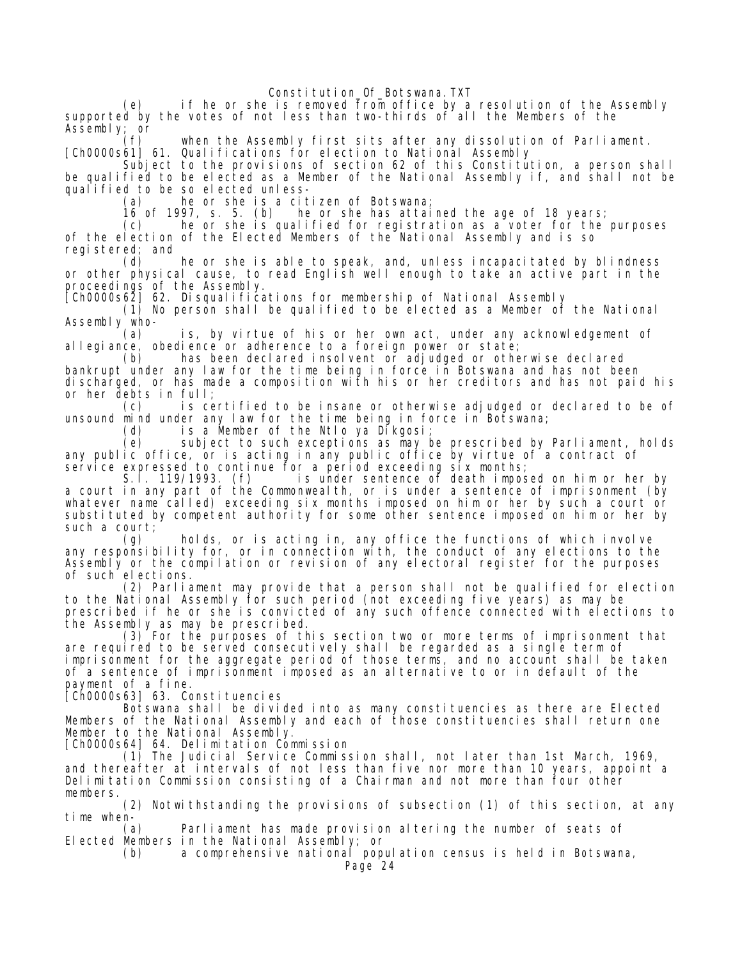(e) if he or she is removed from office by a resolution of the Assembly supported by the votes of not less than two-thirds of all the Members of the Assembly; or

(f) when the Assembly first sits after any dissolution of Parliament.

[Ch0000s61] 61. Qualifications for election to National Assembly

Subject to the provisions of section 62 of this Constitution, a person shall be qualified to be elected as a Member of the National Assembly if, and shall not be qualified to be so elected unless-

(a) he or she is a citizen of Botswana;

 $16$  of 1997, s. 5. (b) he or she has attained the age of 18 years;<br>(c) he or she is qualified for registration as a voter for the

he or she is qualified for registration as a voter for the purposes of the election of the Elected Members of the National Assembly and is so

registered; and (d) he or she is able to speak, and, unless incapacitated by blindness or other physical cause, to read English well enough to take an active part in the proceedings of the Assembly.

[Ch0000s62] 62. Disqualifications for membership of National Assembly

(1) No person shall be qualified to be elected as a Member of the National Assembly who-

(a) is, by virtue of his or her own act, under any acknowledgement of allegiance, obedience or adherence to a foreign power or state;

(b) has been declared insolvent or adjudged or otherwise declared bankrupt under any law for the time being in force in Botswana and has not been discharged, or has made a composition with his or her creditors and has not paid his

or her debts in full;<br>(c) is ce is certified to be insane or otherwise adjudged or declared to be of unsound mind under any law for the time being in force in Botswana;<br>(d) is a Member of the Ntlo ya Dikqosi;

is a Member of the Ntlo ya Dikgosi;

(e) subject to such exceptions as may be prescribed by Parliament, holds any public office, or is acting in any public office by virtue of a contract of service expressed to continue for a period exceeding six months;

S.I. 119/1993. (f) is under sentence of death imposed on him or her by a court in any part of the Commonwealth, or is under a sentence of imprisonment (by whatever name called) exceeding six months imposed on him or her by such a court or substituted by competent authority for some other sentence imposed on him or her by such a court;

(g) holds, or is acting in, any office the functions of which involve any responsibility for, or in connection with, the conduct of any elections to the Assembly or the compilation or revision of any electoral register for the purposes of such elections.

(2) Parliament may provide that a person shall not be qualified for election to the National Assembly for such period (not exceeding five years) as may be prescribed if he or she is convicted of any such offence connected with elections to the Assembly as may be prescribed.

(3) For the purposes of this section two or more terms of imprisonment that are required to be served consecutively shall be regarded as a single term of imprisonment for the aggregate period of those terms, and no account shall be taken of a sentence of imprisonment imposed as an alternative to or in default of the payment of a fine.

[Ch0000s63] 63. Constituencies

Botswana shall be divided into as many constituencies as there are Elected Members of the National Assembly and each of those constituencies shall return one Member to the National Assembly.

[Ch0000s64] 64. Delimitation Commission

(1) The Judicial Service Commission shall, not later than 1st March, 1969, and thereafter at intervals of not less than five nor more than 10 years, appoint a Delimitation Commission consisting of a Chairman and not more than four other members.

(2) Notwithstanding the provisions of subsection (1) of this section, at any time when-

(a) Parliament has made provision altering the number of seats of Elected Members in the National Assembly; or

(b) a comprehensive national population census is held in Botswana,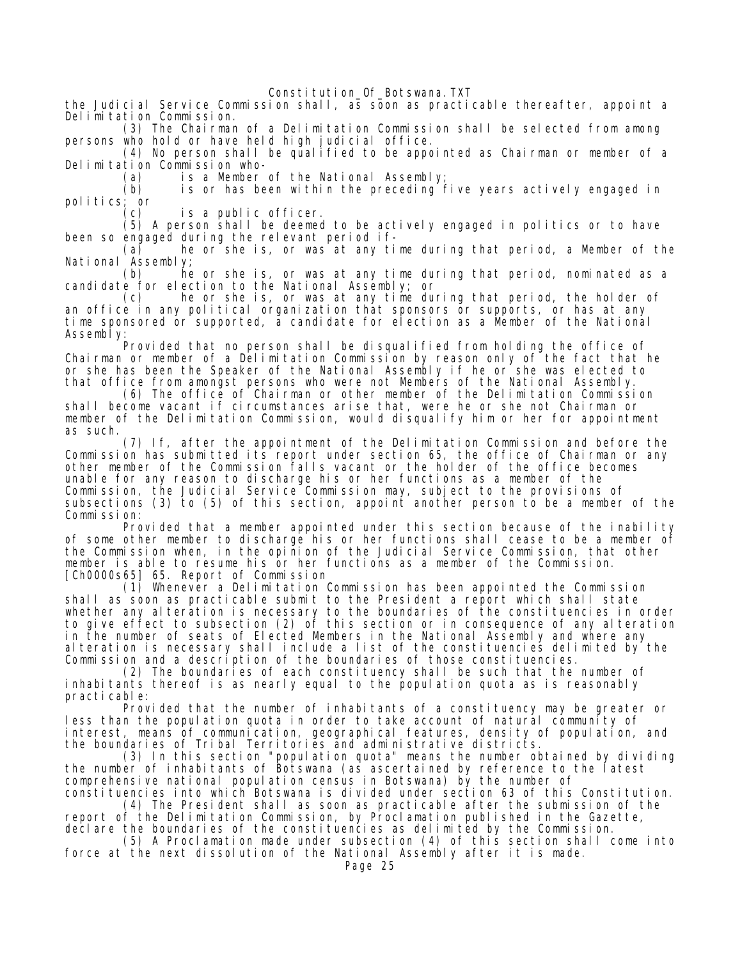the Judicial Service Commission shall, as soon as practicable thereafter, appoint a Delimitation Commission.

(3) The Chairman of a Delimitation Commission shall be selected from among persons who hold or have held high judicial office.

(4) No person shall be qualified to be appointed as Chairman or member of a Delimitation Commission who-

(a) is a Member of the National Assembly;<br>(b) is or has been within the preceding f is or has been within the preceding five years actively engaged in politics; or<br>(c)

is a public officer.

(5) A person shall be deemed to be actively engaged in politics or to have been so engaged during the relevant period if-

he or she is, or was at any time during that period, a Member of the National Assembly;

 (b) he or she is, or was at any time during that period, nominated as a candidate for election to the National Assembly; or

(c) he or she is, or was at any time during that period, the holder of an office in any political organization that sponsors or supports, or has at any time sponsored or supported, a candidate for election as a Member of the National Assembly:

Provided that no person shall be disqualified from holding the office of Chairman or member of a Delimitation Commission by reason only of the fact that he or she has been the Speaker of the National Assembly if he or she was elected to that office from amongst persons who were not Members of the National Assembly.

(6) The office of Chairman or other member of the Delimitation Commission shall become vacant if circumstances arise that, were he or she not Chairman or member of the Delimitation Commission, would disqualify him or her for appointment as such.

(7) If, after the appointment of the Delimitation Commission and before the Commission has submitted its report under section 65, the office of Chairman or any other member of the Commission falls vacant or the holder of the office becomes unable for any reason to discharge his or her functions as a member of the Commission, the Judicial Service Commission may, subject to the provisions of subsections (3) to (5) of this section, appoint another person to be a member of the Commission:

Provided that a member appointed under this section because of the inability of some other member to discharge his or her functions shall cease to be a member of the Commission when, in the opinion of the Judicial Service Commission, that other member is able to resume his or her functions as a member of the Commission. [Ch0000s65] 65. Report of Commission

(1) Whenever a Delimitation Commission has been appointed the Commission shall as soon as practicable submit to the President a report which shall state whether any alteration is necessary to the boundaries of the constituencies in order to give effect to subsection (2) of this section or in consequence of any alteration in the number of seats of Elected Members in the National Assembly and where any alteration is necessary shall include a list of the constituencies delimited by the Commission and a description of the boundaries of those constituencies.

(2) The boundaries of each constituency shall be such that the number of inhabitants thereof is as nearly equal to the population quota as is reasonably practicable:

Provided that the number of inhabitants of a constituency may be greater or less than the population quota in order to take account of natural community of interest, means of communication, geographical features, density of population, and the boundaries of Tribal Territories and administrative districts.

(3) In this section "population quota" means the number obtained by dividing the number of inhabitants of Botswana (as ascertained by reference to the latest comprehensive national population census in Botswana) by the number of constituencies into which Botswana is divided under section 63 of this Constitution.

(4) The President shall as soon as practicable after the submission of the report of the Delimitation Commission, by Proclamation published in the Gazette, declare the boundaries of the constituencies as delimited by the Commission.

(5) A Proclamation made under subsection (4) of this section shall come into

force at the next dissolution of the National Assembly after it is made.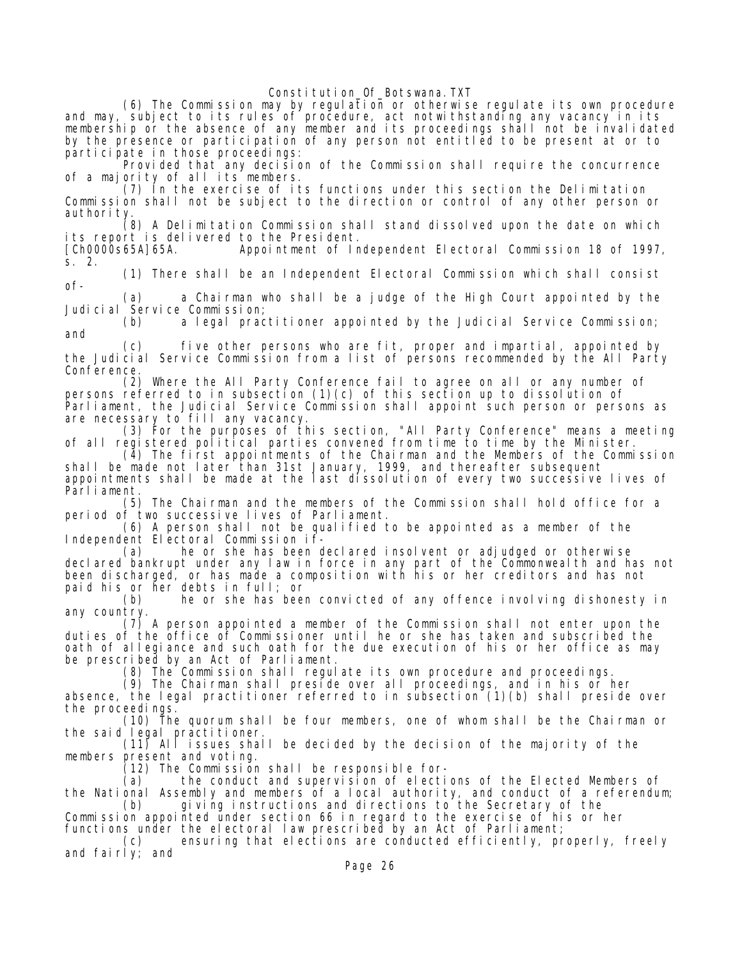(6) The Commission may by regulation or otherwise regulate its own procedure and may, subject to its rules of procedure, act notwithstanding any vacancy in its membership or the absence of any member and its proceedings shall not be invalidated by the presence or participation of any person not entitled to be present at or to participate in those proceedings:

Provided that any decision of the Commission shall require the concurrence of a majority of all its members.

(7) In the exercise of its functions under this section the Delimitation Commission shall not be subject to the direction or control of any other person or authority.

(8) A Delimitation Commission shall stand dissolved upon the date on which its report is delivered to the President. Appointment of Independent Electoral Commission 18 of 1997,

s. 2.

(1) There shall be an Independent Electoral Commission which shall consist of-

(a) a Chairman who shall be a judge of the High Court appointed by the Judicial Service Commission;

(b) a legal practitioner appointed by the Judicial Service Commission; and

 (c) five other persons who are fit, proper and impartial, appointed by the Judicial Service Commission from a list of persons recommended by the All Party Conference.

(2) Where the All Party Conference fail to agree on all or any number of persons referred to in subsection  $(1)(c)$  of this section up to dissolution of Parliament, the Judicial Service Commission shall appoint such person or persons as are necessary to fill any vacancy.

(3) For the purposes of this section, "All Party Conference" means a meeting of all registered political parties convened from time to time by the Minister.

(4) The first appointments of the Chairman and the Members of the Commission shall be made not later than 31st January, 1999, and thereafter subsequent

appointments shall be made at the last dissolution of every two successive lives of Parl i ament

(5) The Chairman and the members of the Commission shall hold office for a period of two successive lives of Parliament.

(6) A person shall not be qualified to be appointed as a member of the Independent Electoral Commission if-

 (a) he or she has been declared insolvent or adjudged or otherwise declared bankrupt under any law in force in any part of the Commonwealth and has not been discharged, or has made a composition with his or her creditors and has not paid his or her debts in full; or

(b) he or she has been convicted of any offence involving dishonesty in any country.

(7) A person appointed a member of the Commission shall not enter upon the duties of the office of Commissioner until he or she has taken and subscribed the oath of allegiance and such oath for the due execution of his or her office as may be prescribed by an Act of Parliament.

(8) The Commission shall regulate its own procedure and proceedings.

(9) The Chairman shall preside over all proceedings, and in his or her absence, the legal practitioner referred to in subsection (1)(b) shall preside over the proceedings.

(10) The quorum shall be four members, one of whom shall be the Chairman or the said legal practitioner.

(11) All issues shall be decided by the decision of the majority of the members present and voting.

(12) The Commission shall be responsible for-

(a) the conduct and supervision of elections of the Elected Members of the National Assembly and members of a local authority, and conduct of a referendum;

(b) giving instructions and directions to the Secretary of the Commission appointed under section 66 in regard to the exercise of his or her functions under the electoral law prescribed by an Act of Parliament;

(c) ensuring that elections are conducted efficiently, properly, freely

and fairly; and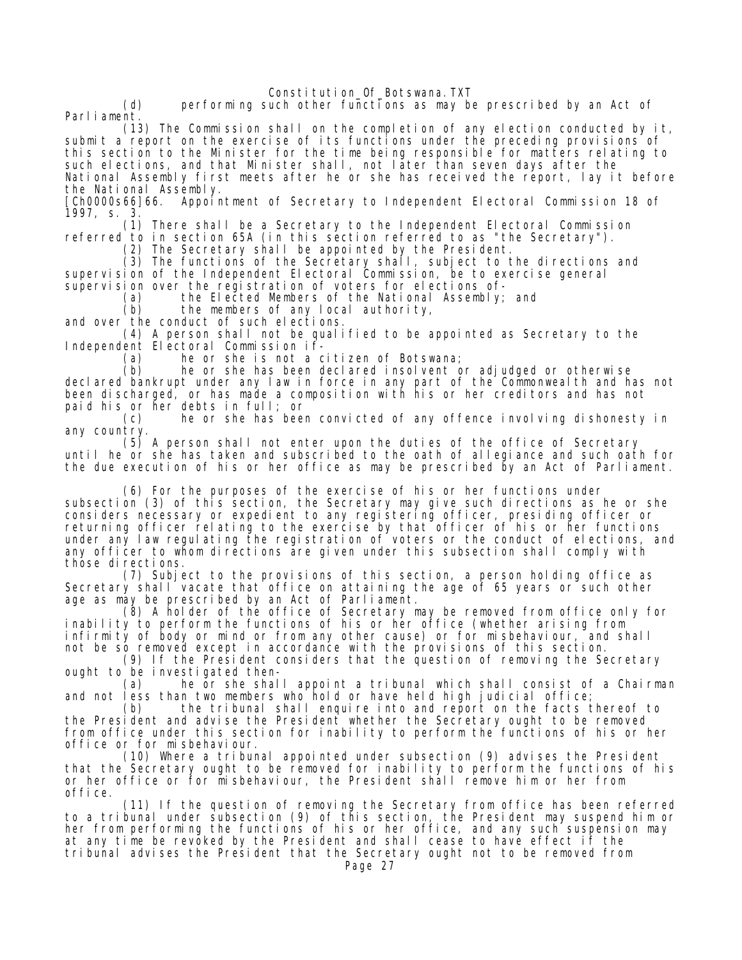(d) performing such other functions as may be prescribed by an Act of Parliament.

(13) The Commission shall on the completion of any election conducted by it, submit a report on the exercise of its functions under the preceding provisions of this section to the Minister for the time being responsible for matters relating to such elections, and that Minister shall, not later than seven days after the National Assembly first meets after he or she has received the report, lay it before the National Assembly.<br>[Ch0000s66]66. Appoir

Appointment of Secretary to Independent Electoral Commission 18 of 1997, s. 3.

(1) There shall be a Secretary to the Independent Electoral Commission

referred to in section 65A (in this section referred to as "the Secretary").

(2) The Secretary shall be appointed by the President.

(3) The functions of the Secretary shall, subject to the directions and supervision of the Independent Electoral Commission, be to exercise general supervision over the registration of voters for elections of-

(a) the Elected Members of the National Assembly; and

(b) the members of any local authority,

and over the conduct of such elections.

(4) A person shall not be qualified to be appointed as Secretary to the Independent Electoral Commission if-Independent Electoral Commission if- (a) he or she is not a citizen of Botswana;

(b) he or she has been declared insolvent or adjudged or otherwise declared bankrupt under any law in force in any part of the Commonwealth and has not been discharged, or has made a composition with his or her creditors and has not paid his or her debts in full; or<br>(c) he or she has bee

he or she has been convicted of any offence involving dishonesty in any country.

(5) A person shall not enter upon the duties of the office of Secretary until he or she has taken and subscribed to the oath of allegiance and such oath for the due execution of his or her office as may be prescribed by an Act of Parliament.

(6) For the purposes of the exercise of his or her functions under subsection (3) of this section, the Secretary may give such directions as he or she considers necessary or expedient to any registering officer, presiding officer or returning officer relating to the exercise by that officer of his or her functions under any law regulating the registration of voters or the conduct of elections, and any officer to whom directions are given under this subsection shall comply with those directions.

(7) Subject to the provisions of this section, a person holding office as Secretary shall vacate that office on attaining the age of 65 years or such other age as may be prescribed by an Act of Parliament.

(8) A holder of the office of Secretary may be removed from office only for inability to perform the functions of his or her office (whether arising from infirmity of body or mind or from any other cause) or for misbehaviour, and shall not be so removed except in accordance with the provisions of this section.

(9) If the President considers that the question of removing the Secretary ought to be investigated then-

ought to be investigated then-<br>(a) he or she shall appoint a tribunal which shall consist of a Chairman and not less than two members who hold or have held high judicial office;

(b) the tribunal shall enquire into and report on the facts thereof to the President and advise the President whether the Secretary ought to be removed from office under this section for inability to perform the functions of his or her office or for misbehaviour.

(10) Where a tribunal appointed under subsection (9) advises the President that the Secretary ought to be removed for inability to perform the functions of his or her office or for misbehaviour, the President shall remove him or her from office.

(11) If the question of removing the Secretary from office has been referred to a tribunal under subsection (9) of this section, the President may suspend him or her from performing the functions of his or her office, and any such suspension may at any time be revoked by the President and shall cease to have effect if the tribunal advises the President that the Secretary ought not to be removed from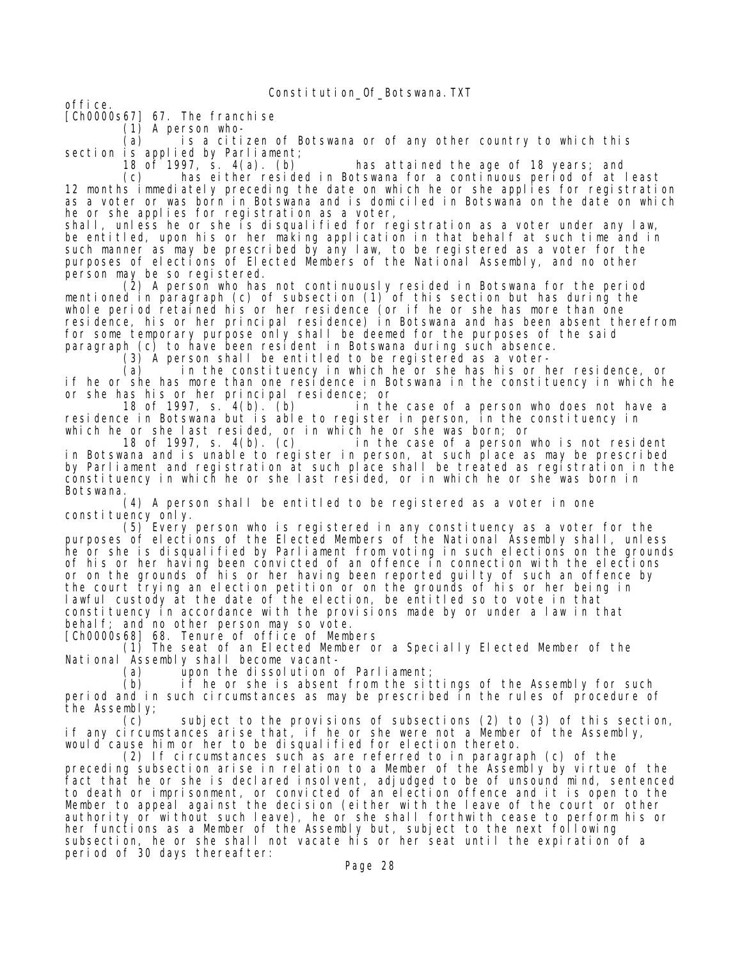office.

# office.<br>[Ch0000s67] 67. The franchise

67] 67. The franchise<br>(1) A person who-

 (a) is a citizen of Botswana or of any other country to which this section is applied by Parliament;

18 of 1997, s. 4(a). (b) has attained the age of 18 years; and (c) has either resided in Botswana for a continuous period of at least 12 months immediately preceding the date on which he or she applies for registration as a voter or was born in Botswana and is domiciled in Botswana on the date on which he or she applies for registration as a voter,

shall, unless he or she is disqualified for registration as a voter under any law, be entitled, upon his or her making application in that behalf at such time and in such manner as may be prescribed by any law, to be registered as a voter for the purposes of elections of Elected Members of the National Assembly, and no other person may be so registered.

(2) A person who has not continuously resided in Botswana for the period mentioned in paragraph (c) of subsection (1) of this section but has during the whole period retained his or her residence (or if he or she has more than one residence, his or her principal residence) in Botswana and has been absent therefrom for some temporary purpose only shall be deemed for the purposes of the said paragraph (c) to have been resident in Botswana during such absence.

(3) A person shall be entitled to be registered as a voter-

(a) in the constituency in which he or she has his or her residence, or if he or she has more than one residence in Botswana in the constituency in which he or she has his or her principal residence; or<br>18 of 1997, s. 4(b). (b) in th

in the case of a person who does not have a residence in Botswana but is able to register in person, in the constituency in which he or she last resided, or in which he or she was born; or<br>'18 of 1997, s. 4(b). (c) in the case of a person

in the case of a person who is not resident in Botswana and is unable to register in person, at such place as may be prescribed by Parliament and registration at such place shall be treated as registration in the constituency in which he or she last resided, or in which he or she was born in Botswana.

(4) A person shall be entitled to be registered as a voter in one constituency only.

(5) Every person who is registered in any constituency as a voter for the purposes of elections of the Elected Members of the National Assembly shall, unless he or she is disqualified by Parliament from voting in such elections on the grounds of his or her having been convicted of an offence in connection with the elections or on the grounds of his or her having been reported guilty of such an offence by the court trying an election petition or on the grounds of his or her being in lawful custody at the date of the election, be entitled so to vote in that constituency in accordance with the provisions made by or under a law in that behalf; and no other person may so vote.

[Ch0000s68] 68. Tenure of office of Members

(1) The seat of an Elected Member or a Specially Elected Member of the National Assembly shall become vacant-

(a) upon the dissolution of Parliament;

(b) if he or she is absent from the sittings of the Assembly for such period and in such circumstances as may be prescribed in the rules of procedure of the Assembly;

(c) subject to the provisions of subsections (2) to (3) of this section, if any circumstances arise that, if he or she were not a Member of the Assembly, would cause him or her to be disqualified for election thereto.

(2) If circumstances such as are referred to in paragraph (c) of the preceding subsection arise in relation to a Member of the Assembly by virtue of the fact that he or she is declared insolvent, adjudged to be of unsound mind, sentenced to death or imprisonment, or convicted of an election offence and it is open to the Member to appeal against the decision (either with the leave of the court or other authority or without such leave), he or she shall forthwith cease to perform his or her functions as a Member of the Assembly but, subject to the next following subsection, he or she shall not vacate his or her seat until the expiration of a period of 30 days thereafter: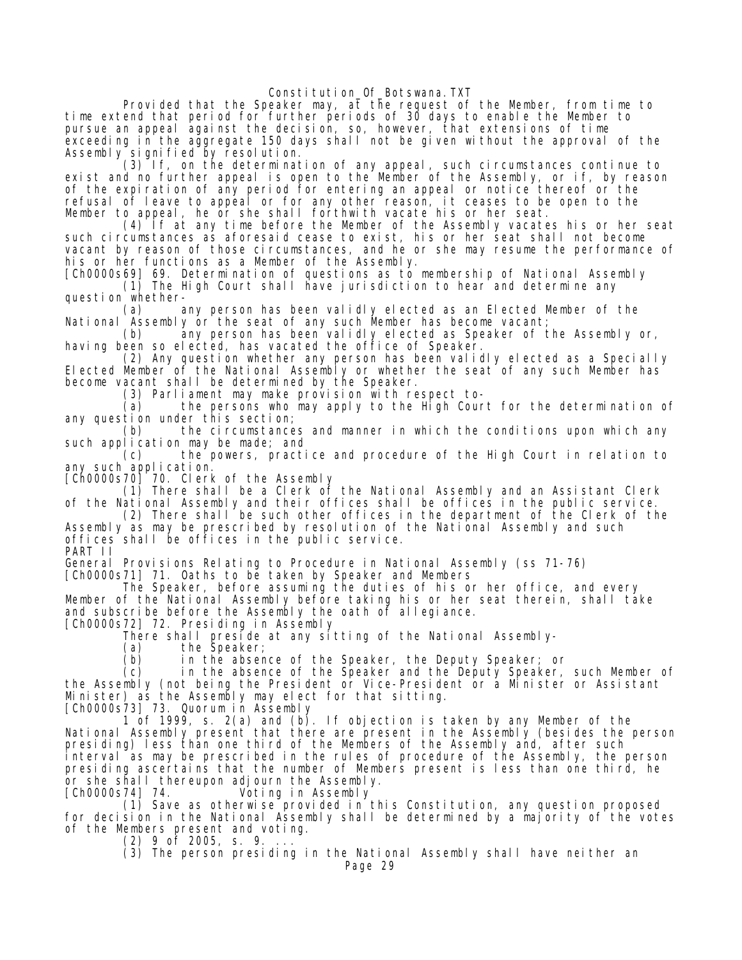Provided that the Speaker may, at the request of the Member, from time to time extend that period for further periods of 30 days to enable the Member to pursue an appeal against the decision, so, however, that extensions of time exceeding in the aggregate 150 days shall not be given without the approval of the Assembly signified by resolution.

(3) If, on the determination of any appeal, such circumstances continue to exist and no further appeal is open to the Member of the Assembly, or if, by reason of the expiration of any period for entering an appeal or notice thereof or the refusal of leave to appeal or for any other reason, it ceases to be open to the Member to appeal, he or she shall forthwith vacate his or her seat.

(4) If at any time before the Member of the Assembly vacates his or her seat such circumstances as aforesaid cease to exist, his or her seat shall not become vacant by reason of those circumstances, and he or she may resume the performance of his or her functions as a Member of the Assembly.

[Ch0000s69] 69. Determination of questions as to membership of National Assembly (1) The High Court shall have jurisdiction to hear and determine any

question whether-<br>(a) any person has been validly elected as an Elected Member of the National Assembly or the seat of any such Member has become vacant;

(b) any person has been validly elected as Speaker of the Assembly or, having been so elected, has vacated the office of Speaker.

(2) Any question whether any person has been validly elected as a Specially Elected Member of the National Assembly or whether the seat of any such Member has become vacant shall be determined by the Speaker.

(3) Parliament may make provision with respect to the persons who may apply to the High Court for the determination of any question under this section;

(b) the circumstances and manner in which the conditions upon which any such application may be made; and

(c) the powers, practice and procedure of the High Court in relation to any such application.

[Ch0000s70] 70. Clerk of the Assembly

(1) There shall be a Clerk of the National Assembly and an Assistant Clerk of the National Assembly and their offices shall be offices in the public service.

(2) There shall be such other offices in the department of the Clerk of the Assembly as may be prescribed by resolution of the National Assembly and such offices shall be offices in the public service.

PART II

General Provisions Relating to Procedure in National Assembly (ss 71-76)

[Ch0000s71] 71. Oaths to be taken by Speaker and Members

The Speaker, before assuming the duties of his or her office, and every Member of the National Assembly before taking his or her seat therein, shall take and subscribe before the Assembly the oath of allegiance.

[Ch0000s72] 72. Presiding in Assembly

There shall preside at any sitting of the National Assembly-<br>(a) the Speaker;

(b) in the absence of the Speaker, the Deputy Speaker; or

(c) in the absence of the Speaker and the Deputy Speaker, such Member of the Assembly (not being the President or Vice-President or a Minister or Assistant Minister) as the Assembly may elect for that sitting.

[Ch0000s73] 73. Quorum in Assembly

1 of 1999, s. 2(a) and (b). If objection is taken by any Member of the National Assembly present that there are present in the Assembly (besides the person presiding) less than one third of the Members of the Assembly and, after such interval as may be prescribed in the rules of procedure of the Assembly, the person presiding ascertains that the number of Members present is less than one third, he or she shall thereupon adjourn the Assembly.

[Ch0000s74] 74. Voting in Assembly

(1) Save as otherwise provided in this Constitution, any question proposed for decision in the National Assembly shall be determined by a majority of the votes of the Members present and voting.

 $(2)$  9 of 2005, s. 9.

(3) The person presiding in the National Assembly shall have neither an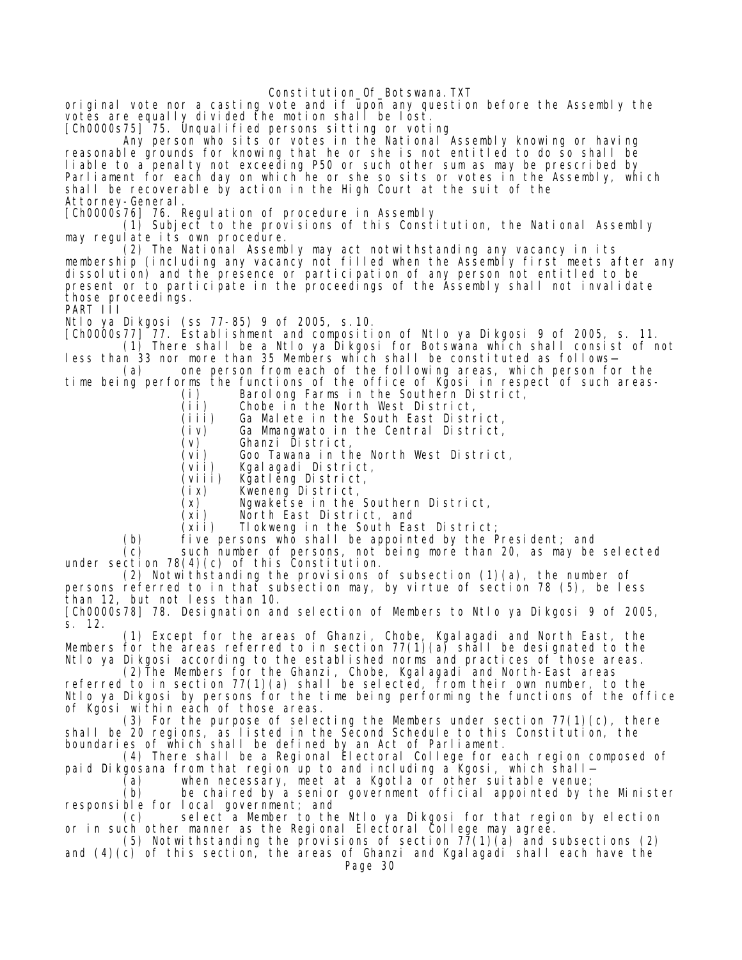original vote nor a casting vote and if upon any question before the Assembly the votes are equally divided the motion shall be lost.

[Ch0000s75] 75. Unqualified persons sitting or voting

Any person who sits or votes in the National Assembly knowing or having reasonable grounds for knowing that he or she is not entitled to do so shall be liable to a penalty not exceeding P50 or such other sum as may be prescribed by Parliament for each day on which he or she so sits or votes in the Assembly, which shall be recoverable by action in the High Court at the suit of the Attorney-General.

[Ch0000s76] 76. Regulation of procedure in Assembly

 $\sim$  (1) Subject to the provisions of this Constitution, the National Assembly may regulate its own procedure.

may regulate its own procedure.<br>(2) The National Assembly may act notwithstanding any vacancy in its membership (including any vacancy not filled when the Assembly first meets after any dissolution) and the presence or participation of any person not entitled to be present or to participate in the proceedings of the Assembly shall not invalidate those proceedings.

PART III

Ntlo ya Dikgosi (ss 77-85) 9 of 2005, s.10.

[Ch0000s77] 77. Establishment and composition of Ntlo ya Dikgosi 9 of 2005, s. 11. (1) There shall be a Ntlo ya Dikgosi for Botswana which shall consist of not less than 33 nor more than 35 Members which shall be constituted as follows—

(a) one person from each of the following areas, which person for the time being performs the functions of the office of Kgosi in respect of such areas-

(i) Barolong Farms in the Southern District,<br>(ii) Chobe in the North West District,

- (ii) Chobe in the North West District,<br>(iii) Ga Malete in the South East Distr
- Ga Malete in the South East District,
- (iv) Ga Mmangwato in the Central District,
- 
- (v) Ghanzi District,<br>(vi) Goo Tawana in th (vi) Goo Tawana in the North West District,<br>(vii) Kgalagadi District,
- (vii) Kgalagadi District,<br>(viii) Kgatleng District,
- (viii) Kgatleng District,<br>(ix) Kweneng District,
- Kweneng District,
- (x) Ngwaketse in the Southern District,<br>(xi) North East District, and
- (xi) North East District, and<br>(xii) Tlokweng in the South Eas
- Tlokweng in the South East District;

 (c) such number of persons, not being more than 20, as may be selected (b) five persons who shall be appointed by the President; and under section 78(4)(c) of this Constitution.

(2) Notwithstanding the provisions of subsection  $(1)(a)$ , the number of persons referred to in that subsection may, by virtue of section 78 (5), be less than 12, but not less than 10.

[Ch0000s78] 78. Designation and selection of Members to Ntlo ya Dikgosi 9 of 2005, s. 12.

(1) Except for the areas of Ghanzi, Chobe, Kgalagadi and North East, the Members for the areas referred to in section  $77(1)(a)$  shall be designated to the Ntlo ya Dikgosi according to the established norms and practices of those areas.

(2)The Members for the Ghanzi, Chobe, Kgalagadi and North-East areas referred to in section 77(1)(a) shall be selected, from their own number, to the Ntlo ya Dikgosi by persons for the time being performing the functions of the office of Kgosi within each of those areas.

(3) For the purpose of selecting the Members under section  $77(1)(c)$ , there shall be 20 regions, as listed in the Second Schedule to this Constitution, the boundaries of which shall be defined by an Act of Parliament.

(4) There shall be a Regional Electoral College for each region composed of paid Dikgosana from that region up to and including a Kgosi, which shall-

(a) when necessary, meet at a Kgotla or other suitable venue;<br>(b) be chaired by a senior government official appointed by the Minister (b) be chaired by a senior government official appointed by the Minister<br>responsible for local government; and<br>(c) select a Member to the Ntlo ya Dikgosi for that region by election

or in such other manner as the Regional Electoral College may agree.

(5) Notwithstanding the provisions of section  $77(1)(a)$  and subsections (2) and (4)(c) of this section, the areas of Ghanzi and Kgalagadi shall each have the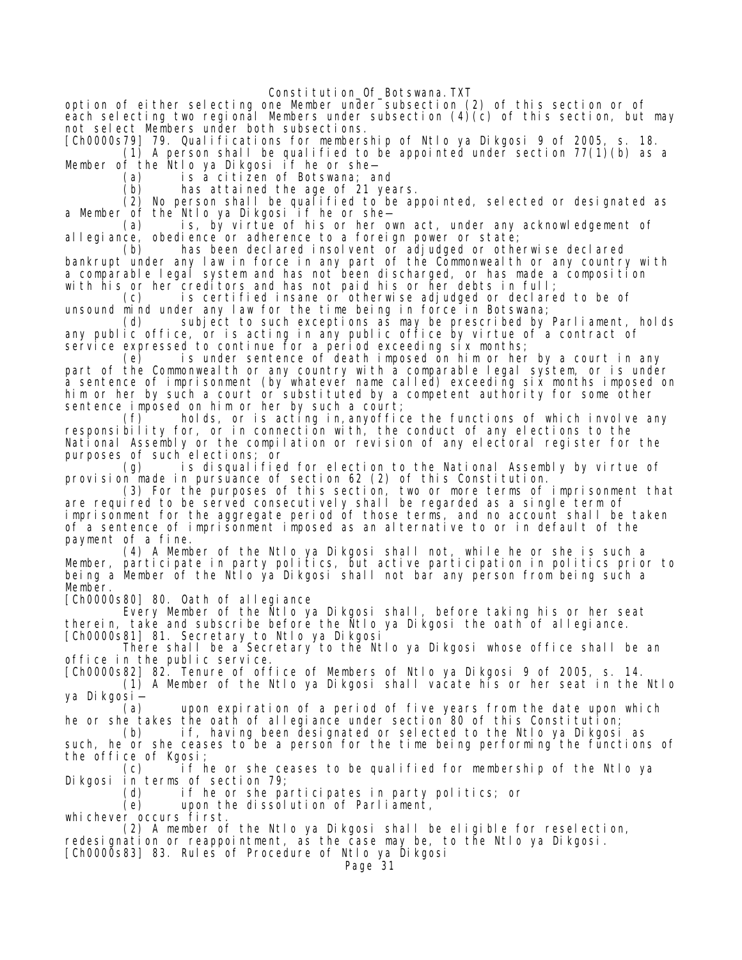option of either selecting one Member under subsection (2) of this section or of each selecting two regional Members under subsection  $(4)(c)$  of this section, but may not select Members under both subsections.

[Ch0000s79] 79. Qualifications for membership of Ntlo ya Dikgosi 9 of 2005, s. 18. (1) A person shall be qualified to be appointed under section 77(1)(b) as a Member of the Ntlo ya Dikgosi if he or she—

(a) is a citizen of Botswana; and<br>(b) has attained the age of 21 ye has attained the age of 21 years.

(2) No person shall be qualified to be appointed, selected or designated as a Member of the Ntlo ya Dikgosi if he or she-<br>(a) is, by virtue of his or her o

(a) is, by virtue of his or her own act, under any acknowledgement of allegiance, obedience or adherence to a foreign power or state;

allegiance, obedience or adherence to a foreign power or state;<br>(b) has been declared insolvent or adjudged or otherwise declared bankrupt under any law in force in any part of the Commonwealth or any country with a comparable legal system and has not been discharged, or has made a composition with his or her creditors and has not paid his or her debts in full;  $\,$ 

(c) is certified insane or otherwise adjudged or declared to be of unsound mind under any law for the time being in force in Botswana;

(d) subject to such exceptions as may be prescribed by Parliament, holds any public office, or is acting in any public office by virtue of a contract of service expressed to continue for a period exceeding  $\sin x$  months;

(e) is under sentence of death imposed on him or her by a court in any part of the Commonwealth or any country with a comparable legal system, or is under a sentence of imprisonment (by whatever name called) exceeding six months imposed on him or her by such a court or substituted by a competent authority for some other sentence imposed on him or her by such a court;<br>(f) holds, or is acting in, anyoffic

holds, or is acting in, anyoffice the functions of which involve any responsibility for, or in connection with, the conduct of any elections to the National Assembly or the compilation or revision of any electoral register for the purposes of such elections; or

(g) is disqualified for election to the National Assembly by virtue of provision made in pursuance of section 62 (2) of this Constitution.

(3) For the purposes of this section, two or more terms of imprisonment that are required to be served consecutively shall be regarded as a single term of imprisonment for the aggregate period of those terms, and no account shall be taken of a sentence of imprisonment imposed as an alternative to or in default of the payment of a fine.

(4) A Member of the Ntlo ya Dikgosi shall not, while he or she is such a Member, participate in party politics, but active participation in politics prior to being a Member of the Ntlo ya Dikgosi shall not bar any person from being such a Member.

[Ch0000s80] 80. Oath of allegiance

Every Member of the Ntlo ya Dikgosi shall, before taking his or her seat therein, take and subscribe before the Ntlo ya Dikgosi the oath of allegiance. [Ch0000s81] 81. Secretary to Ntlo ya Dikgosi

There shall be a Secretary to the Ntlo ya Dikgosi whose office shall be an office in the public service.

[Ch0000s82] 82. Tenure of office of Members of Ntlo ya Dikgosi 9 of 2005, s. 14.

(1) A Member of the Ntlo ya Dikgosi shall vacate his or her seat in the Ntlo ya Dikgosi—

(a) upon expiration of a period of five years from the date upon which he or she takes the oath of allegiance under section 80 of this Constitution;<br>(b) if, having been designated or selected to the Ntlo ya Dikgosi

if, having been designated or selected to the Ntlo ya Dikgosi as such, he or she ceases to be a person for the time being performing the functions of the office of Kgosi;

(c) if he or she ceases to be qualified for membership of the Ntlo ya<br>Dikgosi in terms of section 79;

(d) if he or she participates in party politics; or

 $(e)$  upon the dissolution of Parliament,

whichever occurs first.

(2) A member of the Ntlo ya Dikgosi shall be eligible for reselection, redesignation or reappointment, as the case may be, to the Ntlo ya Dikgosi. [Ch0000s83] 83. Rules of Procedure of Ntlo ya Dikgosi

Page 31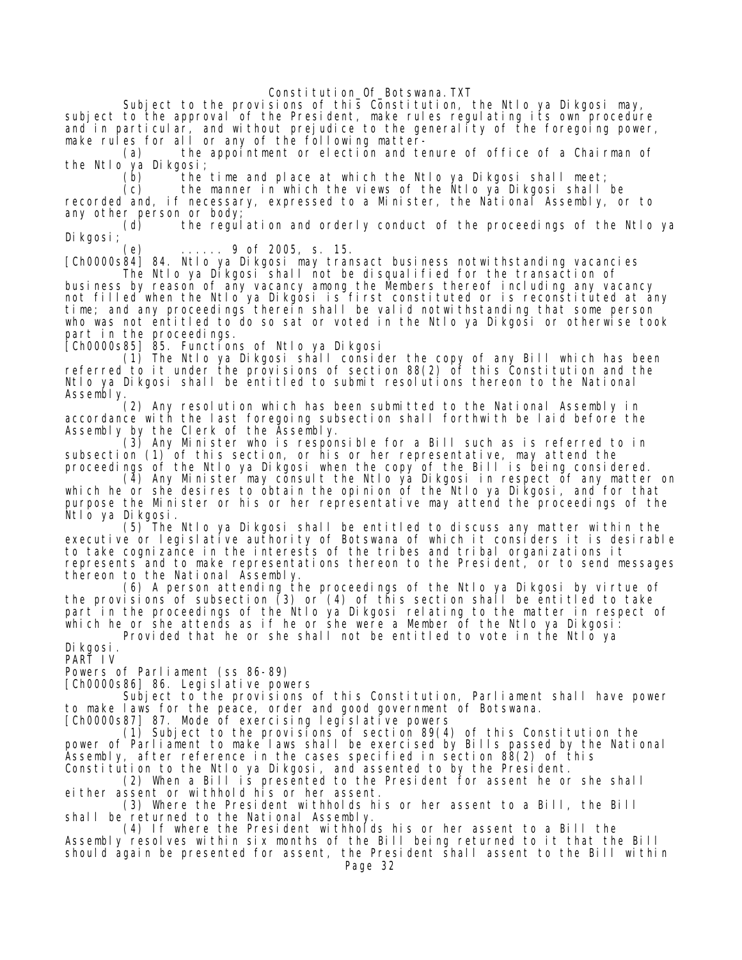Subject to the provisions of this Constitution, the Ntlo ya Dikgosi may, subject to the approval of the President, make rules regulating its own procedure and in particular, and without prejudice to the generality of the foregoing power, make rules for all or any of the following matter-<br>(a) the appointment or election and tenure of office of a Chairman of

the Ntlo ya Dikgosi;

(b) the time and place at which the Ntlo ya Dikgosi shall meet; (c) the manner in which the views of the Ntlo ya Dikgosi shall be

recorded and, if necessary, expressed to a Minister, the National Assembly, or to any other person or body;

(d) the regulation and orderly conduct of the proceedings of the Ntlo ya

Dikgosi; (e) ...... 9 of 2005, s. 15.

[Ch0000s84] 84. Ntlo ya Dikgosi may transact business notwithstanding vacancies The Ntlo ya Dikgosi shall not be disqualified for the transaction of business by reason of any vacancy among the Members thereof including any vacancy not filled when the Ntlo ya Dikgosi is first constituted or is reconstituted at any time; and any proceedings therein shall be valid notwithstanding that some person who was not entitled to do so sat or voted in the Ntlo ya Dikgosi or otherwise took part in the proceedings.

[Ch0000s85] 85. Functions of Ntlo ya Dikgosi

(1) The Ntlo ya Dikgosi shall consider the copy of any Bill which has been referred to it under the provisions of section 88(2) of this Constitution and the Ntlo ya Dikgosi shall be entitled to submit resolutions thereon to the National Assembly.

(2) Any resolution which has been submitted to the National Assembly in accordance with the last foregoing subsection shall forthwith be laid before the Assembly by the Clerk of the Assembly.

(3) Any Minister who is responsible for a Bill such as is referred to in subsection (1) of this section, or his or her representative, may attend the proceedings of the Ntlo ya Dikgosi when the copy of the Bill is being considered.

(4) Any Minister may consult the Ntlo ya Dikgosi in respect of any matter on which he or she desires to obtain the opinion of the Ntlo ya Dikgosi, and for that purpose the Minister or his or her representative may attend the proceedings of the Ntlo ya Dikgosi.

(5) The Ntlo ya Dikgosi shall be entitled to discuss any matter within the executive or legislative authority of Botswana of which it considers it is desirable to take cognizance in the interests of the tribes and tribal organizations it represents and to make representations thereon to the President, or to send messages thereon to the National Assembly.

(6) A person attending the proceedings of the Ntlo ya Dikgosi by virtue of the provisions of subsection (3) or (4) of this section shall be entitled to take part in the proceedings of the Ntlo ya Dikgosi relating to the matter in respect of which he or she attends as if he or she were a Member of the Ntlo ya Dikgosi:

Provided that he or she shall not be entitled to vote in the Ntlo ya

Dikgosi. PART IV

Powers of Parliament (ss 86-89)

[Ch0000s86] 86. Legislative powers

Subject to the provisions of this Constitution, Parliament shall have power to make laws for the peace, order and good government of Botswana.

[Ch0000s87] 87. Mode of exercising legislative powers

(1) Subject to the provisions of section 89(4) of this Constitution the power of Parliament to make laws shall be exercised by Bills passed by the National Assembly, after reference in the cases specified in section 88(2) of this Constitution to the Ntlo ya Dikgosi, and assented to by the President.

(2) When a Bill is presented to the President for assent he or she shall either assent or withhold his or her assent.

(3) Where the President withholds his or her assent to a Bill, the Bill shall be returned to the National Assembly.

(4) If where the President withholds his or her assent to a Bill the Assembly resolves within six months of the Bill being returned to it that the Bill should again be presented for assent, the President shall assent to the Bill within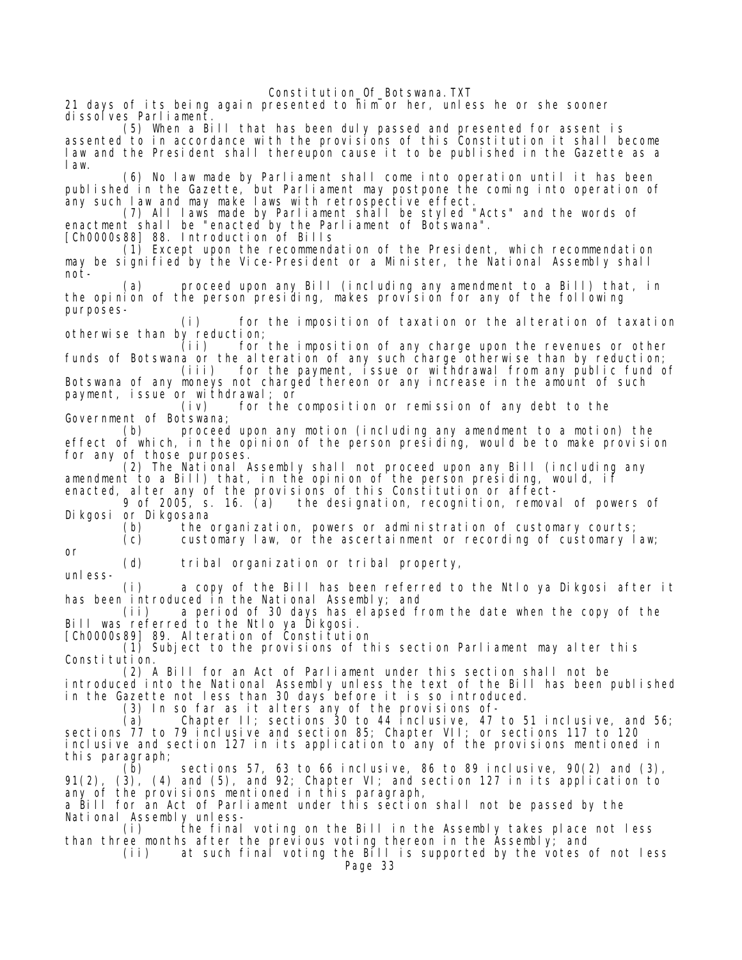21 days of its being again presented to him or her, unless he or she sooner dissolves Parliament.

(5) When a Bill that has been duly passed and presented for assent is assented to in accordance with the provisions of this Constitution it shall become law and the President shall thereupon cause it to be published in the Gazette as a law.

(6) No law made by Parliament shall come into operation until it has been published in the Gazette, but Parliament may postpone the coming into operation of any such law and may make laws with retrospective effect.

(7) All laws made by Parliament shall be styled "Acts" and the words of enactment shall be "enacted by the Parliament of Botswana".

[Ch0000s88] 88. Introduction of Bills

(1) Except upon the recommendation of the President, which recommendation may be signified by the Vice-President or a Minister, the National Assembly shall

not- (a) proceed upon any Bill (including any amendment to a Bill) that, in the opinion of the person presiding, makes provision for any of the following purposes-

(i) for the imposition of taxation or the alteration of taxation otherwise than by reduction;

for the imposition of any charge upon the revenues or other funds of Botswana or the alteration of any such charge otherwise than by reduction;

(iii) for the payment, issue or withdrawal from any public fund of Botswana of any moneys not charged thereon or any increase in the amount of such payment, issue or withdrawal; or<br>(iv) for the

for the composition or remission of any debt to the Government of Botswana;

(b) proceed upon any motion (including any amendment to a motion) the effect of which, in the opinion of the person presiding, would be to make provision for any of those purposes.

(2) The National Assembly shall not proceed upon any Bill (including any amendment to a Bill) that, in the opinion of the person presiding, would, if enacted, alter any of the provisions of this Constitution or affect-

9 of 2005, s. 16. (a) the designation, recognition, removal of powers of Dikgosi or Dikgosana

(b) the organization, powers or administration of customary courts;

- (c) customary law, or the ascertainment or recording of customary law;
- or

(d) tribal organization or tribal property,

 (i) a copy of the Bill has been referred to the Ntlo ya Dikgosi after it unless has been introduced in the National Assembly; and

(ii) a period of 30 days has elapsed from the date when the copy of the Bill was referred to the Ntlo ya Dikgosi.

[Ch0000s89] 89. Alteration of Constitution

(1) Subject to the provisions of this section Parliament may alter this Constitution.

(2) A Bill for an Act of Parliament under this section shall not be introduced into the National Assembly unless the text of the Bill has been published in the Gazette not less than 30 days before it is so introduced.

(3) In so far as it alters any of the provisions of- (a) Chapter II; sections 30 to 44 inclusive, 47 to 51 inclusive, and 56; sections 77 to 79 inclusive and section 85; Chapter VII; or sections 117 to 120 inclusive and section 127 in its application to any of the provisions mentioned in this paragraph;

 (b) sections 57, 63 to 66 inclusive, 86 to 89 inclusive, 90(2) and (3), 91(2), (3), (4) and (5), and 92; Chapter VI; and section 127 in its application to any of the provisions mentioned in this paragraph,

a Bill for an Act of Parliament under this section shall not be passed by the National Assembly unless-

(i) the final voting on the Bill in the Assembly takes place not less<br>than three months after the previous voting thereon in the Assembly; and

 $(i)$  at such final voting the Bill is supported by the votes of not less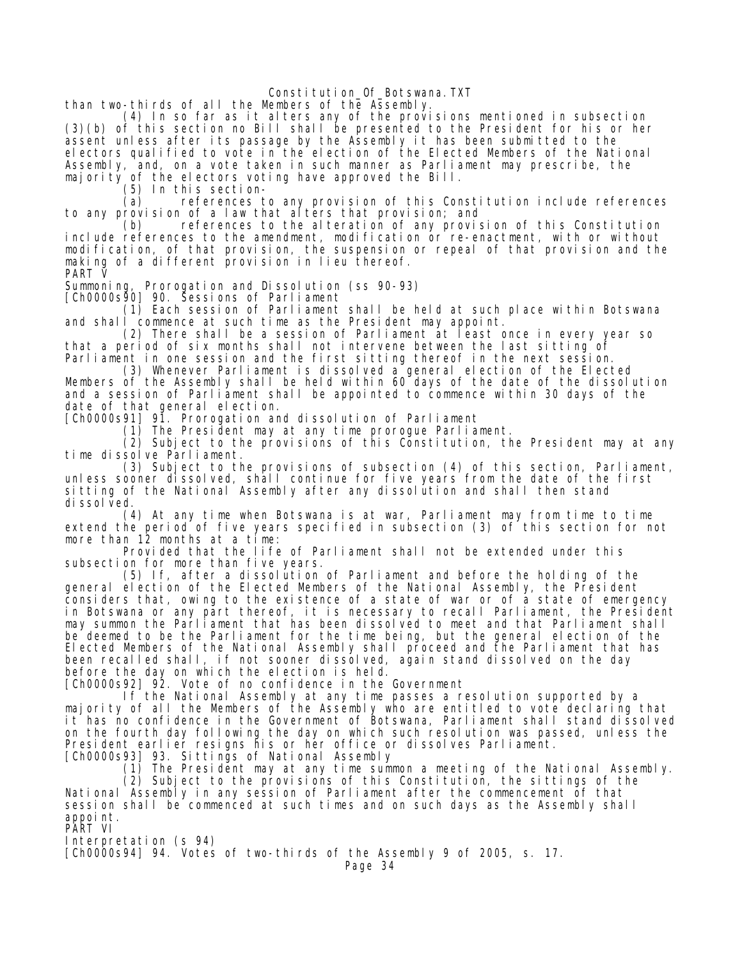than two-thirds of all the Members of the Assembly.

(4) In so far as it alters any of the provisions mentioned in subsection (3)(b) of this section no Bill shall be presented to the President for his or her assent unless after its passage by the Assembly it has been submitted to the electors qualified to vote in the election of the Elected Members of the National Assembly, and, on a vote taken in such manner as Parliament may prescribe, the majority of the electors voting have approved the Bill. (5) In this section-

(a) references to any provision of this Constitution include references to any provision of a law that alters that provision; and<br>(b) references to the alteration of any provis

references to the alteration of any provision of this Constitution include references to the amendment, modification or re-enactment, with or without modification, of that provision, the suspension or repeal of that provision and the making of a different provision in lieu thereof.

PART V

Summoning, Prorogation and Dissolution (ss 90-93)

[Ch0000s90] 90. Sessions of Parliament

(1) Each session of Parliament shall be held at such place within Botswana and shall commence at such time as the President may appoint.

(2) There shall be a session of Parliament at least once in every year so that a period of six months shall not intervene between the last sitting of Parliament in one session and the first sitting thereof in the next session.

(3) Whenever Parliament is dissolved a general election of the Elected Members of the Assembly shall be held within 60 days of the date of the dissolution and a session of Parliament shall be appointed to commence within 30 days of the date of that general election.

[Ch0000s91] 91. Prorogation and dissolution of Parliament

(1) The President may at any time prorogue Parliament.

(2) Subject to the provisions of this Constitution, the President may at any time dissolve Parliament.

(3) Subject to the provisions of subsection (4) of this section, Parliament, unless sooner dissolved, shall continue for five years from the date of the first sitting of the National Assembly after any dissolution and shall then stand dissolved.

(4) At any time when Botswana is at war, Parliament may from time to time extend the period of five years specified in subsection (3) of this section for not more than 12 months at a time:

Provided that the life of Parliament shall not be extended under this subsection for more than five years.

(5) If, after a dissolution of Parliament and before the holding of the general election of the Elected Members of the National Assembly, the President considers that, owing to the existence of a state of war or of a state of emergency in Botswana or any part thereof, it is necessary to recall Parliament, the President may summon the Parliament that has been dissolved to meet and that Parliament shall be deemed to be the Parliament for the time being, but the general election of the Elected Members of the National Assembly shall proceed and the Parliament that has been recalled shall, if not sooner dissolved, again stand dissolved on the day before the day on which the election is held.

[Ch0000s92] 92. Vote of no confidence in the Government

If the National Assembly at any time passes a resolution supported by a majority of all the Members of the Assembly who are entitled to vote declaring that it has no confidence in the Government of Botswana, Parliament shall stand dissolved on the fourth day following the day on which such resolution was passed, unless the President earlier resigns his or her office or dissolves Parliament. [Ch0000s93] 93. Sittings of National Assembly

(1) The President may at any time summon a meeting of the National Assembly. (2) Subject to the provisions of this Constitution, the sittings of the National Assembly in any session of Parliament after the commencement of that session shall be commenced at such times and on such days as the Assembly shall appoint. PART VI

Interpretation (s 94)

[Ch0000s94] 94. Votes of two-thirds of the Assembly 9 of 2005, s. 17.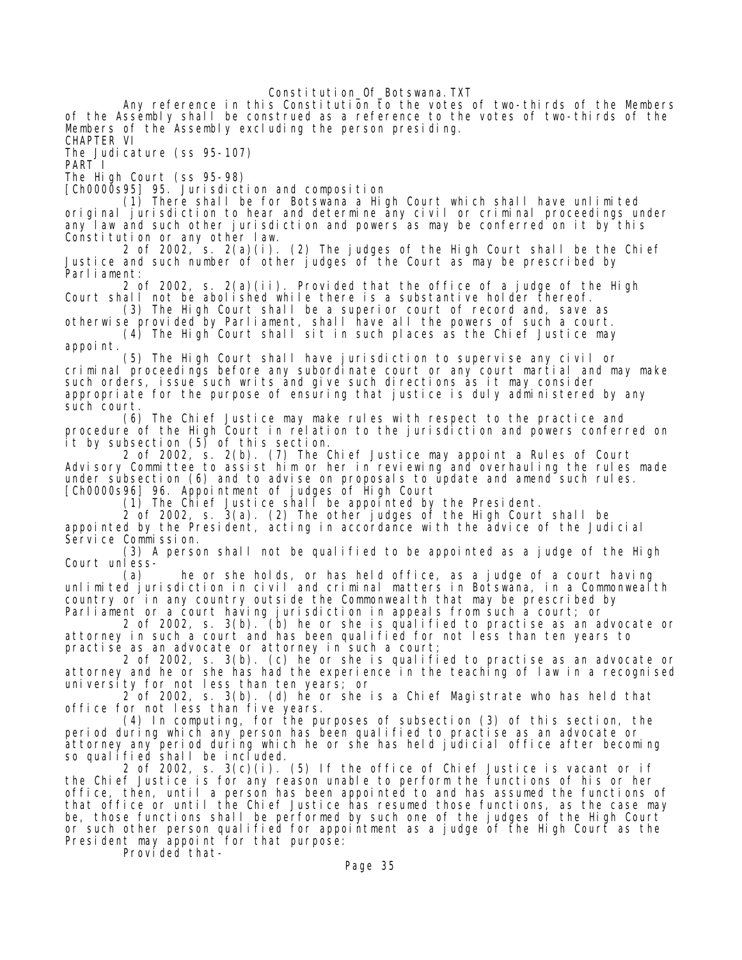Any reference in this Constitution to the votes of two-thirds of the Members of the Assembly shall be construed as a reference to the votes of two-thirds of the Members of the Assembly excluding the person presiding.

CHAPTER VI The Judicature (ss 95-107)

PART I

The High Court (ss 95-98)

[Ch0000s95] 95. Jurisdiction and composition

(1) There shall be for Botswana a High Court which shall have unlimited original jurisdiction to hear and determine any civil or criminal proceedings under any law and such other jurisdiction and powers as may be conferred on it by this Constitution or any other law.

2 of 2002, s. 2(a)(i). (2) The judges of the High Court shall be the Chief Justice and such number of other judges of the Court as may be prescribed by Parliament:

2 of 2002, s. 2(a)(ii). Provided that the office of a judge of the High Court shall not be abolished while there is a substantive holder thereof.

(3) The High Court shall be a superior court of record and, save as otherwise provided by Parliament, shall have all the powers of such a court.

(4) The High Court shall sit in such places as the Chief Justice may appoint.

(5) The High Court shall have jurisdiction to supervise any civil or criminal proceedings before any subordinate court or any court martial and may make such orders, issue such writs and give such directions as it may consider appropriate for the purpose of ensuring that justice is duly administered by any such court.

(6) The Chief Justice may make rules with respect to the practice and procedure of the High Court in relation to the jurisdiction and powers conferred on it by subsection (5) of this section.

2 of 2002, s. 2(b). (7) The Chief Justice may appoint a Rules of Court Advisory Committee to assist him or her in reviewing and overhauling the rules made under subsection (6) and to advise on proposals to update and amend such rules. [Ch0000s96] 96. Appointment of judges of High Court

(1) The Chief Justice shall be appointed by the President.

2 of 2002, s. 3(a). (2) The other judges of the High Court shall be appointed by the President, acting in accordance with the advice of the Judicial Service Commission.

(3) A person shall not be qualified to be appointed as a judge of the High Court unless-

 (a) he or she holds, or has held office, as a judge of a court having unlimited jurisdiction in civil and criminal matters in Botswana, in a Commonwealth country or in any country outside the Commonwealth that may be prescribed by Parliament or a court having jurisdiction in appeals from such a court; or

2 of 2002, s. 3(b). (b) he or she is qualified to practise as an advocate or attorney in such a court and has been qualified for not less than ten years to practise as an advocate or attorney in such a court;

2 of 2002, s. 3(b). (c) he or she is qualified to practise as an advocate or attorney and he or she has had the experience in the teaching of law in a recognised university for not less than ten years; or

2 of 2002, s. 3(b). (d) he or she is a Chief Magistrate who has held that office for not less than five years.

(4) In computing, for the purposes of subsection (3) of this section, the period during which any person has been qualified to practise as an advocate or attorney any period during which he or she has held judicial office after becoming so qualified shall be included.

2 of 2002, s. 3(c)(i). (5) If the office of Chief Justice is vacant or if the Chief Justice is for any reason unable to perform the functions of his or her office, then, until a person has been appointed to and has assumed the functions of that office or until the Chief Justice has resumed those functions, as the case may be, those functions shall be performed by such one of the judges of the High Court or such other person qualified for appointment as a judge of the High Court as the President may appoint for that purpose:

Provided that-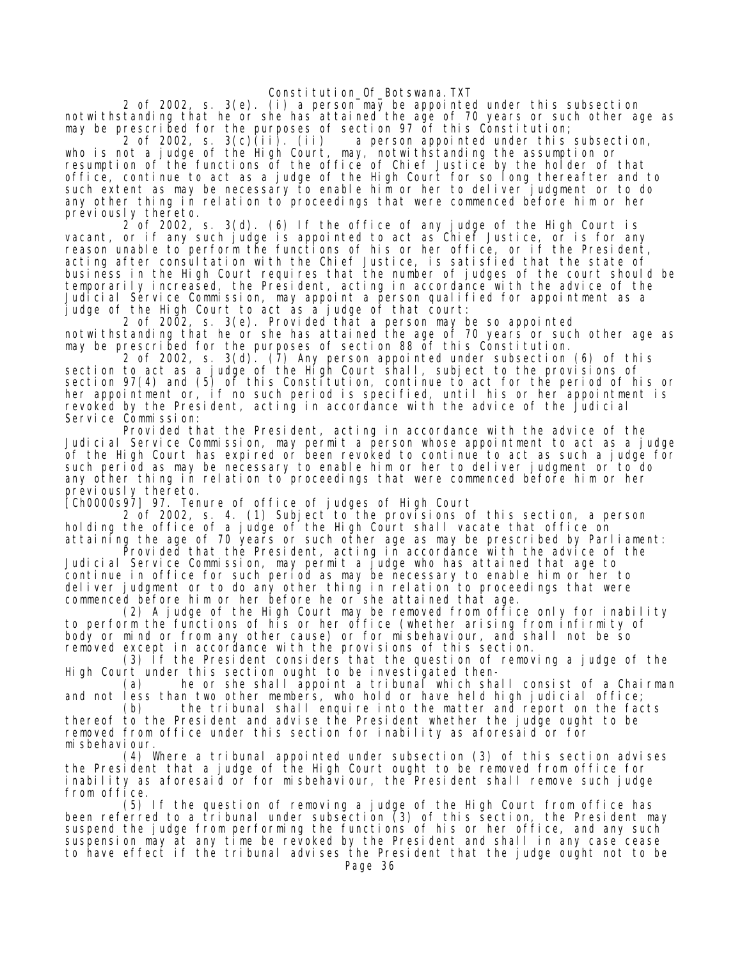2 of 2002, s. 3(e). (i) a person may be appointed under this subsection notwithstanding that he or she has attained the age of 70 years or such other age as may be prescribed for the purposes of section 97 of this Constitution;

2 of 2002, s. 3(c)(ii). (ii) a person appointed under this subsection, who is not a judge of the High Court, may, notwithstanding the assumption or resumption of the functions of the office of Chief Justice by the holder of that office, continue to act as a judge of the High Court for so long thereafter and to such extent as may be necessary to enable him or her to deliver judgment or to do any other thing in relation to proceedings that were commenced before him or her previously thereto.

2 of 2002, s. 3(d). (6) If the office of any judge of the High Court is vacant, or if any such judge is appointed to act as Chief Justice, or is for any reason unable to perform the functions of his or her office, or if the President, acting after consultation with the Chief Justice, is satisfied that the state of business in the High Court requires that the number of judges of the court should be temporarily increased, the President, acting in accordance with the advice of the Judicial Service Commission, may appoint a person qualified for appointment as a judge of the High Court to act as a judge of that court:

2 of 2002, s. 3(e). Provided that a person may be so appointed notwithstanding that he or she has attained the age of 70 years or such other age as may be prescribed for the purposes of section 88 of this Constitution.

2 of 2002, s. 3(d). (7) Any person appointed under subsection (6) of this section to act as a judge of the High Court shall, subject to the provisions of section 97(4) and (5) of this Constitution, continue to act for the period of his or her appointment or, if no such period is specified, until his or her appointment is revoked by the President, acting in accordance with the advice of the Judicial Service Commission:

Provided that the President, acting in accordance with the advice of the Judicial Service Commission, may permit a person whose appointment to act as a judge of the High Court has expired or been revoked to continue to act as such a judge for such period as may be necessary to enable him or her to deliver judgment or to do any other thing in relation to proceedings that were commenced before him or her previously thereto.

[Ch0000s97] 97. Tenure of office of judges of High Court

2 of 2002, s. 4. (1) Subject to the provisions of this section, a person holding the office of a judge of the High Court shall vacate that office on attaining the age of 70 years or such other age as may be prescribed by Parliament:

Provided that the President, acting in accordance with the advice of the Judicial Service Commission, may permit a judge who has attained that age to continue in office for such period as may be necessary to enable him or her to deliver judgment or to do any other thing in relation to proceedings that were commenced before him or her before he or she attained that age.

(2) A judge of the High Court may be removed from office only for inability to perform the functions of his or her office (whether arising from infirmity of body or mind or from any other cause) or for misbehaviour, and shall not be so removed except in accordance with the provisions of this section.

(3) If the President considers that the question of removing a judge of the High Court under this section ought to be investigated then- (a) he or she shall appoint a tribunal which shall consist of a Chairman

and not less than two other members, who hold or have held high judicial office;

(b) the tribunal shall enquire into the matter and report on the facts thereof to the President and advise the President whether the judge ought to be removed from office under this section for inability as aforesaid or for mi sbehavi our.

(4) Where a tribunal appointed under subsection (3) of this section advises the President that a judge of the High Court ought to be removed from office for inability as aforesaid or for misbehaviour, the President shall remove such judge from office.

(5) If the question of removing a judge of the High Court from office has been referred to a tribunal under subsection (3) of this section, the President may suspend the judge from performing the functions of his or her office, and any such suspension may at any time be revoked by the President and shall in any case cease to have effect if the tribunal advises the President that the judge ought not to be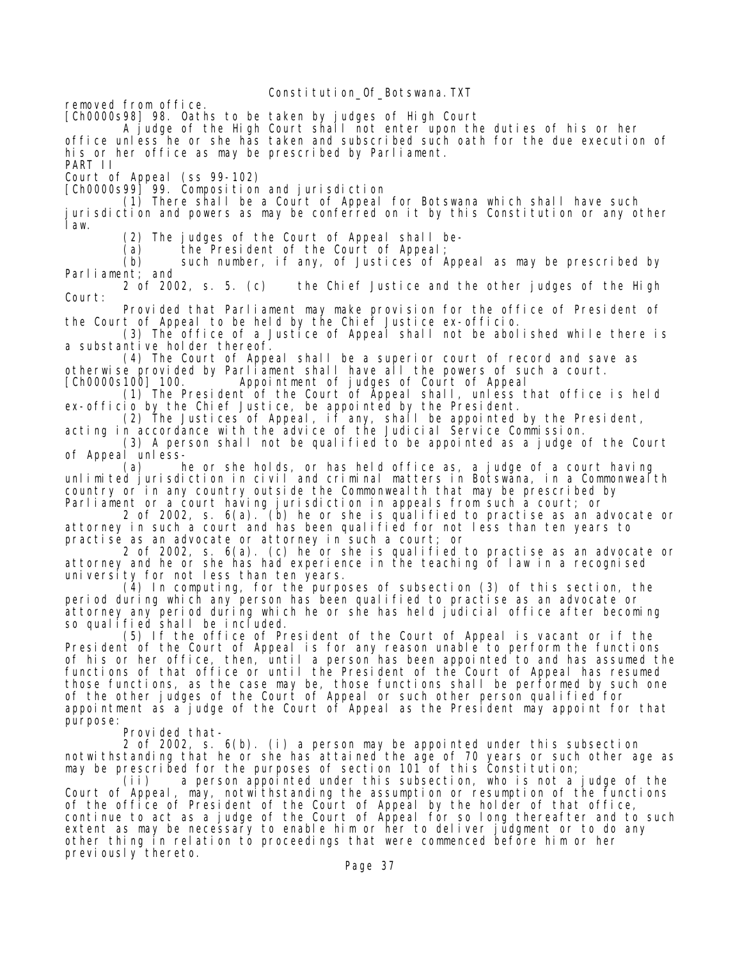removed from office.

[Ch0000s98] 98. Oaths to be taken by judges of High Court

A judge of the High Court shall not enter upon the duties of his or her office unless he or she has taken and subscribed such oath for the due execution of his or her office as may be prescribed by Parliament.

PART II Court of Appeal (ss 99-102)

[Ch0000s99] 99. Composition and jurisdiction

(1) There shall be a Court of Appeal for Botswana which shall have such jurisdiction and powers as may be conferred on it by this Constitution or any other law.

(2) The judges of the Court of Appeal shall be-<br>
(a) the President of the Court of Appeal;<br>
(b) such number, if any, of Justices of App

such number, if any, of Justices of Appeal as may be prescribed by

Parliament; and<br>2 of 2002, s. 5. (c) the Chief Justice and the other judges of the High Court:

Provided that Parliament may make provision for the office of President of the Court of Appeal to be held by the Chief Justice ex-officio.

(3) The office of a Justice of Appeal shall not be abolished while there is a substantive holder thereof.

(4) The Court of Appeal shall be a superior court of record and save as otherwise provided by Parliament shall have all the powers of such a court.

[Ch0000s100] 100. Appointment of judges of Court of Appeal (1) The President of the Court of Appeal shall, unless that office is held ex-officio by the Chief Justice, be appointed by the President.

(2) The Justices of Appeal, if any, shall be appointed by the President,

acting in accordance with the advice of the Judicial Service Commission.

(3) A person shall not be qualified to be appointed as a judge of the Court of Appeal unless-

 (a) he or she holds, or has held office as, a judge of a court having unlimited jurisdiction in civil and criminal matters in Botswana, in a Commonwealth country or in any country outside the Commonwealth that may be prescribed by Parliament or a court having jurisdiction in appeals from such a court; or

2 of 2002, s. 6(a). (b) he or she is qualified to practise as an advocate or attorney in such a court and has been qualified for not less than ten years to practise as an advocate or attorney in such a court; or

2 of 2002, s. 6(a). (c) he or she is qualified to practise as an advocate or attorney and he or she has had experience in the teaching of law in a recognised university for not less than ten years.

(4) In computing, for the purposes of subsection (3) of this section, the period during which any person has been qualified to practise as an advocate or attorney any period during which he or she has held judicial office after becoming so qualified shall be included.

(5) If the office of President of the Court of Appeal is vacant or if the President of the Court of Appeal is for any reason unable to perform the functions of his or her office, then, until a person has been appointed to and has assumed the functions of that office or until the President of the Court of Appeal has resumed those functions, as the case may be, those functions shall be performed by such one of the other judges of the Court of Appeal or such other person qualified for appointment as a judge of the Court of Appeal as the President may appoint for that purpose:

Provided that-

2 of 2002, s. 6(b). (i) a person may be appointed under this subsection notwithstanding that he or she has attained the age of 70 years or such other age as may be prescribed for the purposes of section 101 of this Constitution;<br>(ii) a person appointed under this subsection, who is not a

a person appointed under this subsection, who is not a judge of the Court of Appeal, may, notwithstanding the assumption or resumption of the functions of the office of President of the Court of Appeal by the holder of that office, continue to act as a judge of the Court of Appeal for so long thereafter and to such extent as may be necessary to enable him or her to deliver judgment or to do any other thing in relation to proceedings that were commenced before him or her previously thereto.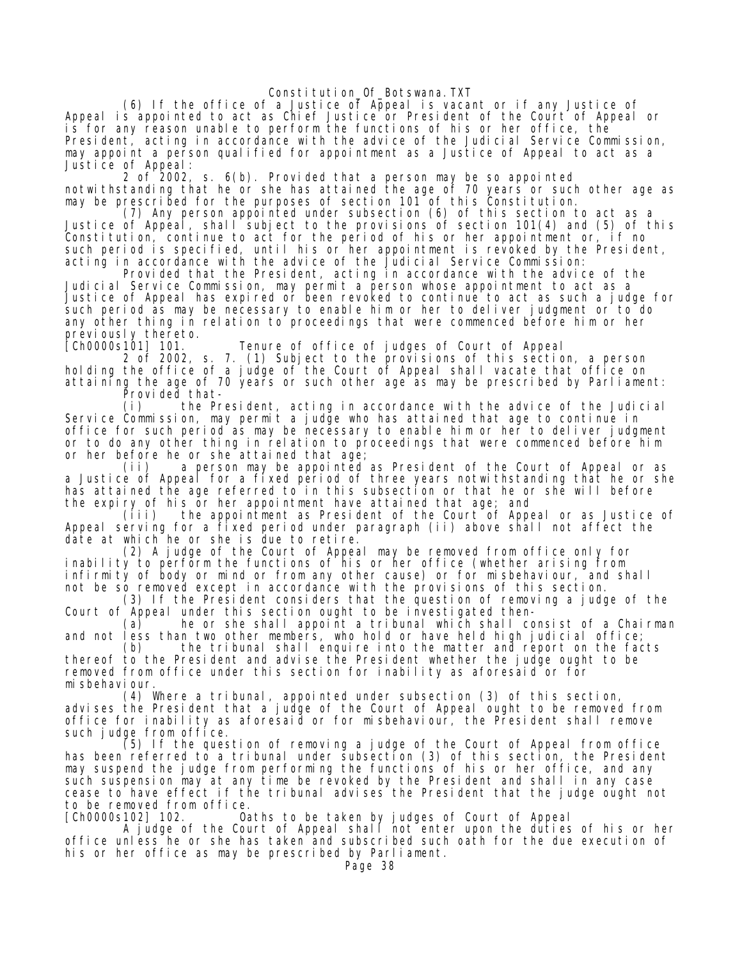(6) If the office of a Justice of Appeal is vacant or if any Justice of Appeal is appointed to act as Chief Justice or President of the Court of Appeal or is for any reason unable to perform the functions of his or her office, the President, acting in accordance with the advice of the Judicial Service Commission, may appoint a person qualified for appointment as a Justice of Appeal to act as a Justice of Appeal:

2 of 2002, s. 6(b). Provided that a person may be so appointed notwithstanding that he or she has attained the age of 70 years or such other age as may be prescribed for the purposes of section 101 of this Constitution.

(7) Any person appointed under subsection (6) of this section to act as a Justice of Appeal, shall subject to the provisions of section 101(4) and (5) of this Constitution, continue to act for the period of his or her appointment or, if no such period is specified, until his or her appointment is revoked by the President, acting in accordance with the advice of the Judicial Service Commission:

Provided that the President, acting in accordance with the advice of the Judicial Service Commission, may permit a person whose appointment to act as a Justice of Appeal has expired or been revoked to continue to act as such a judge for such period as may be necessary to enable him or her to deliver judgment or to do any other thing in relation to proceedings that were commenced before him or her previously thereto.

[Ch0000s101] 101. Tenure of office of judges of Court of Appeal

2 of 2002, s. 7. (1) Subject to the provisions of this section, a person holding the office of a judge of the Court of Appeal shall vacate that office on attaining the age of 70 years or such other age as may be prescribed by Parliament: Provided that-

(i) the President, acting in accordance with the advice of the Judicial Service Commission, may permit a judge who has attained that age to continue in office for such period as may be necessary to enable him or her to deliver judgment or to do any other thing in relation to proceedings that were commenced before him or her before he or she attained that age;

(ii) a person may be appointed as President of the Court of Appeal or as a Justice of Appeal for a fixed period of three years notwithstanding that he or she has attained the age referred to in this subsection or that he or she will before the expiry of his or her appointment have attained that age; and

(iii) the appointment as President of the Court of Appeal or as Justice of Appeal serving for a fixed period under paragraph (ii) above shall not affect the date at which he or she is due to retire.

(2) A judge of the Court of Appeal may be removed from office only for inability to perform the functions of his or her office (whether arising from infirmity of body or mind or from any other cause) or for misbehaviour, and shall not be so removed except in accordance with the provisions of this section.

(3) If the President considers that the question of removing a judge of the Court of Appeal under this section ought to be investigated then- (a) he or she shall appoint a tribunal which shall consist of a Chairman

and not less than two other members, who hold or have held high judicial office;

(b) the tribunal shall enquire into the matter and report on the facts thereof to the President and advise the President whether the judge ought to be removed from office under this section for inability as aforesaid or for misbehaviour.

(4) Where a tribunal, appointed under subsection (3) of this section, advises the President that a judge of the Court of Appeal ought to be removed from office for inability as aforesaid or for misbehaviour, the President shall remove such judge from office.<br>(5) If the question of removing a judge of the Court of Appeal from office

has been referred to a tribunal under subsection (3) of this section, the President may suspend the judge from performing the functions of his or her office, and any such suspension may at any time be revoked by the President and shall in any case cease to have effect if the tribunal advises the President that the judge ought not to be removed from office.

[Ch0000s102] 102. Oaths to be taken by judges of Court of Appeal

A judge of the Court of Appeal shall not enter upon the duties of his or her office unless he or she has taken and subscribed such oath for the due execution of his or her office as may be prescribed by Parliament.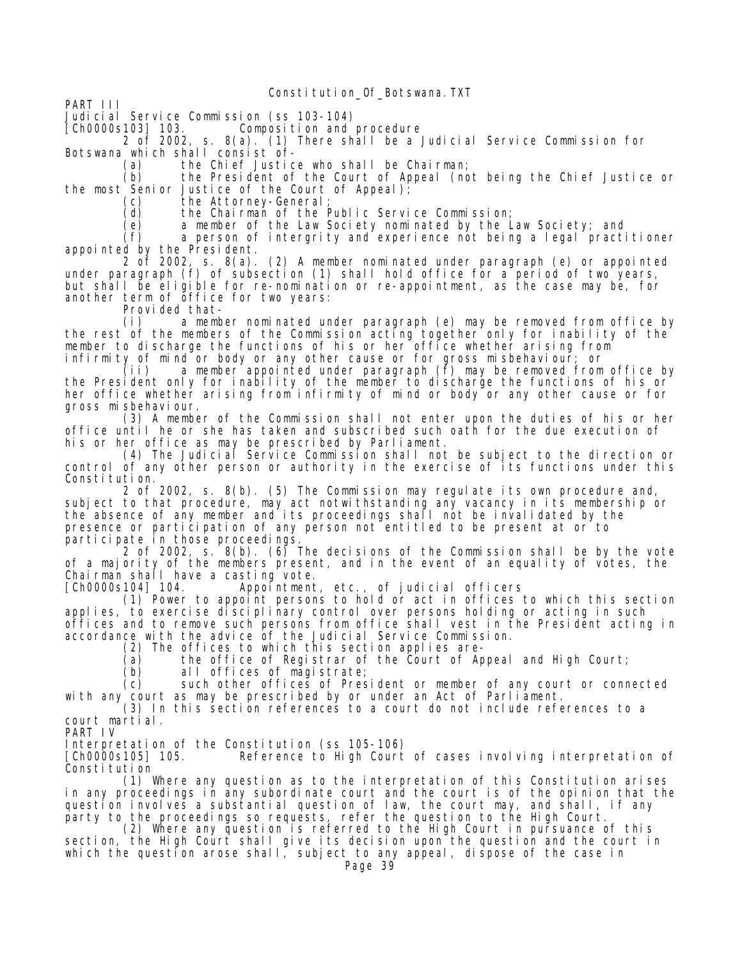PART III

Judicial Service Commission (ss 103-104)<br>[Ch0000s103] 103. Composition and Composition and procedure

2 of 2002, s. 8(a). (1) There shall be a Judicial Service Commission for Botswana which shall consist of-

(a) the Chief Justice who shall be Chairman;<br>(b) the President of the Court of Appeal (no

(b) the President of the Court of Appeal (not being the Chief Justice or the most Senior Justice of the Court of Appeal);<br>(c) the Attorney-General;

(c) the Attorney-General;<br>(d) the Chairman of the l

(d) the Chairman of the Public Service Commission;<br>(e) a member of the Law Society nominated by the L

(e) a member of the Law Society nominated by the Law Society; and<br>(f) a person of intergrity and experience not being a legal practi a person of intergrity and experience not being a legal practitioner appointed by the President.

2 of 2002, s. 8(a). (2) A member nominated under paragraph (e) or appointed under paragraph (f) of subsection (1) shall hold office for a period of two years, under paragraph (f) of subsection (1) shall hold office for a period of two years,<br>but shall be eligible for re-nomination or re-appointment, as the case may be, for another term of office for two years:

Provided that-

(i) a member nominated under paragraph (e) may be removed from office by the rest of the members of the Commission acting together only for inability of the member to discharge the functions of his or her office whether arising from infirmity of mind or body or any other cause or for gross misbehaviour; or

(ii) a member appointed under paragraph (f) may be removed from office by the President only for inability of the member to discharge the functions of his or her office whether arising from infirmity of mind or body or any other cause or for gross misbehaviour.

(3) A member of the Commission shall not enter upon the duties of his or her office until he or she has taken and subscribed such oath for the due execution of his or her office as may be prescribed by Parliament.

(4) The Judicial Service Commission shall not be subject to the direction or control of any other person or authority in the exercise of its functions under this Constitution.

2 of 2002, s. 8(b). (5) The Commission may regulate its own procedure and, subject to that procedure, may act notwithstanding any vacancy in its membership or the absence of any member and its proceedings shall not be invalidated by the presence or participation of any person not entitled to be present at or to participate in those proceedings.

2 of 2002, s. 8(b). (6) The decisions of the Commission shall be by the vote of a majority of the members present, and in the event of an equality of votes, the Chairman shall have a casting vote.<br>[Ch0000s104] 104. Appointment

[Ch0000s104] 104. Appointment, etc., of judicial officers

(1) Power to appoint persons to hold or act in offices to which this section applies, to exercise disciplinary control over persons holding or acting in such offices and to remove such persons from office shall vest in the President acting in accordance with the advice of the Judicial Service Commission.

(2) The offices to which this section applies are-<br>(a) the office of Registrar of the Court of Ap (a) the office of Registrar of the Court of Appeal and High Court;<br>(b) all offices of magistrate;

all offices of magistrate;

(c) such other offices of President or member of any court or connected with any court as may be prescribed by or under an Act of Parliament.

(3) In this section references to a court do not include references to a court martial.

PART IV

Interpretation of the Constitution (ss 105-106)

[Ch0000s105] 105. Reference to High Court of cases involving interpretation of Constitution

(1) Where any question as to the interpretation of this Constitution arises in any proceedings in any subordinate court and the court is of the opinion that the question involves a substantial question of law, the court may, and shall, if any party to the proceedings so requests, refer the question to the High Court.

(2) Where any question is referred to the High Court in pursuance of this section, the High Court shall give its decision upon the question and the court in which the question arose shall, subject to any appeal, dispose of the case in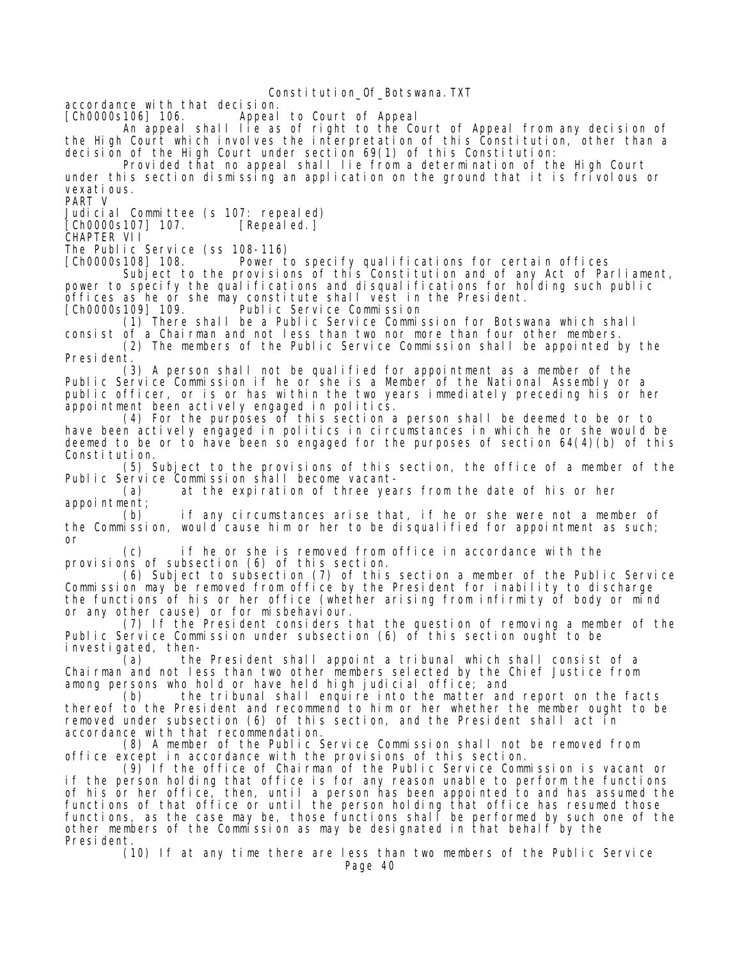accordance with that decision.

accordance with that decision.<br>[Ch0000s106] 106. Appeal to Court of Appeal

An appeal shall lie as of right to the Court of Appeal from any decision of the High Court which involves the interpretation of this Constitution, other than a decision of the High Court under section 69(1) of this Constitution:

Provided that no appeal shall lie from a determination of the High Court under this section dismissing an application on the ground that it is frivolous or vexatious. PART V

Judicial Committee (s 107: repealed)<br>[Ch0000s107] 107. [Repealed.]  $[Ch0000s107]$  107.

CHAPTER VII

The Public Service (ss 108-116)

Power to specify qualifications for certain offices Subject to the provisions of this Constitution and of any Act of Parliament, power to specify the qualifications and disqualifications for holding such public offices as he or she may constitute shall vest in the President.<br>[Ch0000s109] 109. Public Service Commission Public Service Commission

(1) There shall be a Public Service Commission for Botswana which shall

consist of a Chairman and not less than two nor more than four other members. (2) The members of the Public Service Commission shall be appointed by the President.

(3) A person shall not be qualified for appointment as a member of the Public Service Commission if he or she is a Member of the National Assembly or a public officer, or is or has within the two years immediately preceding his or her appointment been actively engaged in politics.

(4) For the purposes of this section a person shall be deemed to be or to have been actively engaged in politics in circumstances in which he or she would be deemed to be or to have been so engaged for the purposes of section  $64(4)(b)$  of this Constitution.

(5) Subject to the provisions of this section, the office of a member of the Public Service Commission shall become vacant-

(a) at the expiration of three years from the date of his or her appointment;

(b) if any circumstances arise that, if he or she were not a member of the Commission, would cause him or her to be disqualified for appointment as such; or

 (c) if he or she is removed from office in accordance with the provisions of subsection (6) of this section.

(6) Subject to subsection (7) of this section a member of the Public Service Commission may be removed from office by the President for inability to discharge the functions of his or her office (whether arising from infirmity of body or mind or any other cause) or for misbehaviour.

(7) If the President considers that the question of removing a member of the Public Service Commission under subsection (6) of this section ought to be

investigated, then-<br>a) the the President shall appoint a tribunal which shall consist of a Chairman and not less than two other members selected by the Chief Justice from among persons who hold or have held high judicial office; and

(b) the tribunal shall enquire into the matter and report on the facts thereof to the President and recommend to him or her whether the member ought to be removed under subsection (6) of this section, and the President shall act in accordance with that recommendation.

(8) A member of the Public Service Commission shall not be removed from office except in accordance with the provisions of this section.

(9) If the office of Chairman of the Public Service Commission is vacant or if the person holding that office is for any reason unable to perform the functions of his or her office, then, until a person has been appointed to and has assumed the functions of that office or until the person holding that office has resumed those functions, as the case may be, those functions shall be performed by such one of the other members of the Commission as may be designated in that behalf by the President.

(10) If at any time there are less than two members of the Public Service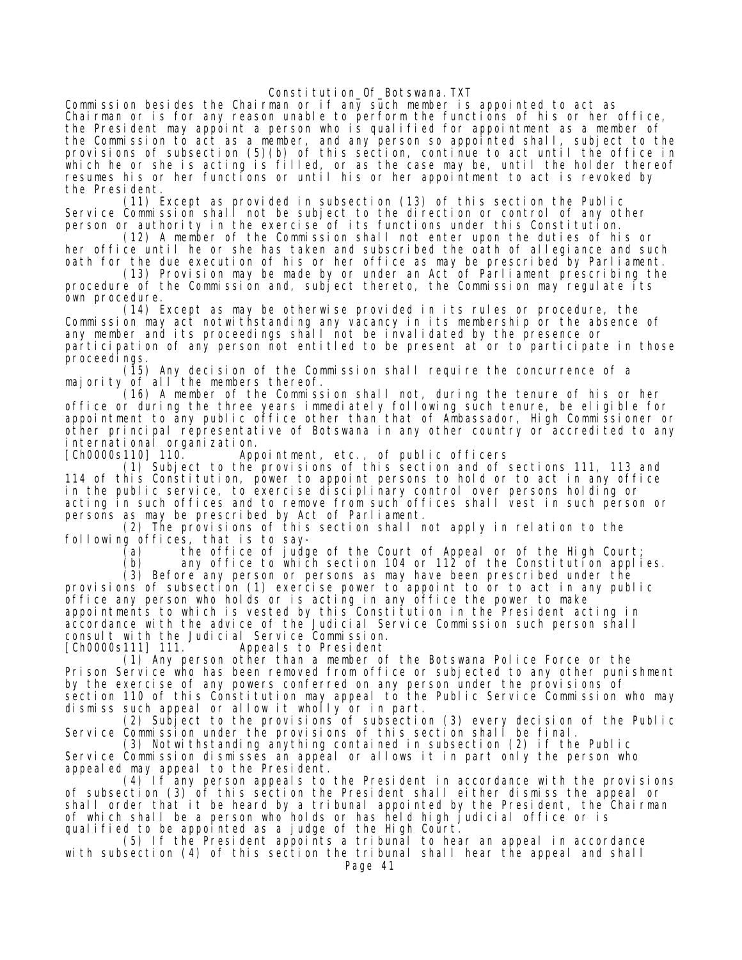Commission besides the Chairman or if any such member is appointed to act as Chairman or is for any reason unable to perform the functions of his or her office, the President may appoint a person who is qualified for appointment as a member of the Commission to act as a member, and any person so appointed shall, subject to the provisions of subsection (5)(b) of this section, continue to act until the office in which he or she is acting is filled, or as the case may be, until the holder thereof resumes his or her functions or until his or her appointment to act is revoked by the President.

(11) Except as provided in subsection (13) of this section the Public Service Commission shall not be subject to the direction or control of any other person or authority in the exercise of its functions under this Constitution.

(12) A member of the Commission shall not enter upon the duties of his or her office until he or she has taken and subscribed the oath of allegiance and such oath for the due execution of his or her office as may be prescribed by Parliament.

(13) Provision may be made by or under an Act of Parliament prescribing the procedure of the Commission and, subject thereto, the Commission may regulate its own procedure.

(14) Except as may be otherwise provided in its rules or procedure, the Commission may act notwithstanding any vacancy in its membership or the absence of any member and its proceedings shall not be invalidated by the presence or participation of any person not entitled to be present at or to participate in those proceedings.

(15) Any decision of the Commission shall require the concurrence of a majority of all the members thereof.

(16) A member of the Commission shall not, during the tenure of his or her office or during the three years immediately following such tenure, be eligible for appointment to any public office other than that of Ambassador, High Commissioner or other principal representative of Botswana in any other country or accredited to any international organization.

[Ch0000s110] 110. Appointment, etc., of public officers

(1) Subject to the provisions of this section and of sections 111, 113 and 114 of this Constitution, power to appoint persons to hold or to act in any office in the public service, to exercise disciplinary control over persons holding or acting in such offices and to remove from such offices shall vest in such person or persons as may be prescribed by Act of Parliament.

(2) The provisions of this section shall not apply in relation to the following offices, that is to say-

(a) the office of judge of the Court of Appeal or of the High Court;

 $(b)$  any office to which section 104 or 112 of the Constitution applies. (3) Before any person or persons as may have been prescribed under the

provisions of subsection (1) exercise power to appoint to or to act in any public office any person who holds or is acting in any office the power to make appointments to which is vested by this Constitution in the President acting in accordance with the advice of the Judicial Service Commission such person shall consult with the Judicial Service Commission.

Appeals to President

(1) Any person other than a member of the Botswana Police Force or the Prison Service who has been removed from office or subjected to any other punishment by the exercise of any powers conferred on any person under the provisions of section 110 of this Constitution may appeal to the Public Service Commission who may dismiss such appeal or allow it wholly or in part.

(2) Subject to the provisions of subsection (3) every decision of the Public Service Commission under the provisions of this section shall be final.

(3) Notwithstanding anything contained in subsection (2) if the Public Service Commission dismisses an appeal or allows it in part only the person who appealed may appeal to the President.

(4) If any person appeals to the President in accordance with the provisions of subsection (3) of this section the President shall either dismiss the appeal or shall order that it be heard by a tribunal appointed by the President, the Chairman of which shall be a person who holds or has held high judicial office or is qualified to be appointed as a judge of the High Court.

(5) If the President appoints a tribunal to hear an appeal in accordance with subsection (4) of this section the tribunal shall hear the appeal and shall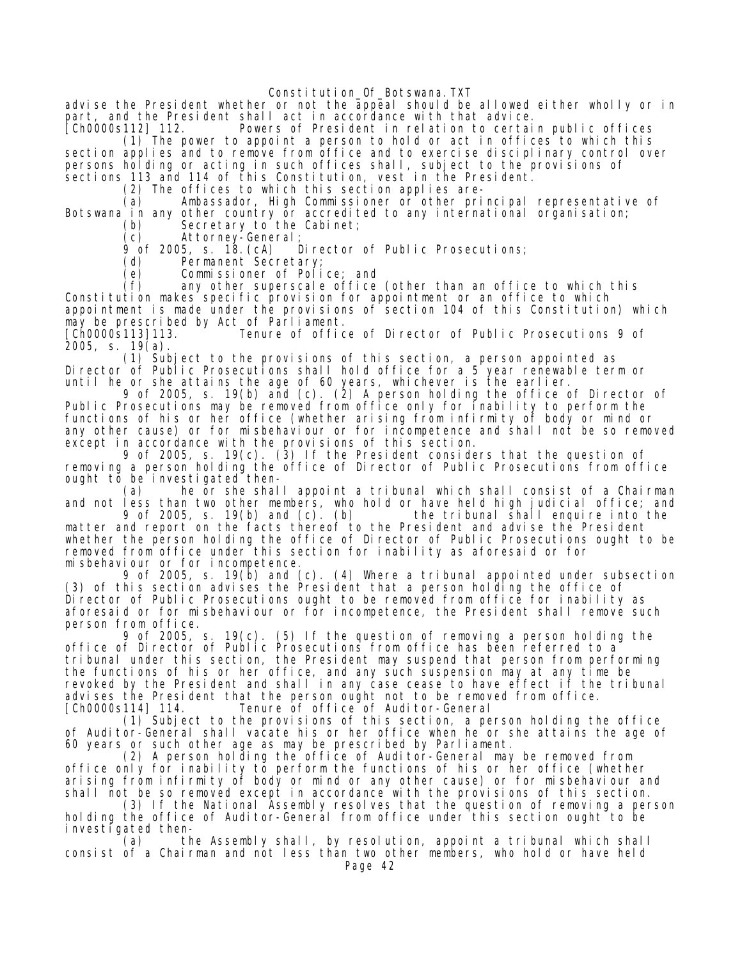advise the President whether or not the appeal should be allowed either wholly or in part, and the President shall act in accordance with that advice.<br>[Ch0000s112] 112. Powers of President in relation to certai

Powers of President in relation to certain public offices (1) The power to appoint a person to hold or act in offices to which this section applies and to remove from office and to exercise disciplinary control over persons holding or acting in such offices shall, subject to the provisions of sections 113 and 114 of this Constitution, vest in the President.

(2) The offices to which this section applies are- Ambassador, High Commissioner or other principal representative of Botswana in any other country or accredited to any international organisation;<br>(b) Secretary to the Cabinet;

Secretary to the Cabinet;

(c) Attorney-General; 9 of 2005, s. 18.(cA) Director of Public Prosecutions;

(d) Permanent Secretary;

(e) Commissioner of Police; and

any other superscale office (other than an office to which this Constitution makes specific provision for appointment or an office to which appointment is made under the provisions of section 104 of this Constitution) which

may be prescribed by Act of Parliament.<br>[ChOOOOs113]113. Tenure of offic Tenure of office of Director of Public Prosecutions 9 of  $2005, s. 19(a)$ .

(1) Subject to the provisions of this section, a person appointed as Director of Public Prosecutions shall hold office for a 5 year renewable term or until he or she attains the age of 60 years, whichever is the earlier.

9 of 2005, s. 19(b) and (c). (2) A person holding the office of Director of Public Prosecutions may be removed from office only for inability to perform the functions of his or her office (whether arising from infirmity of body or mind or any other cause) or for misbehaviour or for incompetence and shall not be so removed except in accordance with the provisions of this section.

9 of 2005, s. 19(c). (3) If the President considers that the question of removing a person holding the office of Director of Public Prosecutions from office ought to be investigated then-

(a) he or she shall appoint a tribunal which shall consist of a Chairman and not less than two other members, who hold or have held high judicial office; and 9 of 2005, s. 19(b) and (c). (b) the tribunal shall enquire into the

matter and report on the facts thereof to the President and advise the President whether the person holding the office of Director of Public Prosecutions ought to be removed from office under this section for inability as aforesaid or for misbehaviour or for incompetence.

9 of 2005, s. 19(b) and (c). (4) Where a tribunal appointed under subsection (3) of this section advises the President that a person holding the office of Director of Public Prosecutions ought to be removed from office for inability as aforesaid or for misbehaviour or for incompetence, the President shall remove such person from office.

9 of 2005, s. 19(c). (5) If the question of removing a person holding the office of Director of Public Prosecutions from office has been referred to a tribunal under this section, the President may suspend that person from performing the functions of his or her office, and any such suspension may at any time be revoked by the President and shall in any case cease to have effect if the tribunal advises the President that the person ought not to be removed from office. [Ch0000s114] 114. Tenure of office of Auditor-General

(1) Subject to the provisions of this section, a person holding the office of Auditor-General shall vacate his or her office when he or she attains the age of<br>60 years or such other age as may be prescribed by Parliament. 60 years or such other age as may be prescribed by Parliament. (2) A person holding the office of Auditor-General may be removed from

office only for inability to perform the functions of his or her office (whether arising from infirmity of body or mind or any other cause) or for misbehaviour and shall not be so removed except in accordance with the provisions of this section.

(3) If the National Assembly resolves that the question of removing a person holding the office of Auditor-General from office under this section ought to be investigated then-

(a) the Assembly shall, by resolution, appoint a tribunal which shall consist of a Chairman and not less than two other members, who hold or have held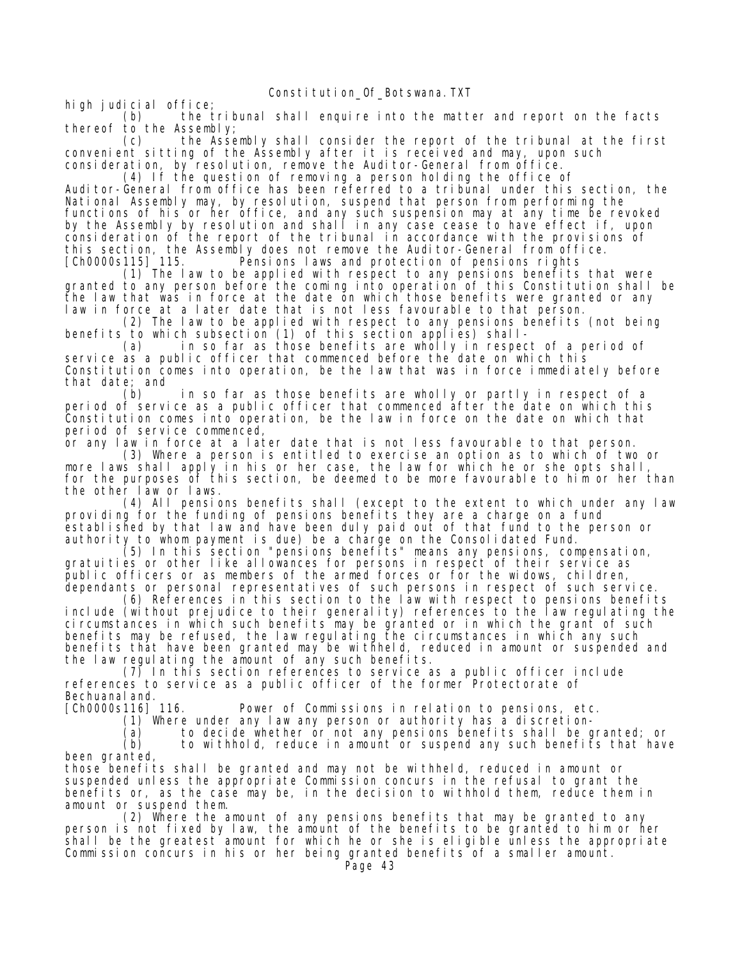high judicial office;<br>(b) the tribunal shall enquire into the matter and report on the facts thereof to the Assembly;

 (c) the Assembly shall consider the report of the tribunal at the first convenient sitting of the Assembly after it is received and may, upon such consideration, by resolution, remove the Auditor-General from office.

(4) If the question of removing a person holding the office of

Auditor-General from office has been referred to a tribunal under this section, the National Assembly may, by resolution, suspend that person from performing the functions of his or her office, and any such suspension may at any time be revoked by the Assembly by resolution and shall in any case cease to have effect if, upon consideration of the report of the tribunal in accordance with the provisions of this section, the Assembly does not remove the Auditor-General from office.

[Ch0000s115] 115. Pensions laws and protection of pensions rights (1) The law to be applied with respect to any pensions benefits that were The law to be applied with respect to any pensions benefits that were qranted to any person before the coming into operation of this Constitution shall be the law that was in force at the date on which those benefits were granted or any law in force at a later date that is not less favourable to that person.

(2) The law to be applied with respect to any pensions benefits (not being benefits to which subsection (1) of this section applies) shall-

(a) in so far as those benefits are wholly in respect of a period of service as a public officer that commenced before the date on which this Constitution comes into operation, be the law that was in force immediately before

that date; and<br>(b) in so far as those benefits are wholly or partly in respect of a period of service as a public officer that commenced after the date on which this Constitution comes into operation, be the law in force on the date on which that period of service commenced,

or any law in force at a later date that is not less favourable to that person.

(3) Where a person is entitled to exercise an option as to which of two or more laws shall apply in his or her case, the law for which he or she opts shall, for the purposes of this section, be deemed to be more favourable to him or her than the other law or laws.

(4) All pensions benefits shall (except to the extent to which under any law providing for the funding of pensions benefits they are a charge on a fund established by that law and have been duly paid out of that fund to the person or authority to whom payment is due) be a charge on the Consolidated Fund.

(5) In this section "pensions benefits" means any pensions, compensation, gratuities or other like allowances for persons in respect of their service as public officers or as members of the armed forces or for the widows, children, dependants or personal representatives of such persons in respect of such service.

(6) References in this section to the law with respect to pensions benefits include (without prejudice to their generality) references to the law regulating the circumstances in which such benefits may be granted or in which the grant of such benefits may be refused, the law regulating the circumstances in which any such benefits that have been granted may be withheld, reduced in amount or suspended and the law regulating the amount of any such benefits.

(7) In this section references to service as a public officer include references to service as a public officer of the former Protectorate of Bechuanal and.<br>[Ch0000s116] 116.

Power of Commissions in relation to pensions, etc.

(1) Where under any law any person or authority has a discretion-

(a) to decide whether or not any pensions benefits shall be granted; or to withhold, reduce in amount or suspend any such benefits that have

been granted, those benefits shall be granted and may not be withheld, reduced in amount or suspended unless the appropriate Commission concurs in the refusal to grant the benefits or, as the case may be, in the decision to withhold them, reduce them in amount or suspend them.

(2) Where the amount of any pensions benefits that may be granted to any person is not fixed by law, the amount of the benefits to be granted to him or her shall be the greatest amount for which he or she is eligible unless the appropriate Commission concurs in his or her being granted benefits of a smaller amount.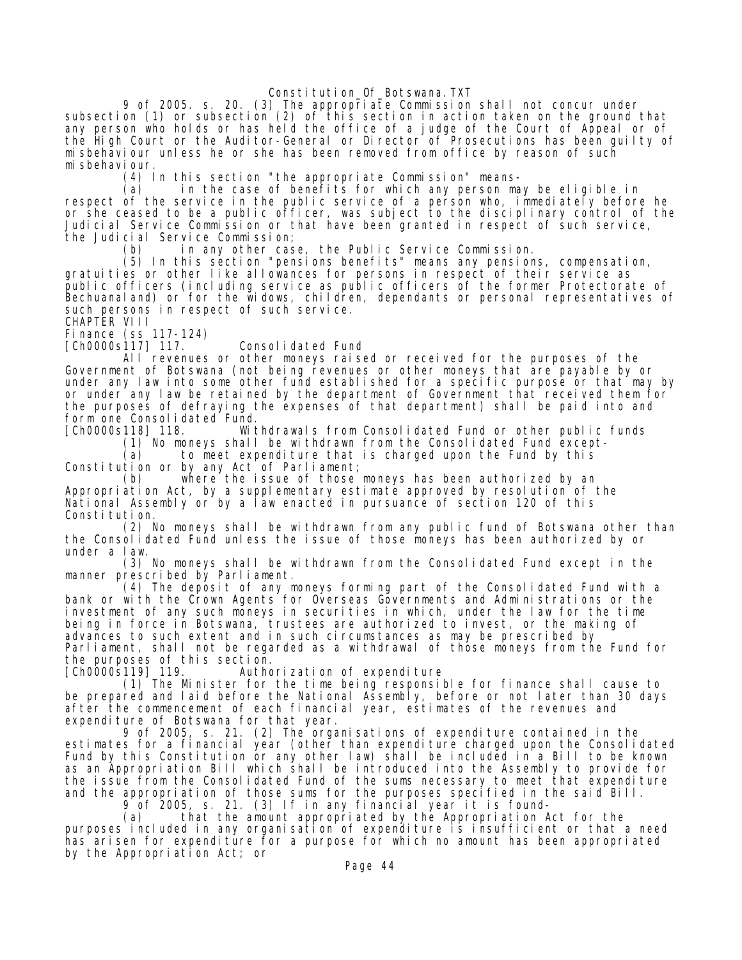9 of 2005. s. 20. (3) The appropriate Commission shall not concur under subsection (1) or subsection (2) of this section in action taken on the ground that any person who holds or has held the office of a judge of the Court of Appeal or of the High Court or the Auditor-General or Director of Prosecutions has been guilty of misbehaviour unless he or she has been removed from office by reason of such

misbehaviour.<br>(4) In this section "the appropriate Commission" means-

 $\alpha$  in the case of benefits for which any person may be eligible in respect of the service in the public service of a person who, immediately before he or she ceased to be a public officer, was subject to the disciplinary control of the Judicial Service Commission or that have been granted in respect of such service, the Judicial Service Commission;

(b) in any other case, the Public Service Commission.

(5) In this section "pensions benefits" means any pensions, compensation, gratuities or other like allowances for persons in respect of their service as public officers (including service as public officers of the former Protectorate of Bechuanaland) or for the widows, children, dependants or personal representatives of such persons in respect of such service.

CHAPTER VIII

Finance (ss 117-124)

[Ch0000s117] 117. Consolidated Fund

All revenues or other moneys raised or received for the purposes of the Government of Botswana (not being revenues or other moneys that are payable by or under any law into some other fund established for a specific purpose or that may by or under any law be retained by the department of Government that received them for the purposes of defraying the expenses of that department) shall be paid into and form one Consolidated Fund.

[Ch0000s118] 118. Withdrawals from Consolidated Fund or other public funds

(1) No moneys shall be withdrawn from the Consolidated Fund except- (a) to meet expenditure that is charged upon the Fund by this

Constitution or by any Act of Parliament; (b) where the issue of those moneys has been authorized by an Appropriation Act, by a supplementary estimate approved by resolution of the National Assembly or by a law enacted in pursuance of section 120 of this Constitution.

(2) No moneys shall be withdrawn from any public fund of Botswana other than the Consolidated Fund unless the issue of those moneys has been authorized by or under a law.

(3) No moneys shall be withdrawn from the Consolidated Fund except in the manner prescribed by Parliament.

(4) The deposit of any moneys forming part of the Consolidated Fund with a bank or with the Crown Agents for Overseas Governments and Administrations or the investment of any such moneys in securities in which, under the law for the time being in force in Botswana, trustees are authorized to invest, or the making of advances to such extent and in such circumstances as may be prescribed by Parliament, shall not be regarded as a withdrawal of those moneys from the Fund for the purposes of this section.<br>[Ch0000s119]\_119.\_\_\_\_\_\_\_\_Autho

Authorization of expenditure

(1) The Minister for the time being responsible for finance shall cause to be prepared and laid before the National Assembly, before or not later than 30 days after the commencement of each financial year, estimates of the revenues and expenditure of Botswana for that year.

9 of 2005, s. 21. (2) The organisations of expenditure contained in the estimates for a financial year (other than expenditure charged upon the Consolidated Fund by this Constitution or any other law) shall be included in a Bill to be known as an Appropriation Bill which shall be introduced into the Assembly to provide for the issue from the Consolidated Fund of the sums necessary to meet that expenditure and the appropriation of those sums for the purposes specified in the said Bill.

9 of 2005, s. 21. (3) If in any financial year it is found-<br>(a) that the amount appropriated by the Appropriation Act for the

purposes included in any organisation of expenditure is insufficient or that a need has arisen for expenditure for a purpose for which no amount has been appropriated by the Appropriation Act; or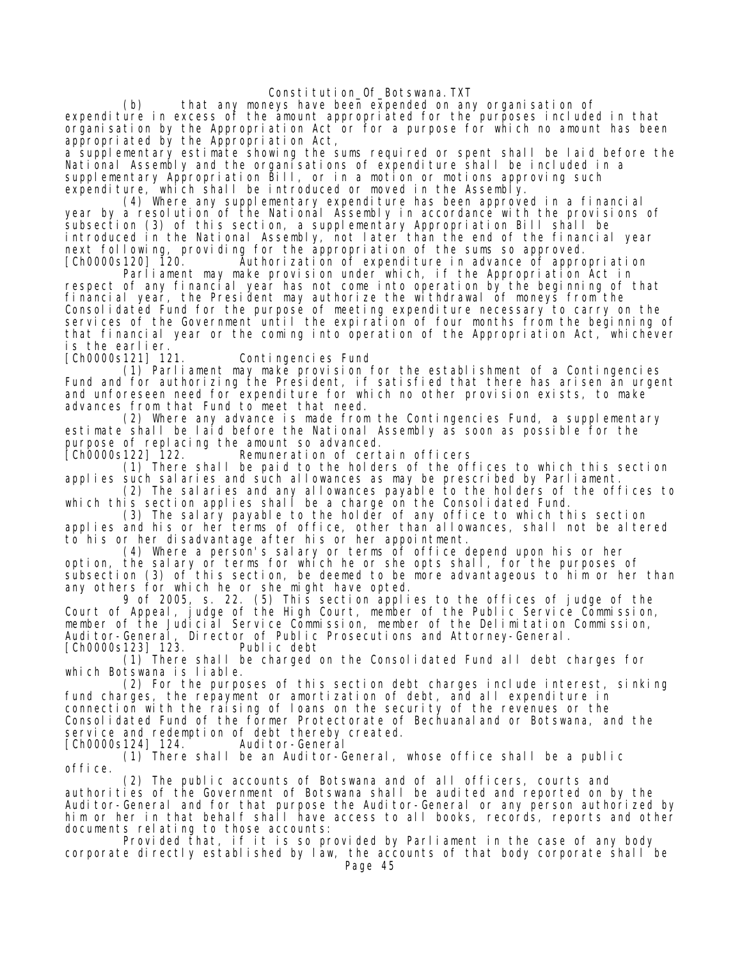(b) that any moneys have been expended on any organisation of expenditure in excess of the amount appropriated for the purposes included in that organisation by the Appropriation Act or for a purpose for which no amount has been appropriated by the Appropriation Act,

a supplementary estimate showing the sums required or spent shall be laid before the National Assembly and the organisations of expenditure shall be included in a supplementary Appropriation Bill, or in a motion or motions approving such expenditure, which shall be introduced or moved in the Assembly.

(4) Where any supplementary expenditure has been approved in a financial year by a resolution of the National Assembly in accordance with the provisions of subsection (3) of this section, a supplementary Appropriation Bill shall be introduced in the National Assembly, not later than the end of the financial year next following, providing for the appropriation of the sums so approved. [Ch0000s120] 120. Authorization of expenditure in advance of appropriation

Parliament may make provision under which, if the Appropriation Act in respect of any financial year has not come into operation by the beginning of that financial year, the President may authorize the withdrawal of moneys from the Consolidated Fund for the purpose of meeting expenditure necessary to carry on the services of the Government until the expiration of four months from the beginning of that financial year or the coming into operation of the Appropriation Act, whichever is the earlier.

[Ch0000s121] 121. Contingencies Fund

(1) Parliament may make provision for the establishment of a Contingencies Fund and for authorizing the President, if satisfied that there has arisen an urgent and unforeseen need for expenditure for which no other provision exists, to make  $\overline{\phantom{a}}$ advances from that Fund to meet that need.

(2) Where any advance is made from the Contingencies Fund, a supplementary estimate shall be laid before the National Assembly as soon as possible for the purpose of replacing the amount so advanced.<br>[Ch0000s122] 122. Remuneration of cert

Remuneration of certain officers

(1) There shall be paid to the holders of the offices to which this section applies such salaries and such allowances as may be prescribed by Parliament.

(2) The salaries and any allowances payable to the holders of the offices to which this section applies shall be a charge on the Consolidated Fund.

(3) The salary payable to the holder of any office to which this section applies and his or her terms of office, other than allowances, shall not be altered to his or her disadvantage after his or her appointment.

(4) Where a person's salary or terms of office depend upon his or her option, the salary or terms for which he or she opts shall, for the purposes of subsection (3) of this section, be deemed to be more advantageous to him or her than any others for which he or she might have opted.

9 of 2005, s. 22. (5) This section applies to the offices of judge of the Court of Appeal, judge of the High Court, member of the Public Service Commission, member of the Judicial Service Commission, member of the Delimitation Commission, Auditor-General, Director of Public Prosecutions and Attorney-General. [Ch0000s123] 123. Public debt

(1) There shall be charged on the Consolidated Fund all debt charges for which Botswana is liable.

(2) For the purposes of this section debt charges include interest, sinking fund charges, the repayment or amortization of debt, and all expenditure in connection with the raising of loans on the security of the revenues or the Consolidated Fund of the former Protectorate of Bechuanaland or Botswana, and the service and redemption of debt thereby created.<br>[Ch0000s124] 124. Auditor-General

 $[Ch0000s124]$  124.

(1) There shall be an Auditor-General, whose office shall be a public office.

(2) The public accounts of Botswana and of all officers, courts and authorities of the Government of Botswana shall be audited and reported on by the Auditor-General and for that purpose the Auditor-General or any person authorized by him or her in that behalf shall have access to all books, records, reports and other documents relating to those accounts:

Provided that, if it is so provided by Parliament in the case of any body corporate directly established by law, the accounts of that body corporate shall be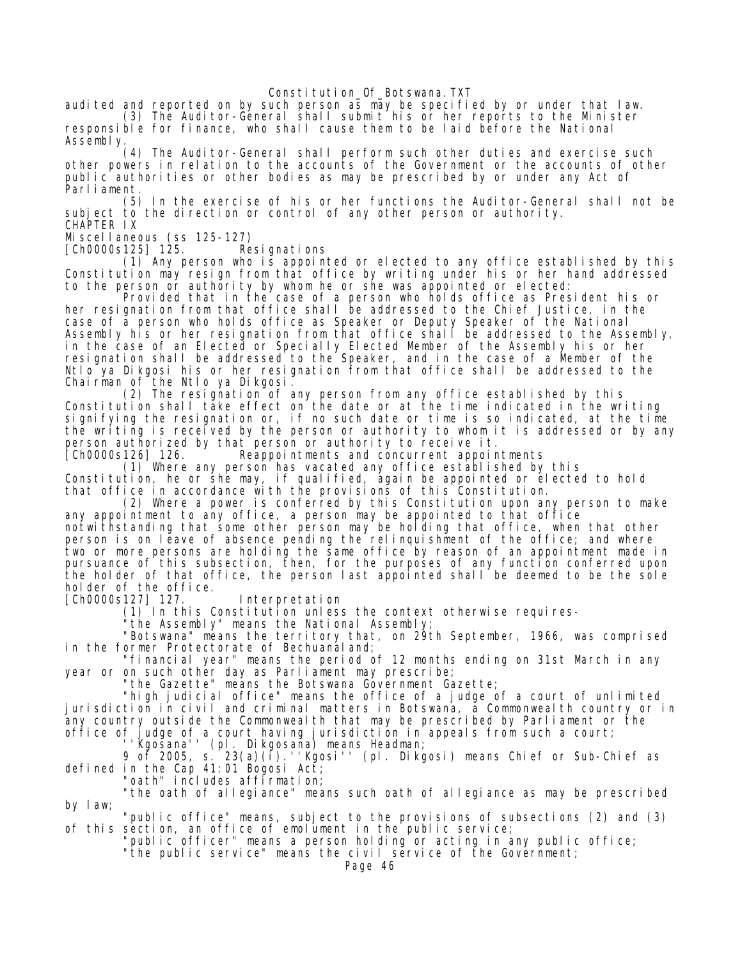audited and reported on by such person as may be specified by or under that law. (3) The Auditor-General shall submit his or her reports to the Minister responsible for finance, who shall cause them to be laid before the National Assembly.

(4) The Auditor-General shall perform such other duties and exercise such other powers in relation to the accounts of the Government or the accounts of other public authorities or other bodies as may be prescribed by or under any Act of Parliament.

(5) In the exercise of his or her functions the Auditor-General shall not be subject to the direction or control of any other person or authority. CHAPTER IX

Miscellaneous (ss 125-127)

[Ch0000s125] 125. Resignations

(1) Any person who is appointed or elected to any office established by this Constitution may resign from that office by writing under his or her hand addressed to the person or authority by whom he or she was appointed or elected:

Provided that in the case of a person who holds office as President his or her resignation from that office shall be addressed to the Chief Justice, in the case of a person who holds office as Speaker or Deputy Speaker of the National Assembly his or her resignation from that office shall be addressed to the Assembly, in the case of an Elected or Specially Elected Member of the Assembly his or her resignation shall be addressed to the Speaker, and in the case of a Member of the Ntlo ya Dikgosi his or her resignation from that office shall be addressed to the Chairman of the Ntlo ya Dikgosi.

(2) The resignation of any person from any office established by this Constitution shall take effect on the date or at the time indicated in the writing signifying the resignation or, if no such date or time is so indicated, at the time the writing is received by the person or authority to whom it is addressed or by any person authorized by that person or authority to receive it.

[Ch0000s126] 126. Reappointments and concurrent appointments (1) Where any person has vacated any office established by this Constitution, he or she may, if qualified, again be appointed or elected to hold that office in accordance with the provisions of this Constitution.

(2) Where a power is conferred by this Constitution upon any person to make any appointment to any office, a person may be appointed to that office notwithstanding that some other person may be holding that office, when that other person is on leave of absence pending the relinquishment of the office; and where two or more persons are holding the same office by reason of an appointment made in pursuance of this subsection, then, for the purposes of any function conferred upon the holder of that office, the person last appointed shall be deemed to be the sole holder of the office.

[Ch0000s127] 127. Interpretation

(1) In this Constitution unless the context otherwise requires- "the Assembly" means the National Assembly;

"Botswana" means the territory that, on 29th September, 1966, was comprised in the former Protectorate of Bechuanaland;

"financial year" means the period of 12 months ending on 31st March in any year or on such other day as Parliament may prescribe;

"the Gazette" means the Botswana Government Gazette;

"high judicial office" means the office of a judge of a court of unlimited jurisdiction in civil and criminal matters in Botswana, a Commonwealth country or in any country outside the Commonwealth that may be prescribed by Parliament or the office of judge of a court having jurisdiction in appeals from such a court;

''Kgosana'' (pl. Dikgosana) means Headman; 9 of 2005, s. 23(a)(i).''Kgosi'' (pl. Dikgosi) means Chief or Sub-Chief as defined in the Cap 41:01 Bogosi Act;

"oath" includes affirmation;

"the oath of allegiance" means such oath of allegiance as may be prescribed by law;

"public office" means, subject to the provisions of subsections (2) and (3) of this section, an office of emolument in the public service;

"public officer" means a person holding or acting in any public office;

"the public service" means the civil service of the Government;

Page 46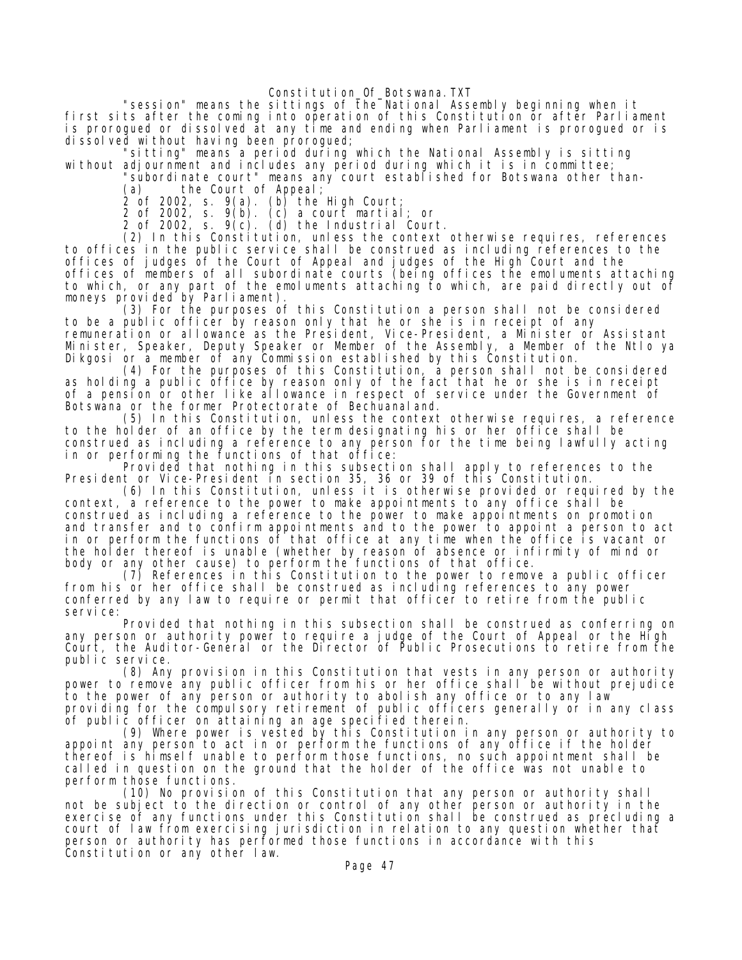"session" means the sittings of the National Assembly beginning when it first sits after the coming into operation of this Constitution or after Parliament is prorogued or dissolved at any time and ending when Parliament is prorogued or is dissolved without having been prorogued;

"sitting" means a period during which the National Assembly is sitting without adjournment and includes any period during which it is in committee;

"subordinate court" means any court established for Botswana other than-<br>(a) the Court of Appeal;

2 of 2002, s. 9(a). (b) the High Court; 2 of 2002, s. 9(b). (c) a court martial; or

2 of 2002, s. 9(c). (d) the Industrial Court.

(2) In this Constitution, unless the context otherwise requires, references to offices in the public service shall be construed as including references to the offices of judges of the Court of Appeal and judges of the High Court and the offices of members of all subordinate courts (being offices the emoluments attaching to which, or any part of the emoluments attaching to which, are paid directly out of moneys provided by Parliament).

(3) For the purposes of this Constitution a person shall not be considered to be a public officer by reason only that he or she is in receipt of any remuneration or allowance as the President, Vice-President, a Minister or Assistant Minister, Speaker, Deputy Speaker or Member of the Assembly, a Member of the Ntlo ya Dikgosi or a member of any Commission established by this Constitution.

(4) For the purposes of this Constitution, a person shall not be considered as holding a public office by reason only of the fact that he or she is in receipt of a pension or other like allowance in respect of service under the Government of Botswana or the former Protectorate of Bechuanaland.

(5) In this Constitution, unless the context otherwise requires, a reference to the holder of an office by the term designating his or her office shall be construed as including a reference to any person for the time being lawfully acting in or performing the functions of that office:

Provided that nothing in this subsection shall apply to references to the President or Vice-President in section 35, 36 or 39 of this Constitution.

(6) In this Constitution, unless it is otherwise provided or required by the context, a reference to the power to make appointments to any office shall be construed as including a reference to the power to make appointments on promotion and transfer and to confirm appointments and to the power to appoint a person to act in or perform the functions of that office at any time when the office is vacant or the holder thereof is unable (whether by reason of absence or infirmity of mind or body or any other cause) to perform the functions of that office.

(7) References in this Constitution to the power to remove a public officer from his or her office shall be construed as including references to any power conferred by any law to require or permit that officer to retire from the public service:

Provided that nothing in this subsection shall be construed as conferring on any person or authority power to require a judge of the Court of Appeal or the High Court, the Auditor-General or the Director of Public Prosecutions to retire from the public service.

(8) Any provision in this Constitution that vests in any person or authority power to remove any public officer from his or her office shall be without prejudice to the power of any person or authority to abolish any office or to any law providing for the compulsory retirement of public officers generally or in any class of public officer on attaining an age specified therein.

(9) Where power is vested by this Constitution in any person or authority to appoint any person to act in or perform the functions of any office if the holder thereof is himself unable to perform those functions, no such appointment shall be called in question on the ground that the holder of the office was not unable to perform those functions.

(10) No provision of this Constitution that any person or authority shall not be subject to the direction or control of any other person or authority in the exercise of any functions under this Constitution shall be construed as precluding a court of law from exercising jurisdiction in relation to any question whether that person or authority has performed those functions in accordance with this Constitution or any other law.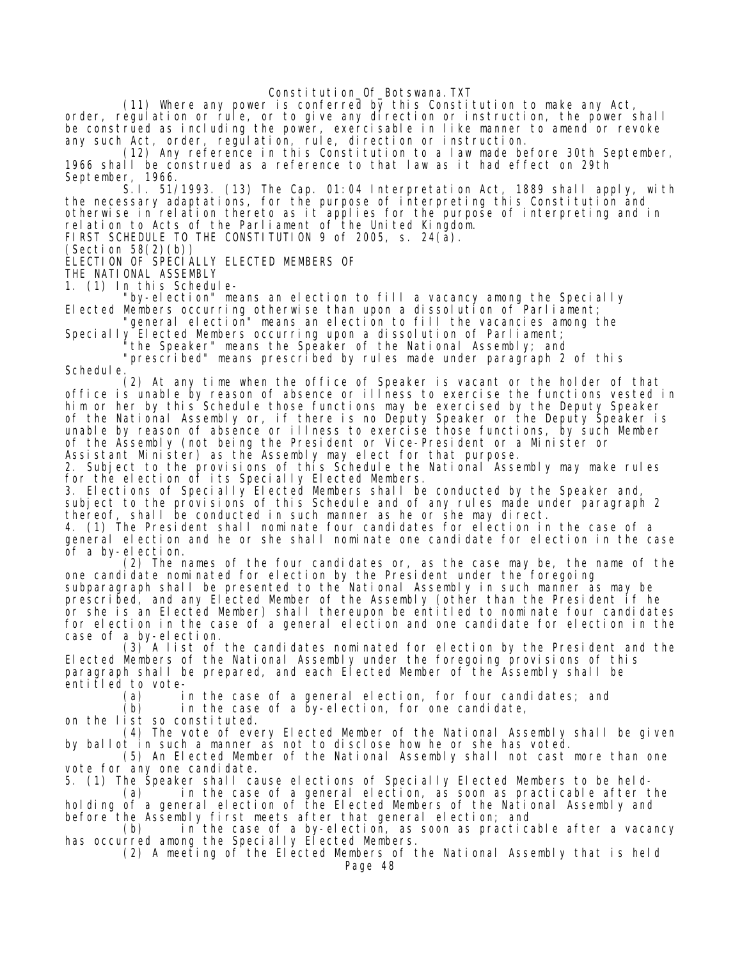(11) Where any power is conferred by this Constitution to make any Act, order, regulation or rule, or to give any direction or instruction, the power shall be construed as including the power, exercisable in like manner to amend or revoke

any such Act, order, regulation, rule, direction or instruction. (12) Any reference in this Constitution to a law made before 30th September, 1966 shall be construed as a reference to that law as it had effect on 29th September, 1966.

S.I. 51/1993. (13) The Cap. 01:04 Interpretation Act, 1889 shall apply, with the necessary adaptations, for the purpose of interpreting this Constitution and otherwise in relation thereto as it applies for the purpose of interpreting and in relation to Acts of the Parliament of the United Kingdom.

FIRST SCHEDULE TO THE CONSTITUTION 9 of 2005, s. 24(a).

 $(Secti on 58(2)(b))$ 

ELECTION OF SPECIALLY ELECTED MEMBERS OF

THE NATIONAL ASSEMBLY

1. (1) In this Schedule-

"by-election" means an election to fill a vacancy among the Specially Elected Members occurring otherwise than upon a dissolution of Parliament;

"general election" means an election to fill the vacancies among the Specially Elected Members occurring upon a dissolution of Parliament;

"the Speaker" means the Speaker of the National Assembly; and

"prescribed" means prescribed by rules made under paragraph 2 of this Schedul e.

(2) At any time when the office of Speaker is vacant or the holder of that office is unable by reason of absence or illness to exercise the functions vested in him or her by this Schedule those functions may be exercised by the Deputy Speaker of the National Assembly or, if there is no Deputy Speaker or the Deputy Speaker is unable by reason of absence or illness to exercise those functions, by such Member of the Assembly (not being the President or Vice-President or a Minister or Assistant Minister) as the Assembly may elect for that purpose.

2. Subject to the provisions of this Schedule the National Assembly may make rules for the election of its Specially Elected Members.

3. Elections of Specially Elected Members shall be conducted by the Speaker and, subject to the provisions of this Schedule and of any rules made under paragraph 2 thereof, shall be conducted in such manner as he or she may direct.

4. (1) The President shall nominate four candidates for election in the case of a general election and he or she shall nominate one candidate for election in the case of a by-election.

(2) The names of the four candidates or, as the case may be, the name of the one candidate nominated for election by the President under the foregoing subparagraph shall be presented to the National Assembly in such manner as may be prescribed, and any Elected Member of the Assembly (other than the President if he or she is an Elected Member) shall thereupon be entitled to nominate four candidates for election in the case of a general election and one candidate for election in the case of a by-election.

(3) A list of the candidates nominated for election by the President and the Elected Members of the National Assembly under the foregoing provisions of this paragraph shall be prepared, and each Elected Member of the Assembly shall be

entitled to vote-<br>(a) in the case of a general election, for four candidates; and

 $(b)$  in the case of a by-election, for one candidate,

on the list so constituted.

(4) The vote of every Elected Member of the National Assembly shall be given by ballot in such a manner as not to disclose how he or she has voted.

(5) An Elected Member of the National Assembly shall not cast more than one vote for any one candidate.

5. (1) The Speaker shall cause elections of Specially Elected Members to be held-<br>(a) in the case of a general election, as soon as practicable after the holding of a general election of the Elected Members of the National Assembly and before the Assembly first meets after that general election; and<br>(b) in the case of a by-election, as soon as practica

has occurred among the Specially Elected Members. in the case of a by-election, as soon as practicable after a vacancy

(2) A meeting of the Elected Members of the National Assembly that is held Page 48